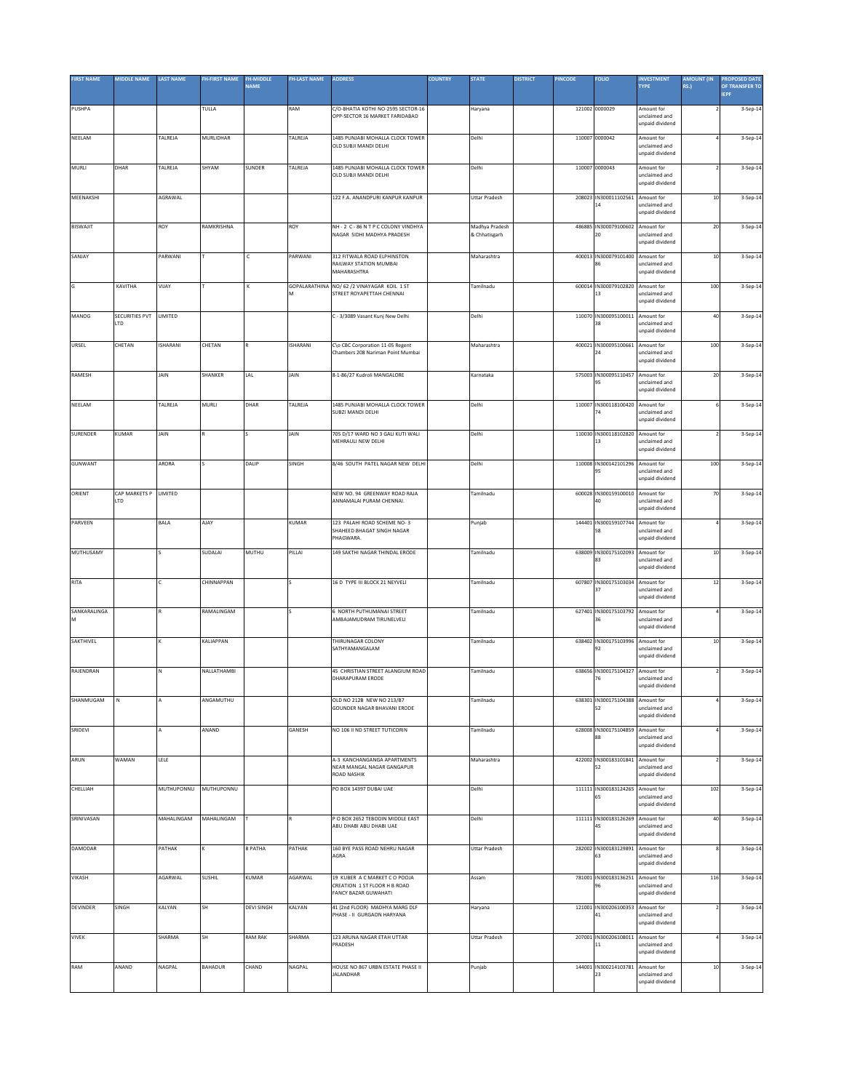| <b>FIRST NAME</b> | MIDDLE NAME    | <b>LAST NAME</b> | <b>FH-FIRST NAME</b> | <b>FH-MIDDLE</b>  | <b>FH-LAST NAME</b> | <b>ADDRESS</b>                                                           | <b>COUNTRY</b> | <b>STATE</b>         | <b>DISTRICT</b> | <b>PINCODE</b> | <b>FOLIO</b>                           | <b>INVESTMENT</b>                | <b>AMOUNT (IN</b>        | <b>PROPOSED DATE</b> |
|-------------------|----------------|------------------|----------------------|-------------------|---------------------|--------------------------------------------------------------------------|----------------|----------------------|-----------------|----------------|----------------------------------------|----------------------------------|--------------------------|----------------------|
|                   |                |                  |                      | <b>NAME</b>       |                     |                                                                          |                |                      |                 |                |                                        | <b>TYPE</b>                      | <b>RS.)</b>              | OF TRANSFER TO       |
|                   |                |                  |                      |                   |                     |                                                                          |                |                      |                 |                |                                        |                                  |                          | <b>IEPF</b>          |
| PUSHPA            |                |                  | TULLA                |                   | RAM                 | C/O-BHATIA KOTHI NO-2595 SECTOR-16<br>OPP-SECTOR 16 MARKET FARIDABAD     |                | Haryana              |                 |                | 121002 0000029                         | Amount for<br>unclaimed and      |                          | 3-Sep-14             |
|                   |                |                  |                      |                   |                     |                                                                          |                |                      |                 |                |                                        | unpaid dividend                  |                          |                      |
| NEELAM            |                | TALREJA          | MURLIDHAR            |                   | TALREJA             | 1485 PUNJABI MOHALLA CLOCK TOWER                                         |                | Delhi                |                 |                | 110007 0000042                         | Amount for                       |                          | 3-Sep-14             |
|                   |                |                  |                      |                   |                     | OLD SUBJLMANDLDELHL                                                      |                |                      |                 |                |                                        | unclaimed and                    |                          |                      |
|                   |                |                  |                      |                   |                     |                                                                          |                |                      |                 |                |                                        | unpaid dividend                  |                          |                      |
| MURLI             | DHAR           | TALREJA          | SHYAM                | SUNDER            | TALREJA             | 1485 PUNJABI MOHALLA CLOCK TOWER                                         |                | Delhi                |                 |                | 110007 0000043                         | Amount for                       |                          | 3-Sep-14             |
|                   |                |                  |                      |                   |                     | OLD SUBJI MANDI DELHI                                                    |                |                      |                 |                |                                        | inclaimed and                    |                          |                      |
|                   |                |                  |                      |                   |                     |                                                                          |                |                      |                 |                |                                        | unpaid dividend                  |                          |                      |
| MEENAKSHI         |                | AGRAWAL          |                      |                   |                     | 122 F.A. ANANDPURI KANPUR KANPUR                                         |                | Uttar Pradesh        |                 |                | 208023 IN300011102561                  | Amount for                       | $10\,$                   | 3-Sep-14             |
|                   |                |                  |                      |                   |                     |                                                                          |                |                      |                 |                | 14                                     | unclaimed and                    |                          |                      |
|                   |                |                  |                      |                   |                     |                                                                          |                |                      |                 |                |                                        | unpaid dividend                  |                          |                      |
| <b>BISWAJIT</b>   |                | ROY              | RAMKRISHNA           |                   | ROY                 | NH - 2 C - 86 N T P C COLONY VINDHYA                                     |                | Madhya Pradesh       |                 |                | 486885 IN300079100602                  | Amount for                       | $20\,$                   | 3-Sep-14             |
|                   |                |                  |                      |                   |                     | NAGAR SIDHI MADHYA PRADESH                                               |                | & Chhatisgarh        |                 |                | 20                                     | unclaimed and<br>unpaid dividend |                          |                      |
|                   |                |                  |                      |                   |                     |                                                                          |                |                      |                 |                |                                        |                                  |                          |                      |
| SANJAY            |                | PARWANI          |                      | c                 | PARWANI             | 312 FITWALA ROAD ELPHINSTON<br>RAILWAY STATION MUMBAI                    |                | Maharashtra          |                 |                | 400013 IN300079101400<br>86            | Amount for<br>unclaimed and      | $10$                     | 3-Sep-14             |
|                   |                |                  |                      |                   |                     | MAHARASHTRA                                                              |                |                      |                 |                |                                        | unpaid dividend                  |                          |                      |
| G                 |                |                  |                      | K                 |                     |                                                                          |                |                      |                 |                |                                        |                                  |                          |                      |
|                   | KAVITHA        | VIJAY            |                      |                   |                     | GOPALARATHINA NO/ 62 /2 VINAYAGAR KOIL 1 ST<br>STREET ROYAPETTAH CHENNAI |                | Tamilnadu            |                 |                | 600014 IN300079102820<br>13            | Amount for<br>unclaimed and      | 100                      | 3-Sep-14             |
|                   |                |                  |                      |                   |                     |                                                                          |                |                      |                 |                |                                        | unpaid dividend                  |                          |                      |
| MANOG             | SECURITIES PVT | LIMITED          |                      |                   |                     | C - 3/3089 Vasant Kunj New Delhi                                         |                | Delhi                |                 |                | 110070 IN300095100011                  | Amount for                       | $40\,$                   | 3-Sep-14             |
|                   | LTD            |                  |                      |                   |                     |                                                                          |                |                      |                 |                | 38                                     | unclaimed and                    |                          |                      |
|                   |                |                  |                      |                   |                     |                                                                          |                |                      |                 |                |                                        | unpaid dividend                  |                          |                      |
| URSEL             | CHETAN         | ISHARANI         | CHETAN               |                   | <b>ISHARANI</b>     | C\o CBC Corporation 11-05 Regent                                         |                | Maharashtra          |                 |                | 400021 IN300095100661                  | Amount for                       | 100                      | 3-Sep-14             |
|                   |                |                  |                      |                   |                     | Chambers 208 Nariman Point Mumbai                                        |                |                      |                 |                |                                        | inclaimed and                    |                          |                      |
|                   |                |                  |                      |                   |                     |                                                                          |                |                      |                 |                |                                        | unpaid dividend                  |                          |                      |
| RAMESH            |                | JAIN             | SHANKER              | LAL               | JAIN                | 8-1-86/27 Kudroli MANGALORE                                              |                | Karnataka            |                 |                | 575003 IN300095110457                  | Amount for                       | 20                       | 3-Sep-14             |
|                   |                |                  |                      |                   |                     |                                                                          |                |                      |                 |                | 95                                     | unclaimed and<br>unpaid dividend |                          |                      |
|                   |                |                  |                      |                   |                     |                                                                          |                |                      |                 |                |                                        |                                  |                          |                      |
| NEELAM            |                | TALREJA          | MURLI                | DHAR              | TALREJA             | 1485 PUNJABI MOHALLA CLOCK TOWER                                         |                | Delhi                |                 |                | 110007 IN300118100420                  | Amount for                       |                          | 3-Sep-14             |
|                   |                |                  |                      |                   |                     | SUBZI MANDI DELHI                                                        |                |                      |                 |                | 74                                     | unclaimed and<br>unpaid dividend |                          |                      |
|                   |                |                  |                      |                   |                     |                                                                          |                |                      |                 |                |                                        |                                  |                          |                      |
| SURENDER          | KUMAR          | JAIN             |                      |                   | JAIN                | 705 D/17 WARD NO 3 GALI KUTI WALI<br>MEHRAULI NEW DELHI                  |                | Delhi                |                 |                | 110030 IN300118102820<br>13            | Amount for<br>unclaimed and      |                          | 3-Sep-14             |
|                   |                |                  |                      |                   |                     |                                                                          |                |                      |                 |                |                                        | unpaid dividend                  |                          |                      |
|                   |                |                  |                      |                   |                     |                                                                          |                |                      |                 |                |                                        |                                  |                          |                      |
| GUNWANT           |                | ARORA            |                      | DALIP             | SINGH               | 8/46 SOUTH PATEL NAGAR NEW DELHI                                         |                | Delhi                |                 |                | 110008 IN300142101296 Amount for<br>95 | unclaimed and                    | 100                      | 3-Sep-14             |
|                   |                |                  |                      |                   |                     |                                                                          |                |                      |                 |                |                                        | unpaid dividend                  |                          |                      |
| ORIENT            | CAP MARKETS P  | LIMITED          |                      |                   |                     | NEW NO. 94 GREENWAY ROAD RAJA                                            |                | Tamilnadu            |                 |                | 600028 IN300159100010 Amount for       |                                  | 70                       | 3-Sep-14             |
|                   | <b>LTD</b>     |                  |                      |                   |                     | ANNAMALAI PURAM CHENNAI.                                                 |                |                      |                 |                | 40                                     | unclaimed and                    |                          |                      |
|                   |                |                  |                      |                   |                     |                                                                          |                |                      |                 |                |                                        | unpaid dividend                  |                          |                      |
| PARVEEN           |                | BALA             | AJAY                 |                   | KUMAR               | 123 PALAHI ROAD SCHEME NO- 3                                             |                | Punjab               |                 |                | 144401 IN300159107744                  | Amount for                       |                          | 3-Sep-14             |
|                   |                |                  |                      |                   |                     | SHAHEED BHAGAT SINGH NAGAR                                               |                |                      |                 |                | 58                                     | inclaimed and                    |                          |                      |
|                   |                |                  |                      |                   |                     | PHAGWARA.                                                                |                |                      |                 |                |                                        | unpaid dividend                  |                          |                      |
| MUTHUSAMY         |                |                  | SUDALAI              | MUTHU             | PILLAI              | 149 SAKTHI NAGAR THINDAL ERODE                                           |                | Tamilnadu            |                 |                | 638009 IN300175102093                  | Amount for                       | $10\,$                   | 3-Sep-14             |
|                   |                |                  |                      |                   |                     |                                                                          |                |                      |                 |                | 83                                     | unclaimed and                    |                          |                      |
|                   |                |                  |                      |                   |                     |                                                                          |                |                      |                 |                |                                        | inpaid dividend                  |                          |                      |
| RITA              |                | c                | CHINNAPPAN           |                   |                     | 16 D TYPE III BLOCK 21 NEYVELI                                           |                | Tamilnadu            |                 |                | 607807 IN300175103034                  | Amount for                       | $12\,$                   | 3-Sep-14             |
|                   |                |                  |                      |                   |                     |                                                                          |                |                      |                 |                | 37                                     | unclaimed and<br>unpaid dividend |                          |                      |
|                   |                |                  |                      |                   |                     |                                                                          |                |                      |                 |                |                                        |                                  |                          |                      |
| SANKARALINGA<br>M |                |                  | RAMALINGAM           |                   |                     | <b>6 NORTH PUTHUMANAI STREET</b><br>AMBAJAMUDRAM TIRUNELVELI             |                | Tamilnadu            |                 |                | 627401 IN300175103792<br>36            | Amount for<br>unclaimed and      |                          | 3-Sep-14             |
|                   |                |                  |                      |                   |                     |                                                                          |                |                      |                 |                |                                        | unpaid dividend                  |                          |                      |
|                   |                |                  |                      |                   |                     |                                                                          |                |                      |                 |                |                                        |                                  |                          |                      |
| SAKTHIVEL         |                |                  | KALIAPPAN            |                   |                     | THIRUNAGAR COLONY<br>SATHYAMANGALAM                                      |                | Tamilnadu            |                 |                | 638402 IN300175103996 Amount for<br>92 | unclaimed and                    | $10\,$                   | 3-Sep-14             |
|                   |                |                  |                      |                   |                     |                                                                          |                |                      |                 |                |                                        | unpaid dividend                  |                          |                      |
| RAJENDRAN         |                | N                | NALLATHAMBI          |                   |                     | 45 CHRISTIAN STREET ALANGIUM ROAD                                        |                | Tamilnadu            |                 |                | 638656 IN300175104327                  | Amount for                       | $\overline{\phantom{a}}$ | 3-Sep-14             |
|                   |                |                  |                      |                   |                     | DHARAPURAM ERODE                                                         |                |                      |                 |                | 76                                     | unclaimed and                    |                          |                      |
|                   |                |                  |                      |                   |                     |                                                                          |                |                      |                 |                |                                        | unpaid dividend                  |                          |                      |
| SHANMUGAM         | N              | А                | ANGAMUTHU            |                   |                     | OLD NO 212B NEW NO 213/B7                                                |                | Tamilnadu            |                 |                | 638301 IN300175104388                  | Amount for                       |                          | 3-Sep-14             |
|                   |                |                  |                      |                   |                     | GOUNDER NAGAR BHAVANI ERODE                                              |                |                      |                 |                | 52                                     | unclaimed and                    |                          |                      |
|                   |                |                  |                      |                   |                     |                                                                          |                |                      |                 |                |                                        | unpaid dividend                  |                          |                      |
| SRIDEVI           |                | A                | ANAND                |                   | GANESH              | NO 106 II ND STREET TUTICORIN                                            |                | Tamilnadu            |                 |                | 628008 IN300175104859                  | Amount for                       |                          | 3-Sep-14             |
|                   |                |                  |                      |                   |                     |                                                                          |                |                      |                 |                | 88                                     | unclaimed and<br>inpaid dividend |                          |                      |
|                   |                |                  |                      |                   |                     |                                                                          |                |                      |                 |                |                                        |                                  |                          |                      |
| ARUN              | WAMAN          | LELE             |                      |                   |                     | A-3 KANCHANGANGA APARTMENTS                                              |                | Maharashtra          |                 |                | 422002 IN300183101841 Amount for       |                                  | $\overline{\phantom{a}}$ | 3-Sep-14             |
|                   |                |                  |                      |                   |                     | NEAR MANGAL NAGAR GANGAPUR<br><b>ROAD NASHIK</b>                         |                |                      |                 |                | 52                                     | unclaimed and<br>unpaid dividend |                          |                      |
|                   |                |                  |                      |                   |                     |                                                                          |                |                      |                 |                |                                        |                                  |                          |                      |
| CHELLIAH          |                | MUTHUPONNU       | MUTHUPONNU           |                   |                     | PO BOX 14397 DUBAI UAE                                                   |                | Delhi                |                 |                | 111111 IN300183124265<br>65            | Amount for<br>unclaimed and      | 102                      | 3-Sep-14             |
|                   |                |                  |                      |                   |                     |                                                                          |                |                      |                 |                |                                        | unpaid dividend                  |                          |                      |
| SRINIVASAN        |                | MAHALINGAM       | MAHALINGAM           |                   | $\mathbb{R}$        | P O BOX 2652 TEBODIN MIDDLE EAST                                         |                | Delhi                |                 |                | 111111 IN300183126269 Amount for       |                                  | 40                       | 3-Sep-14             |
|                   |                |                  |                      |                   |                     | ABU DHABI ABU DHABI UAE                                                  |                |                      |                 |                | 45                                     | unclaimed and                    |                          |                      |
|                   |                |                  |                      |                   |                     |                                                                          |                |                      |                 |                |                                        | unpaid dividend                  |                          |                      |
| DAMODAR           |                | PATHAK           |                      | <b>B PATHA</b>    | PATHAK              | 160 BYE PASS ROAD NEHRU NAGAR                                            |                | <b>Uttar Pradesh</b> |                 |                | 282002 IN300183129891                  | Amount for                       |                          | 3-Sep-14             |
|                   |                |                  |                      |                   |                     | AGRA                                                                     |                |                      |                 |                | 63                                     | unclaimed and                    |                          |                      |
|                   |                |                  |                      |                   |                     |                                                                          |                |                      |                 |                |                                        | unpaid dividend                  |                          |                      |
| VIKASH            |                | AGARWAL          | <b>SUSHIL</b>        | KUMAR             | AGARWAL             | 19 KUBER A C MARKET C O POOJA                                            |                | Assam                |                 |                | 781001 IN300183136251                  | Amount for                       | 116                      | 3-Sep-14             |
|                   |                |                  |                      |                   |                     | CREATION 1 ST FLOOR H B ROAD<br>FANCY BAZAR GUWAHATI                     |                |                      |                 |                |                                        | unclaimed and<br>unpaid dividend |                          |                      |
|                   |                |                  |                      |                   |                     |                                                                          |                |                      |                 |                |                                        |                                  |                          |                      |
| <b>DEVINDER</b>   | SINGH          | KALYAN           | SH                   | <b>DEVI SINGH</b> | KALYAN              | 41 (2nd FLOOR) MADHYA MARG DLF                                           |                | Haryana              |                 |                | 121001 IN300206100353                  | Amount for                       |                          | 3-Sep-14             |
|                   |                |                  |                      |                   |                     | PHASE - II GURGAON HARYANA                                               |                |                      |                 |                | 41                                     | unclaimed and<br>inpaid dividend |                          |                      |
|                   |                |                  |                      |                   |                     |                                                                          |                |                      |                 |                |                                        |                                  |                          |                      |
| VIVEK             |                | SHARMA           | SH                   | <b>RAM RAK</b>    | SHARMA              | 123 ARUNA NAGAR ETAH UTTAR<br>PRADESH                                    |                | <b>Uttar Pradesh</b> |                 |                | 207001 IN300206108011 Amount for<br>11 | unclaimed and                    |                          | 3-Sep-14             |
|                   |                |                  |                      |                   |                     |                                                                          |                |                      |                 |                |                                        | <b>inpaid dividend</b>           |                          |                      |
| RAM               | ANAND          | NAGPAL           | <b>BAHADUR</b>       | CHAND             | NAGPAL              | HOUSE NO 867 URBN ESTATE PHASE II                                        |                |                      |                 |                | 144001 IN300214103781                  |                                  |                          |                      |
|                   |                |                  |                      |                   |                     | <b>JALANDHAR</b>                                                         |                | Punjab               |                 |                | 23                                     | Amount for<br>unclaimed and      | $10\,$                   | 3-Sep-14             |
|                   |                |                  |                      |                   |                     |                                                                          |                |                      |                 |                |                                        | unpaid dividend                  |                          |                      |
|                   |                |                  |                      |                   |                     |                                                                          |                |                      |                 |                |                                        |                                  |                          |                      |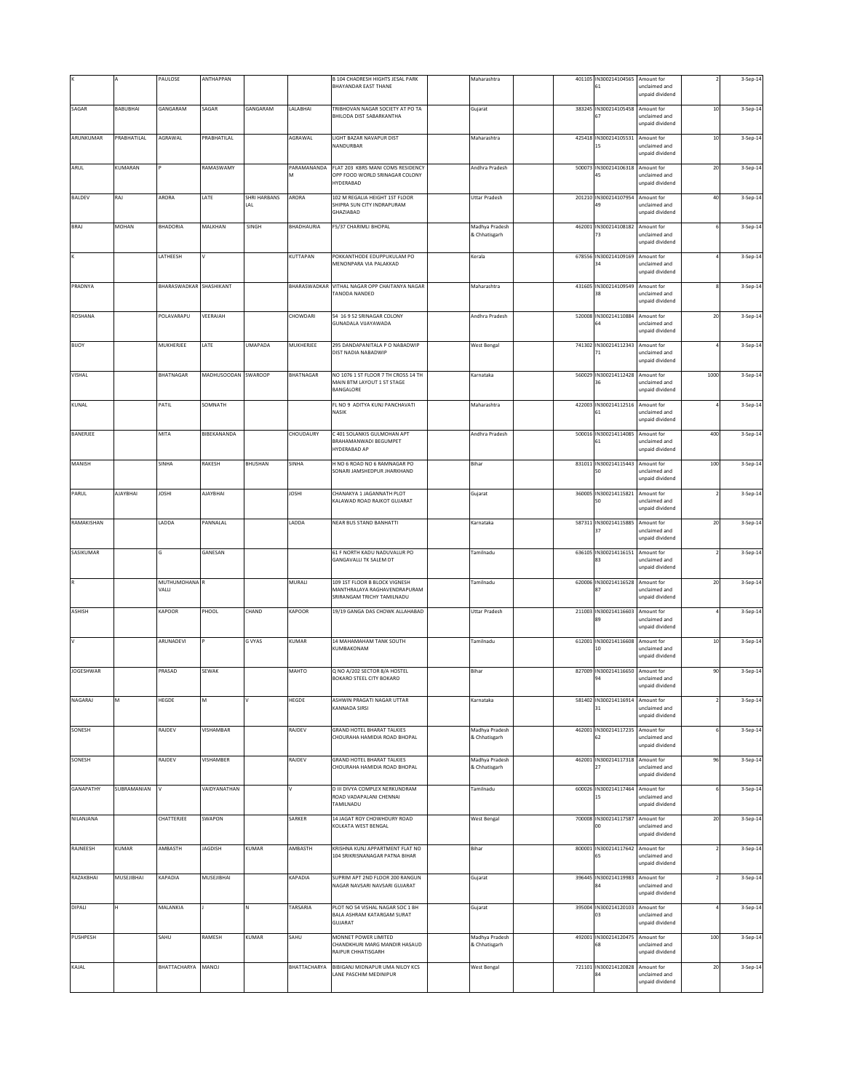|                  |             | PAULOSE                     | ANTHAPPAN           |                     |                  | B 104 CHADRESH HIGHTS JESAL PARK<br>BHAYANDAR EAST THANE                                    | Maharashtra                     |        | 401105 IN300214104565 Amount for<br>61 | unclaimed and<br>unpaid dividend               |        | 3-Sep-14 |
|------------------|-------------|-----------------------------|---------------------|---------------------|------------------|---------------------------------------------------------------------------------------------|---------------------------------|--------|----------------------------------------|------------------------------------------------|--------|----------|
| SAGAR            | BABUBHAI    | GANGARAM                    | SAGAR               | GANGARAM            | LALABHAI         | TRIBHOVAN NAGAR SOCIETY AT PO TA<br>BHILODA DIST SABARKANTHA                                | Gujarat                         | 383245 | IN300214105458                         | Amount for<br>unclaimed and<br>unpaid dividend | $10$   | 3-Sep-14 |
| ARUNKUMAR        | PRABHATILAL | AGRAWAL                     | PRABHATILAL         |                     | AGRAWAL          | LIGHT BAZAR NAVAPUR DIST<br>NANDURBAR                                                       | Maharashtra                     |        | 425418 IN300214105531 Amount for<br>١S | unclaimed and<br>unpaid dividend               | $10\,$ | 3-Sep-14 |
| ARUL             | KUMARAN     |                             | RAMASWAMY           |                     | PARAMANANDA<br>м | FLAT 203 KBRS MANI COMS RESIDENCY<br>OPP FOOD WORLD SRINAGAR COLONY<br>HYDERABAD            | Andhra Pradesh                  | 500073 | IN300214106318 Amount for<br>45        | unclaimed and<br>unpaid dividend               | 20     | 3-Sep-14 |
| <b>BALDEV</b>    | RAJ         | ARORA                       | LATE                | SHRI HARBANS<br>LAL | ARORA            | 102 M REGALIA HEIGHT 1ST FLOOR<br>SHIPRA SUN CITY INDRAPURAM<br>GHAZIABAD                   | <b>Uttar Pradesh</b>            |        | 201210 IN300214107954<br>49            | Amount for<br>unclaimed and<br>unpaid dividend | 40     | 3-Sep-14 |
| <b>BRAJ</b>      | MOHAN       | <b>BHADORIA</b>             | MALKHAN             | SINGH               | BHADHAURIA       | F5/37 CHARIMLI BHOPAL                                                                       | Madhya Pradesh<br>& Chhatisgarh |        | 462001 IN300214108182 Amount for<br>73 | unclaimed and<br>unpaid dividend               |        | 3-Sep-14 |
|                  |             | LATHEESH                    |                     |                     | KUTTAPAN         | POKKANTHODE EDUPPUKULAM PO<br>MENONPARA VIA PALAKKAD                                        | Kerala                          | 678556 | IN300214109169<br>34                   | Amount for<br>unclaimed and<br>unpaid dividend |        | 3-Sep-14 |
| PRADNYA          |             | BHARASWADKAR SHASHIKANT     |                     |                     | BHARASWADKAR     | VITHAL NAGAR OPP CHAITANYA NAGAR<br><b>FANODA NANDED</b>                                    | Maharashtra                     | 431605 | IN300214109549<br>38                   | Amount for<br>unclaimed and<br>unpaid dividend |        | 3-Sep-14 |
| ROSHANA          |             | POLAVARAPU                  | VEERAIAH            |                     | CHOWDARI         | 54 16 9 52 SRINAGAR COLONY<br><b>GUNADALA VIJAYAWADA</b>                                    | Andhra Pradesh                  | 520008 | IN300214110884 Amount for<br>54        | unclaimed and<br>unpaid dividend               | $20\,$ | 3-Sep-14 |
| BIJOY            |             | <b>MUKHERJEE</b>            | LATE                | <b>UMAPADA</b>      | MUKHERJEE        | 295 DANDAPANITALA P O NABADWIP<br>DIST NADIA NABADWIP                                       | <b>West Bengal</b>              |        | 741302 IN300214112343 Amount for<br>71 | unclaimed and<br>unpaid dividend               |        | 3-Sep-14 |
| VISHAL           |             | <b>BHATNAGAR</b>            | MADHUSOODAN SWAROOP |                     | BHATNAGAR        | NO 1076 1 ST FLOOR 7 TH CROSS 14 TH<br>MAIN BTM LAYOUT 1 ST STAGE<br><b>BANGALORE</b>       | Karnataka                       | 560029 | IN300214112428<br>36                   | Amount for<br>unclaimed and<br>unpaid dividend | 1000   | 3-Sep-14 |
| KUNAL            |             | PATIL                       | SOMNATH             |                     |                  | FL NO 9 ADITYA KUNJ PANCHAVATI<br>NASIK                                                     | Maharashtra                     | 422003 | IN300214112516 Amount for<br>61        | unclaimed and<br>unpaid dividend               |        | 3-Sep-14 |
| BANERJEE         |             | MITA                        | BIBEKANANDA         |                     | CHOUDAURY        | C 401 SOLANKIS GULMOHAN APT<br><b>BRAHAMANWADI BEGUMPET</b><br>HYDERABAD AP                 | Andhra Pradesh                  | 500016 | IN300214114085<br>61                   | Amount for<br>unclaimed and<br>unpaid dividend | 400    | 3-Sep-14 |
| MANISH           |             | SINHA                       | RAKESH              | BHUSHAN             | SINHA            | H NO 6 ROAD NO 6 RAMNAGAR PO<br>SONARI JAMSHEDPUR JHARKHAND                                 | Bihar                           |        | 831011 IN300214115443 Amount for<br>50 | unclaimed and<br>unpaid dividend               | 100    | 3-Sep-14 |
| PARUL            | AJAYBHAI    | <b>JOSHI</b>                | <b>AJAYBHAI</b>     |                     | <b>JOSHI</b>     | CHANAKYA 1 JAGANNATH PLOT<br>KALAWAD ROAD RAJKOT GUJARAT                                    | Gujarat                         |        | 360005 IN300214115821 Amount for<br>50 | unclaimed and<br>unpaid dividend               |        | 3-Sep-14 |
| RAMAKISHAN       |             | LADDA                       | PANNALAL            |                     | LADDA            | NEAR BUS STAND BANHATTI                                                                     | Karnataka                       | 587311 | IN300214115885<br>37                   | Amount for<br>unclaimed and<br>unpaid dividend | 20     | 3-Sep-14 |
| SASIKUMAR        |             | G                           | GANESAN             |                     |                  | 61 F NORTH KADU NADUVALUR PO<br>GANGAVALLI TK SALEM DT                                      | Tamilnadu                       | 636105 | IN300214116151                         | Amount for<br>inclaimed and<br>unpaid dividend |        | 3-Sep-14 |
|                  |             | <b>MUTHUMOHANA</b><br>VALLI |                     |                     | MURALI           | 109 1ST FLOOR B BLOCK VIGNESH<br>MANTHRALAYA RAGHAVENDRAPURAM<br>SRIRANGAM TRICHY TAMILNADU | Tamilnadu                       | 620006 | IN300214116528<br>87                   | Amount for<br>unclaimed and<br>unpaid dividend | $20\,$ | 3-Sep-14 |
| ASHISH           |             | KAPOOR                      | PHOOL               | CHAND               | KAPOOR           | 19/19 GANGA DAS CHOWK ALLAHABAD                                                             | <b>Uttar Pradesh</b>            |        | 211003 IN300214116603<br>89            | Amount for<br>unclaimed and<br>unpaid dividend |        | 3-Sep-14 |
|                  |             | ARUNADEVI                   |                     | G VYAS              | KUMAR            | 14 MAHAMAHAM TANK SOUTH<br>KUMBAKONAM                                                       | Tamilnadu                       |        | 612001 IN300214116608<br>10            | Amount for<br>unclaimed and<br>unpaid dividend | $10\,$ | 3-Sep-14 |
| <b>JOGESHWAR</b> |             | PRASAD                      | SEWAK               |                     | MAHTO            | Q NO A/202 SECTOR 8/A HOSTEL<br>BOKARO STEEL CITY BOKARO                                    | Bihar                           |        | 827009 IN300214116650 Amount for<br>94 | unclaimed and<br>unpaid dividend               | 90     | 3-Sep-14 |
| NAGARAJ          | м           | HEGDE                       |                     |                     | HEGDE            | ASHWIN PRAGATI NAGAR UTTAR<br>KANNADA SIRSI                                                 | Karnataka                       | 581402 | IN300214116914 Amount for<br>31        | unclaimed and<br>unpaid dividend               |        | 3-Sep-14 |
| SONESH           |             | RAJDEV                      | VISHAMBAR           |                     | RAJDEV           | <b>GRAND HOTEL BHARAT TALKIES</b><br>CHOURAHA HAMIDIA ROAD BHOPAL                           | Madhya Pradesh<br>& Chhatisgarh | 462001 | IN300214117235<br>52                   | Amount for<br>unclaimed and<br>unpaid dividend |        | 3-Sep-14 |
| SONESH           |             | RAJDEV                      | VISHAMBER           |                     | RAJDEV           | <b>GRAND HOTEL BHARAT TALKIES</b><br>CHOURAHA HAMIDIA ROAD BHOPAL                           | Madhya Pradesh<br>& Chhatisgarh |        | 462001 IN300214117318                  | Amount for<br>unclaimed and<br>unpaid dividend | 96     | 3-Sep-14 |
| GANAPATHY        | SUBRAMANIAN | l٧                          | VAIDYANATHAN        |                     |                  | D III DIVYA COMPLEX NERKUNDRAM<br>ROAD VADAPALANI CHENNAI<br>TAMILNADU                      | Tamilnadu                       | 600026 | IN300214117464 Amount for<br>15        | unclaimed and<br>unpaid dividend               |        | 3-Sep-14 |
| NILANJANA        |             | CHATTERJEE                  | <b>SWAPON</b>       |                     | SARKER           | 14 JAGAT ROY CHOWHDURY ROAD<br>KOLKATA WEST BENGAL                                          | <b>West Bengal</b>              |        | 700008 IN300214117587<br>OO            | Amount for<br>unclaimed and<br>unpaid dividend | 20     | 3-Sep-14 |
| RAJNEESH         | KUMAR       | AMBASTH                     | <b>JAGDISH</b>      | KUMAR               | AMBASTH          | KRISHNA KUNJ APPARTMENT FLAT NO<br>104 SRIKRISNANAGAR PATNA BIHAR                           | Bihar                           |        | 800001 IN300214117642 Amount for<br>65 | unclaimed and<br>unpaid dividend               |        | 3-Sep-14 |
| RAZAKBHAI        | MUSEJIBHAI  | KAPADIA                     | MUSEJIBHAI          |                     | KAPADIA          | SUPRIM APT 2ND FLOOR 200 RANGUN<br>NAGAR NAVSARI NAVSARI GUJARAT                            | Gujarat                         |        | 396445 IN300214119983 Amount for<br>R4 | unclaimed and<br>unpaid dividend               |        | 3-Sep-14 |
| DIPALI           |             | MALANKIA                    |                     |                     | TARSARIA         | PLOT NO 54 VISHAL NAGAR SOC 1 BH<br>BALA ASHRAM KATARGAM SURAT<br>GUJARAT                   | Gujarat                         | 395004 | IN300214120103                         | Amount for<br>inclaimed and<br>unpaid dividend |        | 3-Sep-14 |
| PUSHPESH         |             | SAHU                        | RAMESH              | KUMAR               | SAHU             | MONNET POWER LIMITED<br>CHANDKHURI MARG MANDIR HASAUD<br>RAIPUR CHHATISGARH                 | Madhya Pradesh<br>& Chhatisgarh | 492001 | IN300214120475<br>58                   | Amount for<br>unclaimed and<br>unpaid dividend | 100    | 3-Sep-14 |
| KAJAL            |             | BHATTACHARYA                | <b>LOVAM</b>        |                     | BHATTACHARYA     | BIBIGANJ MIDNAPUR UMA NILOY KCS<br>LANE PASCHIM MEDINIPUR                                   | West Bengal                     |        | 721101 IN300214120828<br>R4            | Amount for<br>unclaimed and<br>unpaid dividend | $20\,$ | 3-Sep-14 |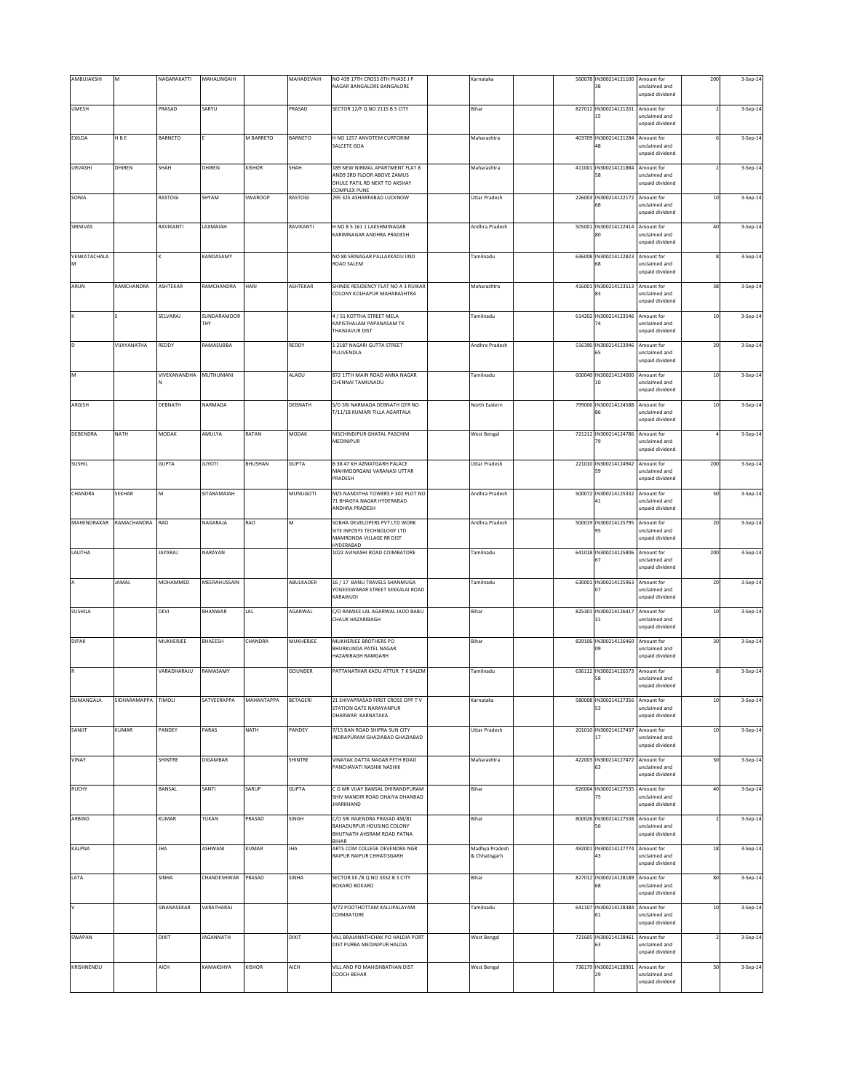| AMBUJAKSHI        | M            | NAGARAKATTI  | MAHALINGAIH        |            | MAHADEVAIH   | NO 439 17TH CROSS 6TH PHASE J P<br>NAGAR BANGALORE BANGALORE                                                          | Karnataka                       | 560078 | IN300214121100 Amount for<br>38        | unclaimed and<br>unpaid dividend                      | 200    | 3-Sep-14 |
|-------------------|--------------|--------------|--------------------|------------|--------------|-----------------------------------------------------------------------------------------------------------------------|---------------------------------|--------|----------------------------------------|-------------------------------------------------------|--------|----------|
| <b>UMESH</b>      |              | PRASAD       | SARYU              |            | PRASAD       | SECTOR 12/F Q NO 2115 B S CITY                                                                                        | Bihar                           | 827012 | IN300214121201<br>15                   | Amount for<br>unclaimed and<br>unpaid dividend        |        | 3-Sep-14 |
| <b>EXILDA</b>     | H B E        | BARNETO      |                    | M BARRETO  | BARNETO      | H NO 1257 ANVOTEM CURTORIM<br>SALCETE GOA                                                                             | Maharashtra                     |        | 403709 IN300214121284 Amount for       | unclaimed and<br>unpaid dividend                      |        | 3-Sep-14 |
| URVASHI           | DHIREN       | SHAH         | DHIREN             | KISHOR     | SHAH         | 189 NEW NIRMAL APARTMENT FLAT 8<br>AND9 3RD FLOOR ABOVE ZAMUS<br>DHULE PATIL RD NEXT TO AKSHAY<br><b>COMPLEX PUNE</b> | Maharashtra                     |        | 411001 IN300214121884                  | Amount for<br>unclaimed and<br>unpaid dividend        |        | 3-Sep-14 |
| SONIA             |              | RASTOGI      | SHYAM              | SWAROOP    | RASTOGI      | 295 325 ASHARFABAD LUCKNOW                                                                                            | <b>Uttar Pradesh</b>            | 226003 | IN300214122172<br>58                   | Amount for<br>unclaimed and<br>unpaid dividend        | $10$   | 3-Sep-14 |
| SRINIVAS          |              | RAVIKANTI    | LAXMAIAH           |            | RAVIKANTI    | H NO 8 5 161 1 LAKSHMINAGAR<br>KARIMNAGAR ANDHRA PRADESH                                                              | Andhra Pradesh                  |        | 505001 IN300214122414 Amount for<br>80 | unclaimed and<br>unpaid dividend                      | $40\,$ | 3-Sep-14 |
| VENKATACHALA<br>м |              |              | KANDASAMY          |            |              | NO 80 SRINAGAR PALLAKKADU IIND<br>ROAD SALEM                                                                          | Tamilnadu                       | 636008 | IN300214122823                         | Amount for<br>unclaimed and<br>unpaid dividend        |        | 3-Sep-14 |
| ARUN              | RAMCHANDRA   | ASHTEKAR     | RAMCHANDRA         | HARJ       | ASHTEKAR     | SHINDE RESIDENCY FLAT NO A 3 RUIKAR<br>COLONY KOLHAPUR MAHARASHTRA                                                    | Maharashtra                     | 416001 | IN300214123513 Amount for<br>83        | unclaimed and<br>unpaid dividend                      | 38     | 3-Sep-14 |
|                   |              | SELVARAJ     | SUNDARAMOOR<br>THY |            |              | 4 / 51 KOTTHA STREET MELA<br>KAPISTHALAM PAPANASAM TK<br>THANJAVUR DIST                                               | Tamilnadu                       | 614202 | IN300214123546 Amount for<br>74        | unclaimed and<br>unpaid dividend                      | $10\,$ | 3-Sep-14 |
| D                 | VIJAYANATHA  | REDDY        | RAMASUBBA          |            | REDDY        | 1 2187 NAGARI GUTTA STREET<br>PULIVENDLA                                                                              | Andhra Pradesh                  | 516390 | IN300214123946 Amount for              | unclaimed and<br>unpaid dividend                      | 20     | 3-Sep-14 |
| M                 |              | VIVEKANANDHA | MUTHUMANI          |            | ALAGU        | 872 17TH MAIN ROAD ANNA NAGAR<br>CHENNAI TAMILNADU                                                                    | Tamilnadu                       | 600040 | IN300214124000<br>10                   | Amount for<br>unclaimed and<br>unpaid dividend        | $10$   | 3-Sep-14 |
| ARGISH            |              | DEBNATH      | NARMADA            |            | DEBNATH      | S/O SRI NARMADA DEBNATH QTR NO<br>T/11/18 KUMARI TILLA AGARTALA                                                       | North Eastern                   | 799006 | IN300214124588                         | Amount for<br>unclaimed and<br>unpaid dividend        | $10\,$ | 3-Sep-14 |
| DEBENDRA          | NATH         | MODAK        | AMULYA             | RATAN      | MODAK        | NISCHINDIPUR GHATAL PASCHIM<br>MEDINIPUR                                                                              | <b>West Bengal</b>              | 721212 | IN300214124786<br>79                   | Amount for<br>unclaimed and<br>unpaid dividend        |        | 3-Sep-14 |
| <b>SUSHIL</b>     |              | GUPTA        | <b>ITOYUL</b>      | BHUSHAN    | <b>GUPTA</b> | <b>B 38 47 KH AZMATGARH PALACE</b><br>MAHMOORGANJ VARANASI UTTAR<br>PRADESH                                           | <b>Uttar Pradesh</b>            |        | 221010 IN300214124942 Amount for<br>59 | unclaimed and<br>unpaid dividend                      | 200    | 3-Sep-14 |
| CHANDRA           | SEKHAR       | M            | SITARAMAIAH        |            | MUNUGOTI     | M/S NANDITHA TOWERS F 302 PLOT NO<br>71 BHAGYA NAGAR HYDERABAD<br>ANDHRA PRADESH                                      | Andhra Pradesh                  | 500072 | IN300214125332 Amount for<br>41        | unclaimed and<br>unpaid dividend                      | 50     | 3-Sep-14 |
| MAHENDRAKAR       | RAMACHANDRA  | RAO          | NAGARAJA           | RAO        | M            | SOBHA DEVELOPERS PVT LTD WORK<br>SITE INFOSYS TECHNOLOGY LTD<br>MAMRONDA VILLAGE RR DIST                              | Andhra Pradesh                  | 500019 | IN300214125795<br>95                   | Amount for<br>unclaimed and<br>unpaid dividend        | 20     | 3-Sep-14 |
| LALITHA           |              | JAYARAJ      | NARAYAN            |            |              | HYDERABAD<br>1022 AVINASHI ROAD COIMBATORE                                                                            | Tamilnadu                       | 641018 | IN300214125806                         | Amount for<br><b>inclaimed</b> and<br>unpaid dividend | 200    | 3-Sep-14 |
|                   | <b>JAMAL</b> | MOHAMMED     | MEERAHUSSAIN       |            | ABULKADER    | 16 / 17 BANU TRAVELS SHANMUGA<br>YOGEESWARAR STREET SEKKALAI ROAD<br>KARAIKUDI                                        | Tamilnadu                       | 630001 | IN300214125963<br>07                   | Amount for<br>unclaimed and<br>unpaid dividend        | $20\,$ | 3-Sep-14 |
| <b>SUSHILA</b>    |              | DEVI         | BHANWAR            | LAL        | AGARWAL      | C/O RAMJEE LAL AGARWAL JADO BABU<br>CHAUK HAZARIBAGH                                                                  | Bihar                           |        | 825301 IN300214126417 Amount for<br>31 | unclaimed and<br>unpaid dividend                      | $10\,$ | 3-Sep-14 |
| <b>DIPAK</b>      |              | MUKHERJEE    | BHAEESH            | CHANDRA    | MUKHERJEE    | MUKHERJEE BROTHERS PO<br>BHURKUNDA PATEL NAGAR<br>HAZARIRAGH RAMGARH                                                  | Bihar                           |        | 829106 IN300214126460<br>09            | Amount for<br>unclaimed and<br>unpaid dividend        | 30     | 3-Sep-14 |
|                   |              | VARADHARAJU  | RAMASAMY           |            | GOUNDER      | PATTANATHAR KADU ATTUR T K SALEM                                                                                      | Tamilnadu                       |        | 636112 IN300214126573 Amount for<br>58 | unclaimed and<br>unpaid dividend                      |        | 3-Sep-14 |
| SUMANGALA         | SIDHARAMAPPA | TIMOLI       | SATVEERAPPA        | MAHANTAPPA | BETAGERI     | 21 SHIVAPRASAD FIRST CROSS OPP TV<br>STATION GATE NARAYANPUR<br>DHARWAR KARNATAKA                                     | Karnataka                       | 580008 | IN300214127356                         | Amount for<br>unclaimed and<br>unpaid dividend        | $10\,$ | 3-Sep-14 |
| SANJIT            | KUMAR        | PANDEY       | PARAS              | NATH       | PANDEY       | 7/15 BAN ROAD SHIPRA SUN CITY<br>INDRAPURAM GHAZIABAD GHAZIABAD                                                       | <b>Uttar Pradesh</b>            | 201010 | IN300214127437<br>17                   | Amount for<br>unclaimed and<br>unpaid dividend        | 10     | 3-Sep-14 |
| VINAY             |              | SHINTRE      | DIGAMBAR           |            | SHINTRE      | VINAYAK DATTA NAGAR PETH ROAD<br>PANCHAVATI NASHIK NASHIK                                                             | Maharashtra                     |        | 422003 IN300214127472 Amount for<br>63 | unclaimed and<br>unpaid dividend                      | 50     | 3-Sep-14 |
| <b>RUCHY</b>      |              | BANSAL       | SANTI              | SARUP      | <b>GUPTA</b> | C O MR VIJAY BANSAL DHIRANDPURAM<br>SHIV MANDIR ROAD DHAIYA DHANRAD<br><b>IHARKHAND</b>                               | Bihar                           | 826004 | IN300214127535<br>75                   | Amount for<br>unclaimed and<br>unpaid dividend        | $40\,$ | 3-Sep-14 |
| ARBIND            |              | <b>KUMAR</b> | TUKAN              | PRASAD     | SINGH        | C/O SRI RAJENDRA PRASAD 4M/81<br>BAHADURPUR HOUSING COLONY<br>BHUTNATH AHSRAM ROAD PATNA<br><b>BIHAR</b>              | Bihar                           |        | 800026 IN300214127538<br>56            | Amount for<br>unclaimed and<br>unpaid dividend        |        | 3-Sep-14 |
| KALPNA            |              | <b>JHA</b>   | ASHWANI            | KUMAR      | <b>JHA</b>   | ARTS COM COLLEGE DEVENDRA NGR<br>RAIPUR RAIPUR CHHATISGARH                                                            | Madhya Pradesh<br>& Chhatisgarh |        | 492001 IN300214127774 Amount for<br>43 | unclaimed and<br>unpaid dividend                      | $18\,$ | 3-Sep-14 |
| LATA              |              | SINHA        | CHANDESHWAR PRASAD |            | SINHA        | SECTOR XII /B Q NO 3352 B S CITY<br><b>BOKARO BOKARO</b>                                                              | Bihar                           |        | 827012 IN300214128189 Amount for<br>68 | unclaimed and<br>unpaid dividend                      | 80     | 3-Sep-14 |
| $\vee$            |              | GNANASEKAR   | VARATHARAJ         |            |              | 4/72 POOTHOTTAM KALLIPALAYAM<br>COIMBATORE                                                                            | Tamilnadu                       | 641107 | IN300214128384                         | Amount for<br>inclaimed and<br>unpaid dividend        | $10$   | 3-Sep-14 |
| SWAPAN            |              | DIXIT        | <b>JAGANNATH</b>   |            | <b>DIXIT</b> | VILL BRAJANATHCHAK PO HALDIA PORT<br>DIST PURBA MEDINIPUR HALDIA                                                      | <b>West Bengal</b>              | 721605 | IN300214128461<br>63                   | Amount for<br>unclaimed and<br>inpaid dividend        |        | 3-Sep-14 |
| KRISHNENDU        |              | AICH         | KAMAKSHYA          | KISHOR     | AICH         | VILL AND PO MAHISHBATHAN DIST<br>COOCH BEHAR                                                                          | <b>West Bengal</b>              |        | 736179 IN300214128901 Amount for<br>29 | unclaimed and<br>unpaid dividend                      | 50     | 3-Sep-14 |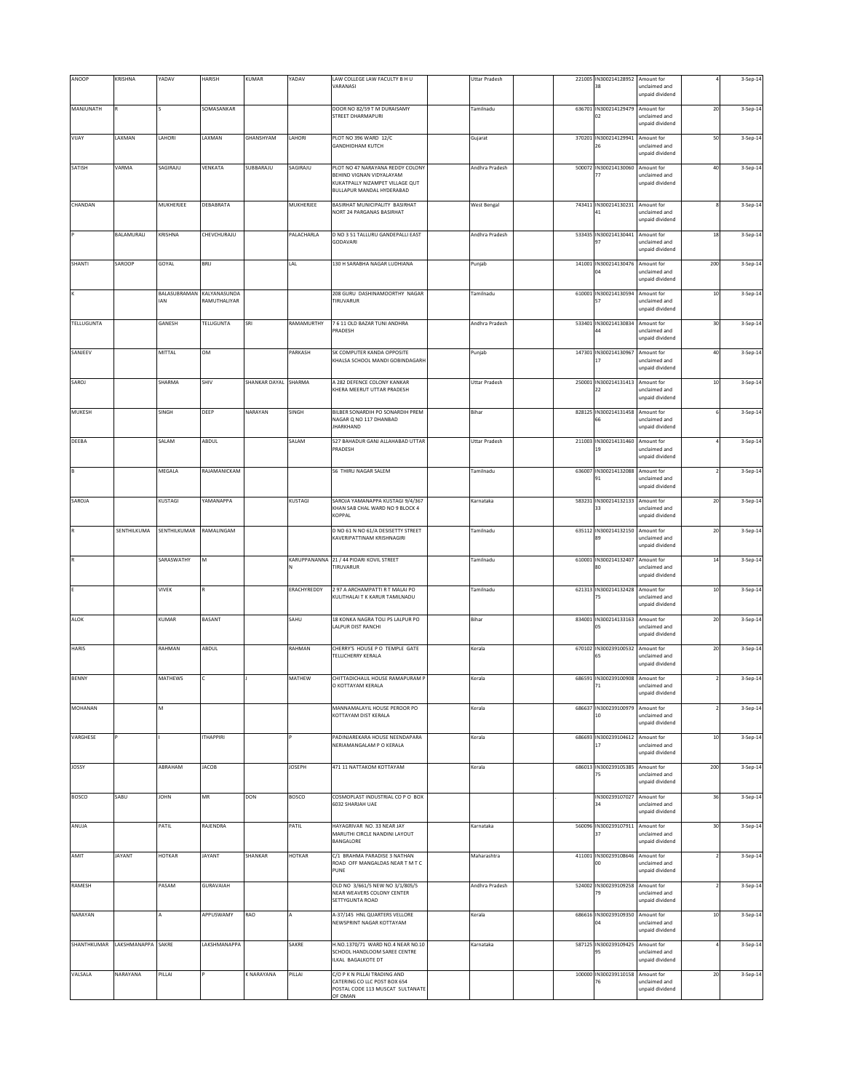| ANOOP             | KRISHNA                        | YADAV                                   | <b>HARISH</b>    | KUMAR                | YADAV         | LAW COLLEGE LAW FACULTY B H U<br>VARANASI                                                                                    | <b>Uttar Pradesh</b> |        | 221005 IN300214128952<br>38            | Amount for<br>unclaimed and<br>unpaid dividend |        | 3-Sep-14 |
|-------------------|--------------------------------|-----------------------------------------|------------------|----------------------|---------------|------------------------------------------------------------------------------------------------------------------------------|----------------------|--------|----------------------------------------|------------------------------------------------|--------|----------|
| MANJUNATH         |                                |                                         | SOMASANKAR       |                      |               | DOOR NO 82/59 T M DURAISAMY<br>STREET DHARMAPURI                                                                             | Tamilnadu            | 636701 | IN300214129479<br>02                   | Amount for<br>unclaimed and<br>unpaid dividend | 20     | 3-Sep-14 |
| VIJAY             | LAXMAN                         | LAHORI                                  | LAXMAN           | GHANSHYAM            | LAHORI        | PLOT NO 396 WARD 12/C<br><b>GANDHIDHAM KUTCH</b>                                                                             | Gujarat              | 370201 | IN300214129941 Amount for<br>26        | unclaimed and<br>unpaid dividend               | 50     | 3-Sep-14 |
| SATISH            | VARMA                          | SAGIRAJU                                | VENKATA          | SUBBARAJU            | SAGIRAJU      | PLOT NO 47 NARAYANA REDDY COLONY<br>BEHIND VIGNAN VIDYALAYAM<br>KUKATPALLY NIZAMPET VILLAGE QUT<br>BULLAPUR MANDAL HYDERABAD | Andhra Pradesh       | 500072 | IN300214130060 Amount for<br>77        | unclaimed and<br>unpaid dividend               | 40     | 3-Sep-14 |
| CHANDAN           |                                | MUKHERJEE                               | DEBABRATA        |                      | MUKHERJEE     | BASIRHAT MUNICIPALITY BASIRHAT<br>NORT 24 PARGANAS BASIRHAT                                                                  | <b>West Bengal</b>   | 743411 | IN300214130231 Amount for<br>41        | inclaimed and<br>unpaid dividend               |        | 3-Sep-14 |
|                   | BALAMURALI                     | KRISHNA                                 | CHEVCHURAJU      |                      | PALACHARLA    | D NO 3 51 TALLURU GANDEPALLI EAST<br>GODAVARI                                                                                | Andhra Pradesh       | 533435 | IN300214130441<br>97                   | Amount for<br>unclaimed and<br>unpaid dividend | 18     | 3-Sep-14 |
| SHANTI            | SAROOP                         | GOYAL                                   | <b>BRIJ</b>      |                      | LAL           | 130 H SARABHA NAGAR LUDHIANA                                                                                                 | Punjab               | 141001 | IN300214130476<br>04                   | Amount for<br>unclaimed and<br>unpaid dividend | 200    | 3-Sep-14 |
|                   |                                | BALASUBRAMAN KALYANASUNDA<br><b>IAN</b> | RAMUTHALIYAR     |                      |               | 208 GURU DASHINAMOORTHY NAGAR<br>TIRUVARUR                                                                                   | Tamilnadu            | 610001 | IN300214130594<br>57                   | Amount for<br>unclaimed and<br>unpaid dividend | $10\,$ | 3-Sep-14 |
| <b>TELLUGUNTA</b> |                                | GANESH                                  | <b>TELUGUNTA</b> | SRI                  | RAMAMURTHY    | 7 6 11 OLD BAZAR TUNI ANDHRA<br>PRADESH                                                                                      | Andhra Pradesh       | 533401 | IN300214130834<br>$\overline{a}$       | Amount for<br>unclaimed and<br>unpaid dividend | 30     | 3-Sep-14 |
| SANJEEV           |                                | MITTAL                                  | Том              |                      | PARKASH       | SK COMPUTER KANDA OPPOSITE<br>KHALSA SCHOOL MANDI GOBINDAGARH                                                                | Punjab               | 147301 | IN300214130967 Amount for              | unclaimed and<br>unpaid dividend               | 40     | 3-Sep-14 |
| SAROJ             |                                | SHARMA                                  | SHIV             | SHANKAR DAYAL SHARMA |               | A 282 DEFENCE COLONY KANKAR<br>KHERA MEERUT UTTAR PRADESH                                                                    | <b>Uttar Pradesh</b> | 250001 | IN300214131413 Amount for<br>22        | unclaimed and<br>unpaid dividend               | $10\,$ | 3-Sep-14 |
| MUKESH            |                                | SINGH                                   | DEEP             | NARAYAN              | SINGH         | BILBER SONARDIH PO SONARDIH PREM<br>NAGAR Q NO 117 DHANBAD<br><b>JHARKHAND</b>                                               | Bihar                | 828125 | IN300214131458                         | Amount for<br>inclaimed and<br>unpaid dividend |        | 3-Sep-14 |
| DEEBA             |                                | SALAM                                   | ABDUL            |                      | SALAM         | 527 BAHADUR GANJ ALLAHABAD UTTAR<br>PRADESH                                                                                  | <b>Uttar Pradesh</b> | 211003 | IN300214131460<br>19                   | Amount for<br>unclaimed and<br>unpaid dividend |        | 3-Sep-14 |
| B                 |                                | MEGALA                                  | RAJAMANICKAM     |                      |               | 56 THIRU NAGAR SALEM                                                                                                         | Tamilnadu            | 636007 | IN300214132088<br>91                   | Amount for<br>unclaimed and<br>unpaid dividend |        | 3-Sep-14 |
| SAROJA            |                                | KUSTAGI                                 | YAMANAPPA        |                      | KUSTAGI       | SAROJA YAMANAPPA KUSTAGI 9/4/367<br>KHAN SAB CHAL WARD NO 9 BLOCK 4<br>KOPPAL                                                | Karnataka            | 583231 | IN300214132133 Amount for<br>33        | unclaimed and<br>unpaid dividend               | 20     | 3-Sep-14 |
|                   | SENTHILKUMA                    | SENTHILKUMAR RAMALINGAM                 |                  |                      |               | D NO 61 N NO 61/A DESISETTY STREET<br>KAVERIPATTINAM KRISHNAGIRI                                                             | Tamilnadu            | 635112 | IN300214132150 Amount for<br>89        | unclaimed and<br>unpaid dividend               | $20\,$ | 3-Sep-14 |
|                   |                                | SARASWATHY                              | lм               |                      |               | KARUPPANANNA 21 / 44 PIDARI KOVIL STREET<br>TIRUVARUR                                                                        | Tamilnadu            |        | 610001 IN300214132407 Amount for<br>RΩ | unclaimed and<br>unpaid dividend               | $14\,$ | 3-Sep-14 |
|                   |                                | <b>VIVEK</b>                            |                  |                      | ERACHYREDDY   | 2 97 A ARCHAMPATTI R T MALAI PO<br>KULITHALAI T K KARUR TAMILNADU                                                            | Tamilnadu            | 621313 | IN300214132428<br>75                   | Amount for<br>unclaimed and<br>unpaid dividend | $10$   | 3-Sep-14 |
| ALOK              |                                | KUMAR                                   | <b>BASANT</b>    |                      | SAHU          | 18 KONKA NAGRA TOLI PS LALPUR PO<br>LALPUR DIST RANCHI                                                                       | Bihar                | 834001 | IN300214133163<br>DS                   | Amount for<br>unclaimed and<br>unpaid dividend | 20     | 3-Sep-14 |
| HARIS             |                                | RAHMAN                                  | ABDUL            |                      | RAHMAN        | CHERRY'S HOUSE P O TEMPLE GATE<br>TELLICHERRY KERALA                                                                         | Kerala               | 670102 | IN300239100532 Amount for<br>55        | unclaimed and<br>unpaid dividend               | 20     | 3-Sep-14 |
| <b>BENNY</b>      |                                | MATHEWS                                 | lc               |                      | MATHEW        | CHITTADICHALIL HOUSE RAMAPURAM P<br>O KOTTAYAM KERALA                                                                        | Kerala               | 686591 | IN300239100908<br>71                   | Amount for<br>unclaimed and<br>unpaid dividend |        | 3-Sep-14 |
| MOHANAN           |                                | м                                       |                  |                      |               | MANNAMALAYIL HOUSE PEROOR PO<br>KOTTAYAM DIST KERALA                                                                         | Kerala               | 686637 | IN300239100979 Amount for<br>10        | unclaimed and<br>unpaid dividend               |        | 3-Sep-14 |
| VARGHESE          |                                |                                         | <b>ITHAPPIRI</b> |                      |               | PADINJAREKARA HOUSE NEENDAPARA<br>NERIAMANGALAM P O KERALA                                                                   | Kerala               | 686693 | IN300239104612 Amount for<br>17        | unclaimed and<br>unpaid dividend               | $10\,$ | 3-Sep-14 |
| JOSSY             |                                | ABRAHAM                                 | JACOB            |                      | <b>JOSEPH</b> | 471 11 NATTAKOM KOTTAYAM                                                                                                     | Kerala               |        | 686013 IN300239105385                  | Amount for<br>inclaimed and<br>unpaid dividend | 200    | 3-Sep-14 |
| BOSCO             | SABU                           | <b>NHOL</b>                             | MR               | DON                  | BOSCO         | COSMOPLAST INDUSTRIAL CO P O BOX<br>6032 SHARJAH UAE                                                                         |                      |        | IN300239107027<br>34                   | Amount for<br>unclaimed and<br>unpaid dividend | 36     | 3-Sep-14 |
| ANUJA             |                                | PATIL                                   | RAJENDRA         |                      | PATIL         | HAYAGRIVAR NO. 33 NEAR JAY<br>MARUTHI CIRCLE NANDINI LAYOUT<br>BANGALORE                                                     | Karnataka            | 560096 | IN300239107911 Amount for<br>37        | unclaimed and<br>unpaid dividend               | 30     | 3-Sep-14 |
| AMIT              | JAYANT                         | HOTKAR                                  | JAYANT           | SHANKAR              | <b>HOTKAR</b> | C/1 BRAHMA PARADISE 3 NATHAN<br>ROAD OFF MANGALDAS NEAR T M T C<br>PUNE                                                      | Maharashtra          | 411001 | IN300239108646<br>ŌŌ.                  | Amount for<br>unclaimed and<br>unpaid dividend |        | 3-Sep-14 |
| RAMESH            |                                | PASAM                                   | <b>GURAVAIAH</b> |                      |               | OLD NO 3/661/5 NEW NO 3/1/805/5<br>NEAR WEAVERS COLONY CENTER<br>SETTYGUNTA ROAD                                             | Andhra Pradesh       |        | 524002 IN300239109258 Amount for<br>79 | unclaimed and<br>unpaid dividend               |        | 3-Sep-14 |
| NARAYAN           |                                |                                         | APPUSWAMY        | RAO                  |               | A-37/145 HNL QUARTERS VELLORE<br>NEWSPRINT NAGAR KOTTAYAM                                                                    | Kerala               |        | 686616 IN300239109350 Amount for<br>04 | unclaimed and<br>unpaid dividend               | $10\,$ | 3-Sep-14 |
|                   | SHANTHKUMAR LAKSHMANAPPA SAKRE |                                         | LAKSHMANAPPA     |                      | SAKRE         | H.NO.1370/71 WARD NO.4 NEAR NO.10<br>SCHOOL HANDLOOM SAREE CENTRE<br>ILKAL BAGALKOTE DT                                      | <b>Carnataka</b>     |        | 587125 IN300239109425 Amount for<br>95 | unclaimed and<br>unpaid dividend               |        | 3-Sep-14 |
| VALSALA           | NARAYANA                       | PILLAI                                  |                  | K NARAYANA           | PILLAI        | C/O P K N PILLAI TRADING AND<br>CATERING CO LLC POST BOX 654<br>POSTAL CODE 113 MUSCAT SULTANATE<br>OF OMAN                  |                      |        | 100000 IN300239110158<br>76            | Amount for<br>unclaimed and<br>inpaid dividend | 20     | 3-Sep-14 |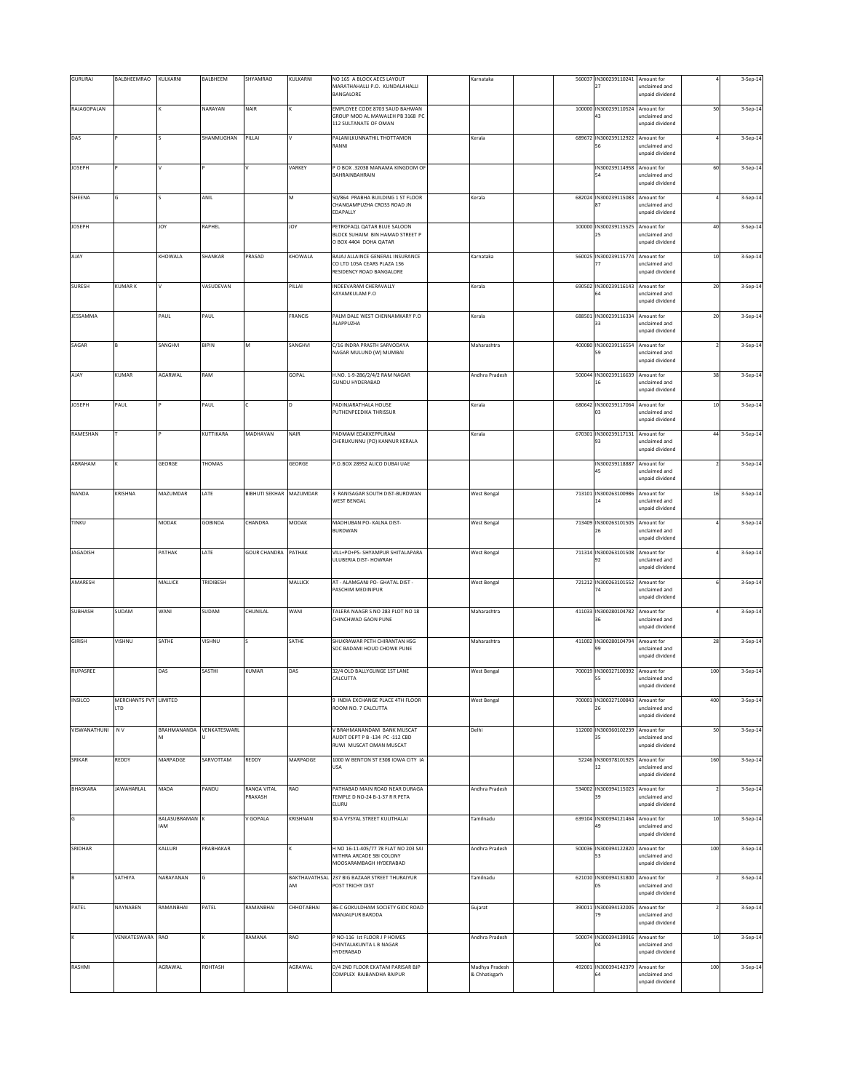| GURURAJ<br>BALBHEEMRAO<br>KULKARNI<br>BALBHEEM<br>SHYAMRAO<br>KULKARNI<br>NO 165 A BLOCK AECS LAYOUT<br>560037 IN300239110241 Amount for<br>3-Sep-14<br>Karnataka<br>MARATHAHALLI P.O. KUNDALAHALLI<br>27<br>unclaimed and<br>BANGALORE<br>unpaid dividend<br>RAJAGOPALAN<br>NARAYAN<br>EMPLOYEE CODE 8703 SAUD BAHWAN<br>100000<br>IN300239110524 Amount for<br>50<br>NAIR<br>3-Sep-14<br>GROUP MOD AL MAWALEH PB 3168 PC<br>43<br>unclaimed and<br>112 SULTANATE OF OMAN<br>unpaid dividend<br>DAS<br>SHANMUGHAN<br>PALANILKUNNATHIL THOTTAMON<br>689672<br>IN300239112922 Amount for<br>PILLAI<br>Kerala<br>3-Sep-14<br>RANNI<br>inclaimed and<br>unpaid dividend<br><b>JOSEPH</b><br>VARKEY<br>P O BOX .32038 MANAMA KINGDOM OF<br>IN300239114958<br>Amount for<br>60<br>3-Sep-14<br>BAHRAINBAHRAIN<br>unclaimed and<br>54<br>unpaid dividend<br>IN300239115083<br>SHEENA<br>ANIL<br>50/864 PRABHA BUILDING 1 ST FLOOR<br>682024<br>м<br>Kerala<br>Amount for<br>3-Sep-14<br>CHANGAMPUZHA CROSS ROAD JN<br>unclaimed and<br>87<br>EDAPALLY<br>unpaid dividend<br><b>JOSEPH</b><br>YOL<br>RAPHEL<br>PETROFAQL QATAR BLUE SALOON<br>100000<br>IN300239115525<br>YOL<br>Amount for<br>40<br>3-Sep-14<br>BLOCK SUHAIM BIN HAMAD STREET P<br>25<br>unclaimed and<br>O BOX 4404 DOHA QATAR<br>unpaid dividend<br>BAJAJ ALLAINCE GENERAL INSURANCE<br>AJAY<br>KHOWALA<br>SHANKAR<br>PRASAD<br>KHOWALA<br>560025<br>IN300239115774<br>$10$<br>Karnataka<br>Amount for<br>3-Sep-14<br>CO LTD 105A CEARS PLAZA 136<br>unclaimed and<br>RESIDENCY ROAD BANGALORE<br>unpaid dividend<br><b>SURESH</b><br><b>KUMARK</b><br>VASUDEVAN<br>PILLAI<br>690502 IN300239116143 Amount for<br>INDEEVARAM CHERAVALLY<br>20<br>lv<br>Kerala<br>3-Sep-14<br>KAYAMKULAM P.O<br>unclaimed and<br>unpaid dividend<br>JESSAMMA<br>PAUL<br>PAUL<br>FRANCIS<br>PALM DALE WEST CHENNAMKARY P.O<br>688501<br>IN300239116334 Amount for<br>$20\,$<br>Kerala<br>3-Sep-14<br>ALAPPUZHA<br>33<br>unclaimed and<br>unpaid dividend<br>SAGAR<br>SANGHVI<br>BIPIN<br>SANGHVI<br>C/16 INDRA PRASTH SARVODAYA<br>400080<br>IN300239116554<br>M<br>Maharashtra<br>Amount for<br>3-Sep-14<br>NAGAR MULUND (W) MUMBAI<br>inclaimed and<br>unpaid dividend<br>KUMAR<br>AGARWAL<br>RAM<br>GOPAL<br>IN300239116639<br>38<br>AJAY<br>H.NO. 1-9-286/2/4/2 RAM NAGAR<br>Andhra Pradesh<br>500044<br>Amount for<br>3-Sep-14<br><b>GUNDU HYDERABAD</b><br>16<br>unclaimed and<br>unpaid dividend<br><b>JOSEPH</b><br>PAUL<br>PAUL<br>PADINJARATHALA HOUSE<br>680642<br>IN300239117064 Amount for<br>c<br>D<br>Kerala<br>$10\,$<br>3-Sep-14<br>PUTHENPEEDIKA THRISSUR<br>03<br>unclaimed and<br>unpaid dividend<br>RAMESHAN<br>KUTTIKARA<br>MADHAVAN<br>NAIR<br>PADMAM EDAKKEPPURAM<br>670301<br>IN300239117131 Amount for<br>44<br>Kerala<br>3-Sep-14<br>CHERUKUNNU (PO) KANNUR KERALA<br>unclaimed and<br>93<br>unpaid dividend<br>ABRAHAM<br><b>GEORGE</b><br>THOMAS<br>GEORGE<br>IN300239118887 Amount for<br>P.O.BOX 28952 ALICO DUBAI UAE<br>3-Sep-14<br>45<br>unclaimed and<br>unpaid dividend<br>NANDA<br>KRISHNA<br>MAZUMDAR<br>LATE<br>BIBHUTI SEKHAR MAZUMDAR<br>3 RANISAGAR SOUTH DIST-BURDWAN<br><b>West Bengal</b><br>713101 IN300263100986 Amount for<br>$16\,$<br>3-Sep-14<br><b>WEST BENGAL</b><br>unclaimed and<br>14<br>unpaid dividend<br>TINKU<br>MODAK<br>GOBINDA<br>CHANDRA<br>MODAK<br>MADHUBAN PO- KALNA DIST-<br>713409<br>IN300263101505<br>Amount for<br><b>West Bengal</b><br>3-Sep-14<br><b>BURDWAN</b><br>unclaimed and<br>26<br>unpaid dividend<br>711314<br>IN300263101508<br><b>JAGADISH</b><br>PATHAK<br>LATE<br><b>GOUR CHANDRA</b><br>PATHAK<br>VILL+PO+PS- SHYAMPUR SHITALAPARA<br><b>West Bengal</b><br>Amount for<br>3-Sep-14<br>ULUBERIA DIST- HOWRAH<br>unclaimed and<br>92<br>unpaid dividend<br>AMARESH<br>MALLICK<br>TRIDIBESH<br>MALLICK<br>AT - ALAMGANJ PO- GHATAL DIST -<br><b>West Bengal</b><br>721212<br>IN300263101552 Amount for<br>3-Sep-14<br>PASCHIM MEDINIPUR<br>unclaimed and<br>74<br>unpaid dividend<br>SUBHASH<br>SUDAM<br>WANI<br>SUDAM<br>CHUNILAL<br>WANI<br>TALERA NAAGR S NO 283 PLOT NO 18<br>Maharashtra<br>411033 IN300280104782 Amount for<br>3-Sep-14<br>CHINCHWAD GAON PUNE<br>unclaimed and<br>36<br>unpaid dividend<br><b>GIRISH</b><br>VISHNU<br>SATHE<br>VISHNU<br>SATHE<br>SHUKRAWAR PETH CHIRANTAN HSG<br>411002 IN300280104794 Amount for<br>28<br>3-Sep-14<br>Maharashtra<br>SOC BADAMI HOUD CHOWK PUNE<br>unclaimed and<br>99<br>unpaid dividend<br>RUPASREE<br>32/4 OLD BALLYGUNGE 1ST LANE<br>700019 IN300327100392 Amount for<br>DAS<br>SASTHI<br><b>KUMAR</b><br>DAS<br><b>West Bengal</b><br>100<br>3-Sep-14<br>CALCUTTA<br>55<br>unclaimed and<br>unpaid dividend<br>INSILCO<br>MERCHANTS PVT LIMITED<br>9 INDIA EXCHANGE PLACE 4TH FLOOR<br>700001<br>IN300327100843<br>400<br><b>West Bengal</b><br>Amount for<br>3-Sep-14<br>LTD<br>ROOM NO. 7 CALCUTTA<br>unclaimed and<br>unpaid dividend<br>VISWANATHUNI<br>VENKATESWARL<br>V BRAHMANANDAM BANK MUSCAT<br>N V<br>BRAHMANANDA<br>112000 IN300360102239<br>Delhi<br>Amount for<br>50<br>3-Sep-14<br>AUDIT DEPT P B -134 PC -112 CBD<br>35<br>unclaimed and<br>м<br>RUWI MUSCAT OMAN MUSCAT<br>unpaid dividend<br>SARVOTTAM<br>MARPADGE<br>1000 W BENTON ST E308 IOWA CITY IA<br>SRIKAR<br>REDDY<br>MARPADGE<br>REDDY<br>52246 IN300378101925 Amount for<br>160<br>3-Sep-14<br>unclaimed and<br>USA<br>12<br>unpaid dividend<br><b>BHASKARA</b><br><b>JAWAHARLAL</b><br>MADA<br>PANDU<br>RANGA VITAL<br>RAO<br>PATHABAD MAIN ROAD NEAR DURAGA<br>Andhra Pradesh<br>534002 IN300394115023<br>Amount for<br>3-Sep-14<br>PRAKASH<br>TEMPLE D NO-24 B-1-37 R R PETA<br>unclaimed and<br>39<br>ELURU<br>unpaid dividend<br>BALASUBRAMAN<br><b>30-A VYSYAL STREET KULITHALAI</b><br>V GOPALA<br>KRISHNAN<br>639104 IN300394121464 Amount for<br>$10\,$<br>G<br>Tamilnadu<br>3-Sep-14<br>IAM<br>49<br>unclaimed and<br>unpaid dividend<br>SRIDHAR<br>KALLURI<br>PRABHAKAR<br>H NO 16-11-405/77 78 FLAT NO 203 SAI<br>Andhra Pradesh<br>500036 IN300394122820 Amount for<br>100<br>3-Sep-14<br>MITHRA ARCADE SBI COLONY<br>53<br>unclaimed and<br>MOOSARAMBAGH HYDERABAD<br>unpaid dividend<br>B<br>SATHIYA<br>NARAYANAN<br>BAKTHAVATHSAL 237 BIG BAZAAR STREET THURAIYUR<br>Tamilnadu<br>621010 IN300394131800<br>Amount for<br>3-Sep-14<br>AM<br>POST TRICHY DIST<br>05<br>unclaimed and<br>unpaid dividend<br>PATEL<br>NAYNABEN<br>RAMANBHAI<br>PATEL<br>RAMANBHAI<br>CHHOTABHAI<br>86-C GOKULDHAM SOCIETY GIDC ROAD<br>390011 IN300394132005<br>Amount for<br>Gujarat<br>3-Sep-14<br>MANJALPUR BARODA<br>unclaimed and<br>79<br>unpaid dividend<br>VENKATESWARA RAO<br>RAMANA<br>P NO-116 Ist FLOOR J P HOMES<br>RAO<br>Andhra Pradesh<br>500074 IN300394139916 Amount for<br>$10\,$<br>3-Sep-14<br>CHINTALAKUNTA L B NAGAR<br>04<br>unclaimed and<br>HYDERABAD<br>unpaid dividend<br>RASHMI<br>AGRAWAL<br>ROHTASH<br>AGRAWAL<br>D/4 2ND FLOOR EKATAM PARISAR BJP<br>Madhya Pradesh<br>492001 IN300394142379<br>Amount for<br>100<br>3-Sep-14<br>COMPLEX RAJBANDHA RAIPUR<br>& Chhatisgarh<br>unclaimed and<br>unpaid dividend |  |  |  |  |  |  |  |  |
|----------------------------------------------------------------------------------------------------------------------------------------------------------------------------------------------------------------------------------------------------------------------------------------------------------------------------------------------------------------------------------------------------------------------------------------------------------------------------------------------------------------------------------------------------------------------------------------------------------------------------------------------------------------------------------------------------------------------------------------------------------------------------------------------------------------------------------------------------------------------------------------------------------------------------------------------------------------------------------------------------------------------------------------------------------------------------------------------------------------------------------------------------------------------------------------------------------------------------------------------------------------------------------------------------------------------------------------------------------------------------------------------------------------------------------------------------------------------------------------------------------------------------------------------------------------------------------------------------------------------------------------------------------------------------------------------------------------------------------------------------------------------------------------------------------------------------------------------------------------------------------------------------------------------------------------------------------------------------------------------------------------------------------------------------------------------------------------------------------------------------------------------------------------------------------------------------------------------------------------------------------------------------------------------------------------------------------------------------------------------------------------------------------------------------------------------------------------------------------------------------------------------------------------------------------------------------------------------------------------------------------------------------------------------------------------------------------------------------------------------------------------------------------------------------------------------------------------------------------------------------------------------------------------------------------------------------------------------------------------------------------------------------------------------------------------------------------------------------------------------------------------------------------------------------------------------------------------------------------------------------------------------------------------------------------------------------------------------------------------------------------------------------------------------------------------------------------------------------------------------------------------------------------------------------------------------------------------------------------------------------------------------------------------------------------------------------------------------------------------------------------------------------------------------------------------------------------------------------------------------------------------------------------------------------------------------------------------------------------------------------------------------------------------------------------------------------------------------------------------------------------------------------------------------------------------------------------------------------------------------------------------------------------------------------------------------------------------------------------------------------------------------------------------------------------------------------------------------------------------------------------------------------------------------------------------------------------------------------------------------------------------------------------------------------------------------------------------------------------------------------------------------------------------------------------------------------------------------------------------------------------------------------------------------------------------------------------------------------------------------------------------------------------------------------------------------------------------------------------------------------------------------------------------------------------------------------------------------------------------------------------------------------------------------------------------------------------------------------------------------------------------------------------------------------------------------------------------------------------------------------------------------------------------------------------------------------------------------------------------------------------------------------------------------------------------------------------------------------------------------------------------------------------------------------------------------------------------------------------------------------------------------------------------------------------------------------------------------------------------------------------------------------------------------------------------------------------------------------------------------------------------------------------------------------------------------------------------------------------------------------------------------------------------------------------------------------------------------------------------------------------------------------------------------------------------------------------------------------------------------------------------------------------------------------------------------------------------------------------------------------------------------------------------------------------------------------------------------------------------------------------------------------------------------------------------------------------------------------------------------------------------------------------------------------------------------------------------------------------------------------------------------------------------------------------------------------------------------------------------------|--|--|--|--|--|--|--|--|
|                                                                                                                                                                                                                                                                                                                                                                                                                                                                                                                                                                                                                                                                                                                                                                                                                                                                                                                                                                                                                                                                                                                                                                                                                                                                                                                                                                                                                                                                                                                                                                                                                                                                                                                                                                                                                                                                                                                                                                                                                                                                                                                                                                                                                                                                                                                                                                                                                                                                                                                                                                                                                                                                                                                                                                                                                                                                                                                                                                                                                                                                                                                                                                                                                                                                                                                                                                                                                                                                                                                                                                                                                                                                                                                                                                                                                                                                                                                                                                                                                                                                                                                                                                                                                                                                                                                                                                                                                                                                                                                                                                                                                                                                                                                                                                                                                                                                                                                                                                                                                                                                                                                                                                                                                                                                                                                                                                                                                                                                                                                                                                                                                                                                                                                                                                                                                                                                                                                                                                                                                                                                                                                                                                                                                                                                                                                                                                                                                                                                                                                                                                                                                                                                                                                                                                                                                                                                                                                                                                                                                                                                                                                      |  |  |  |  |  |  |  |  |
|                                                                                                                                                                                                                                                                                                                                                                                                                                                                                                                                                                                                                                                                                                                                                                                                                                                                                                                                                                                                                                                                                                                                                                                                                                                                                                                                                                                                                                                                                                                                                                                                                                                                                                                                                                                                                                                                                                                                                                                                                                                                                                                                                                                                                                                                                                                                                                                                                                                                                                                                                                                                                                                                                                                                                                                                                                                                                                                                                                                                                                                                                                                                                                                                                                                                                                                                                                                                                                                                                                                                                                                                                                                                                                                                                                                                                                                                                                                                                                                                                                                                                                                                                                                                                                                                                                                                                                                                                                                                                                                                                                                                                                                                                                                                                                                                                                                                                                                                                                                                                                                                                                                                                                                                                                                                                                                                                                                                                                                                                                                                                                                                                                                                                                                                                                                                                                                                                                                                                                                                                                                                                                                                                                                                                                                                                                                                                                                                                                                                                                                                                                                                                                                                                                                                                                                                                                                                                                                                                                                                                                                                                                                      |  |  |  |  |  |  |  |  |
|                                                                                                                                                                                                                                                                                                                                                                                                                                                                                                                                                                                                                                                                                                                                                                                                                                                                                                                                                                                                                                                                                                                                                                                                                                                                                                                                                                                                                                                                                                                                                                                                                                                                                                                                                                                                                                                                                                                                                                                                                                                                                                                                                                                                                                                                                                                                                                                                                                                                                                                                                                                                                                                                                                                                                                                                                                                                                                                                                                                                                                                                                                                                                                                                                                                                                                                                                                                                                                                                                                                                                                                                                                                                                                                                                                                                                                                                                                                                                                                                                                                                                                                                                                                                                                                                                                                                                                                                                                                                                                                                                                                                                                                                                                                                                                                                                                                                                                                                                                                                                                                                                                                                                                                                                                                                                                                                                                                                                                                                                                                                                                                                                                                                                                                                                                                                                                                                                                                                                                                                                                                                                                                                                                                                                                                                                                                                                                                                                                                                                                                                                                                                                                                                                                                                                                                                                                                                                                                                                                                                                                                                                                                      |  |  |  |  |  |  |  |  |
|                                                                                                                                                                                                                                                                                                                                                                                                                                                                                                                                                                                                                                                                                                                                                                                                                                                                                                                                                                                                                                                                                                                                                                                                                                                                                                                                                                                                                                                                                                                                                                                                                                                                                                                                                                                                                                                                                                                                                                                                                                                                                                                                                                                                                                                                                                                                                                                                                                                                                                                                                                                                                                                                                                                                                                                                                                                                                                                                                                                                                                                                                                                                                                                                                                                                                                                                                                                                                                                                                                                                                                                                                                                                                                                                                                                                                                                                                                                                                                                                                                                                                                                                                                                                                                                                                                                                                                                                                                                                                                                                                                                                                                                                                                                                                                                                                                                                                                                                                                                                                                                                                                                                                                                                                                                                                                                                                                                                                                                                                                                                                                                                                                                                                                                                                                                                                                                                                                                                                                                                                                                                                                                                                                                                                                                                                                                                                                                                                                                                                                                                                                                                                                                                                                                                                                                                                                                                                                                                                                                                                                                                                                                      |  |  |  |  |  |  |  |  |
|                                                                                                                                                                                                                                                                                                                                                                                                                                                                                                                                                                                                                                                                                                                                                                                                                                                                                                                                                                                                                                                                                                                                                                                                                                                                                                                                                                                                                                                                                                                                                                                                                                                                                                                                                                                                                                                                                                                                                                                                                                                                                                                                                                                                                                                                                                                                                                                                                                                                                                                                                                                                                                                                                                                                                                                                                                                                                                                                                                                                                                                                                                                                                                                                                                                                                                                                                                                                                                                                                                                                                                                                                                                                                                                                                                                                                                                                                                                                                                                                                                                                                                                                                                                                                                                                                                                                                                                                                                                                                                                                                                                                                                                                                                                                                                                                                                                                                                                                                                                                                                                                                                                                                                                                                                                                                                                                                                                                                                                                                                                                                                                                                                                                                                                                                                                                                                                                                                                                                                                                                                                                                                                                                                                                                                                                                                                                                                                                                                                                                                                                                                                                                                                                                                                                                                                                                                                                                                                                                                                                                                                                                                                      |  |  |  |  |  |  |  |  |
|                                                                                                                                                                                                                                                                                                                                                                                                                                                                                                                                                                                                                                                                                                                                                                                                                                                                                                                                                                                                                                                                                                                                                                                                                                                                                                                                                                                                                                                                                                                                                                                                                                                                                                                                                                                                                                                                                                                                                                                                                                                                                                                                                                                                                                                                                                                                                                                                                                                                                                                                                                                                                                                                                                                                                                                                                                                                                                                                                                                                                                                                                                                                                                                                                                                                                                                                                                                                                                                                                                                                                                                                                                                                                                                                                                                                                                                                                                                                                                                                                                                                                                                                                                                                                                                                                                                                                                                                                                                                                                                                                                                                                                                                                                                                                                                                                                                                                                                                                                                                                                                                                                                                                                                                                                                                                                                                                                                                                                                                                                                                                                                                                                                                                                                                                                                                                                                                                                                                                                                                                                                                                                                                                                                                                                                                                                                                                                                                                                                                                                                                                                                                                                                                                                                                                                                                                                                                                                                                                                                                                                                                                                                      |  |  |  |  |  |  |  |  |
|                                                                                                                                                                                                                                                                                                                                                                                                                                                                                                                                                                                                                                                                                                                                                                                                                                                                                                                                                                                                                                                                                                                                                                                                                                                                                                                                                                                                                                                                                                                                                                                                                                                                                                                                                                                                                                                                                                                                                                                                                                                                                                                                                                                                                                                                                                                                                                                                                                                                                                                                                                                                                                                                                                                                                                                                                                                                                                                                                                                                                                                                                                                                                                                                                                                                                                                                                                                                                                                                                                                                                                                                                                                                                                                                                                                                                                                                                                                                                                                                                                                                                                                                                                                                                                                                                                                                                                                                                                                                                                                                                                                                                                                                                                                                                                                                                                                                                                                                                                                                                                                                                                                                                                                                                                                                                                                                                                                                                                                                                                                                                                                                                                                                                                                                                                                                                                                                                                                                                                                                                                                                                                                                                                                                                                                                                                                                                                                                                                                                                                                                                                                                                                                                                                                                                                                                                                                                                                                                                                                                                                                                                                                      |  |  |  |  |  |  |  |  |
|                                                                                                                                                                                                                                                                                                                                                                                                                                                                                                                                                                                                                                                                                                                                                                                                                                                                                                                                                                                                                                                                                                                                                                                                                                                                                                                                                                                                                                                                                                                                                                                                                                                                                                                                                                                                                                                                                                                                                                                                                                                                                                                                                                                                                                                                                                                                                                                                                                                                                                                                                                                                                                                                                                                                                                                                                                                                                                                                                                                                                                                                                                                                                                                                                                                                                                                                                                                                                                                                                                                                                                                                                                                                                                                                                                                                                                                                                                                                                                                                                                                                                                                                                                                                                                                                                                                                                                                                                                                                                                                                                                                                                                                                                                                                                                                                                                                                                                                                                                                                                                                                                                                                                                                                                                                                                                                                                                                                                                                                                                                                                                                                                                                                                                                                                                                                                                                                                                                                                                                                                                                                                                                                                                                                                                                                                                                                                                                                                                                                                                                                                                                                                                                                                                                                                                                                                                                                                                                                                                                                                                                                                                                      |  |  |  |  |  |  |  |  |
|                                                                                                                                                                                                                                                                                                                                                                                                                                                                                                                                                                                                                                                                                                                                                                                                                                                                                                                                                                                                                                                                                                                                                                                                                                                                                                                                                                                                                                                                                                                                                                                                                                                                                                                                                                                                                                                                                                                                                                                                                                                                                                                                                                                                                                                                                                                                                                                                                                                                                                                                                                                                                                                                                                                                                                                                                                                                                                                                                                                                                                                                                                                                                                                                                                                                                                                                                                                                                                                                                                                                                                                                                                                                                                                                                                                                                                                                                                                                                                                                                                                                                                                                                                                                                                                                                                                                                                                                                                                                                                                                                                                                                                                                                                                                                                                                                                                                                                                                                                                                                                                                                                                                                                                                                                                                                                                                                                                                                                                                                                                                                                                                                                                                                                                                                                                                                                                                                                                                                                                                                                                                                                                                                                                                                                                                                                                                                                                                                                                                                                                                                                                                                                                                                                                                                                                                                                                                                                                                                                                                                                                                                                                      |  |  |  |  |  |  |  |  |
|                                                                                                                                                                                                                                                                                                                                                                                                                                                                                                                                                                                                                                                                                                                                                                                                                                                                                                                                                                                                                                                                                                                                                                                                                                                                                                                                                                                                                                                                                                                                                                                                                                                                                                                                                                                                                                                                                                                                                                                                                                                                                                                                                                                                                                                                                                                                                                                                                                                                                                                                                                                                                                                                                                                                                                                                                                                                                                                                                                                                                                                                                                                                                                                                                                                                                                                                                                                                                                                                                                                                                                                                                                                                                                                                                                                                                                                                                                                                                                                                                                                                                                                                                                                                                                                                                                                                                                                                                                                                                                                                                                                                                                                                                                                                                                                                                                                                                                                                                                                                                                                                                                                                                                                                                                                                                                                                                                                                                                                                                                                                                                                                                                                                                                                                                                                                                                                                                                                                                                                                                                                                                                                                                                                                                                                                                                                                                                                                                                                                                                                                                                                                                                                                                                                                                                                                                                                                                                                                                                                                                                                                                                                      |  |  |  |  |  |  |  |  |
|                                                                                                                                                                                                                                                                                                                                                                                                                                                                                                                                                                                                                                                                                                                                                                                                                                                                                                                                                                                                                                                                                                                                                                                                                                                                                                                                                                                                                                                                                                                                                                                                                                                                                                                                                                                                                                                                                                                                                                                                                                                                                                                                                                                                                                                                                                                                                                                                                                                                                                                                                                                                                                                                                                                                                                                                                                                                                                                                                                                                                                                                                                                                                                                                                                                                                                                                                                                                                                                                                                                                                                                                                                                                                                                                                                                                                                                                                                                                                                                                                                                                                                                                                                                                                                                                                                                                                                                                                                                                                                                                                                                                                                                                                                                                                                                                                                                                                                                                                                                                                                                                                                                                                                                                                                                                                                                                                                                                                                                                                                                                                                                                                                                                                                                                                                                                                                                                                                                                                                                                                                                                                                                                                                                                                                                                                                                                                                                                                                                                                                                                                                                                                                                                                                                                                                                                                                                                                                                                                                                                                                                                                                                      |  |  |  |  |  |  |  |  |
|                                                                                                                                                                                                                                                                                                                                                                                                                                                                                                                                                                                                                                                                                                                                                                                                                                                                                                                                                                                                                                                                                                                                                                                                                                                                                                                                                                                                                                                                                                                                                                                                                                                                                                                                                                                                                                                                                                                                                                                                                                                                                                                                                                                                                                                                                                                                                                                                                                                                                                                                                                                                                                                                                                                                                                                                                                                                                                                                                                                                                                                                                                                                                                                                                                                                                                                                                                                                                                                                                                                                                                                                                                                                                                                                                                                                                                                                                                                                                                                                                                                                                                                                                                                                                                                                                                                                                                                                                                                                                                                                                                                                                                                                                                                                                                                                                                                                                                                                                                                                                                                                                                                                                                                                                                                                                                                                                                                                                                                                                                                                                                                                                                                                                                                                                                                                                                                                                                                                                                                                                                                                                                                                                                                                                                                                                                                                                                                                                                                                                                                                                                                                                                                                                                                                                                                                                                                                                                                                                                                                                                                                                                                      |  |  |  |  |  |  |  |  |
|                                                                                                                                                                                                                                                                                                                                                                                                                                                                                                                                                                                                                                                                                                                                                                                                                                                                                                                                                                                                                                                                                                                                                                                                                                                                                                                                                                                                                                                                                                                                                                                                                                                                                                                                                                                                                                                                                                                                                                                                                                                                                                                                                                                                                                                                                                                                                                                                                                                                                                                                                                                                                                                                                                                                                                                                                                                                                                                                                                                                                                                                                                                                                                                                                                                                                                                                                                                                                                                                                                                                                                                                                                                                                                                                                                                                                                                                                                                                                                                                                                                                                                                                                                                                                                                                                                                                                                                                                                                                                                                                                                                                                                                                                                                                                                                                                                                                                                                                                                                                                                                                                                                                                                                                                                                                                                                                                                                                                                                                                                                                                                                                                                                                                                                                                                                                                                                                                                                                                                                                                                                                                                                                                                                                                                                                                                                                                                                                                                                                                                                                                                                                                                                                                                                                                                                                                                                                                                                                                                                                                                                                                                                      |  |  |  |  |  |  |  |  |
|                                                                                                                                                                                                                                                                                                                                                                                                                                                                                                                                                                                                                                                                                                                                                                                                                                                                                                                                                                                                                                                                                                                                                                                                                                                                                                                                                                                                                                                                                                                                                                                                                                                                                                                                                                                                                                                                                                                                                                                                                                                                                                                                                                                                                                                                                                                                                                                                                                                                                                                                                                                                                                                                                                                                                                                                                                                                                                                                                                                                                                                                                                                                                                                                                                                                                                                                                                                                                                                                                                                                                                                                                                                                                                                                                                                                                                                                                                                                                                                                                                                                                                                                                                                                                                                                                                                                                                                                                                                                                                                                                                                                                                                                                                                                                                                                                                                                                                                                                                                                                                                                                                                                                                                                                                                                                                                                                                                                                                                                                                                                                                                                                                                                                                                                                                                                                                                                                                                                                                                                                                                                                                                                                                                                                                                                                                                                                                                                                                                                                                                                                                                                                                                                                                                                                                                                                                                                                                                                                                                                                                                                                                                      |  |  |  |  |  |  |  |  |
|                                                                                                                                                                                                                                                                                                                                                                                                                                                                                                                                                                                                                                                                                                                                                                                                                                                                                                                                                                                                                                                                                                                                                                                                                                                                                                                                                                                                                                                                                                                                                                                                                                                                                                                                                                                                                                                                                                                                                                                                                                                                                                                                                                                                                                                                                                                                                                                                                                                                                                                                                                                                                                                                                                                                                                                                                                                                                                                                                                                                                                                                                                                                                                                                                                                                                                                                                                                                                                                                                                                                                                                                                                                                                                                                                                                                                                                                                                                                                                                                                                                                                                                                                                                                                                                                                                                                                                                                                                                                                                                                                                                                                                                                                                                                                                                                                                                                                                                                                                                                                                                                                                                                                                                                                                                                                                                                                                                                                                                                                                                                                                                                                                                                                                                                                                                                                                                                                                                                                                                                                                                                                                                                                                                                                                                                                                                                                                                                                                                                                                                                                                                                                                                                                                                                                                                                                                                                                                                                                                                                                                                                                                                      |  |  |  |  |  |  |  |  |
|                                                                                                                                                                                                                                                                                                                                                                                                                                                                                                                                                                                                                                                                                                                                                                                                                                                                                                                                                                                                                                                                                                                                                                                                                                                                                                                                                                                                                                                                                                                                                                                                                                                                                                                                                                                                                                                                                                                                                                                                                                                                                                                                                                                                                                                                                                                                                                                                                                                                                                                                                                                                                                                                                                                                                                                                                                                                                                                                                                                                                                                                                                                                                                                                                                                                                                                                                                                                                                                                                                                                                                                                                                                                                                                                                                                                                                                                                                                                                                                                                                                                                                                                                                                                                                                                                                                                                                                                                                                                                                                                                                                                                                                                                                                                                                                                                                                                                                                                                                                                                                                                                                                                                                                                                                                                                                                                                                                                                                                                                                                                                                                                                                                                                                                                                                                                                                                                                                                                                                                                                                                                                                                                                                                                                                                                                                                                                                                                                                                                                                                                                                                                                                                                                                                                                                                                                                                                                                                                                                                                                                                                                                                      |  |  |  |  |  |  |  |  |
|                                                                                                                                                                                                                                                                                                                                                                                                                                                                                                                                                                                                                                                                                                                                                                                                                                                                                                                                                                                                                                                                                                                                                                                                                                                                                                                                                                                                                                                                                                                                                                                                                                                                                                                                                                                                                                                                                                                                                                                                                                                                                                                                                                                                                                                                                                                                                                                                                                                                                                                                                                                                                                                                                                                                                                                                                                                                                                                                                                                                                                                                                                                                                                                                                                                                                                                                                                                                                                                                                                                                                                                                                                                                                                                                                                                                                                                                                                                                                                                                                                                                                                                                                                                                                                                                                                                                                                                                                                                                                                                                                                                                                                                                                                                                                                                                                                                                                                                                                                                                                                                                                                                                                                                                                                                                                                                                                                                                                                                                                                                                                                                                                                                                                                                                                                                                                                                                                                                                                                                                                                                                                                                                                                                                                                                                                                                                                                                                                                                                                                                                                                                                                                                                                                                                                                                                                                                                                                                                                                                                                                                                                                                      |  |  |  |  |  |  |  |  |
|                                                                                                                                                                                                                                                                                                                                                                                                                                                                                                                                                                                                                                                                                                                                                                                                                                                                                                                                                                                                                                                                                                                                                                                                                                                                                                                                                                                                                                                                                                                                                                                                                                                                                                                                                                                                                                                                                                                                                                                                                                                                                                                                                                                                                                                                                                                                                                                                                                                                                                                                                                                                                                                                                                                                                                                                                                                                                                                                                                                                                                                                                                                                                                                                                                                                                                                                                                                                                                                                                                                                                                                                                                                                                                                                                                                                                                                                                                                                                                                                                                                                                                                                                                                                                                                                                                                                                                                                                                                                                                                                                                                                                                                                                                                                                                                                                                                                                                                                                                                                                                                                                                                                                                                                                                                                                                                                                                                                                                                                                                                                                                                                                                                                                                                                                                                                                                                                                                                                                                                                                                                                                                                                                                                                                                                                                                                                                                                                                                                                                                                                                                                                                                                                                                                                                                                                                                                                                                                                                                                                                                                                                                                      |  |  |  |  |  |  |  |  |
|                                                                                                                                                                                                                                                                                                                                                                                                                                                                                                                                                                                                                                                                                                                                                                                                                                                                                                                                                                                                                                                                                                                                                                                                                                                                                                                                                                                                                                                                                                                                                                                                                                                                                                                                                                                                                                                                                                                                                                                                                                                                                                                                                                                                                                                                                                                                                                                                                                                                                                                                                                                                                                                                                                                                                                                                                                                                                                                                                                                                                                                                                                                                                                                                                                                                                                                                                                                                                                                                                                                                                                                                                                                                                                                                                                                                                                                                                                                                                                                                                                                                                                                                                                                                                                                                                                                                                                                                                                                                                                                                                                                                                                                                                                                                                                                                                                                                                                                                                                                                                                                                                                                                                                                                                                                                                                                                                                                                                                                                                                                                                                                                                                                                                                                                                                                                                                                                                                                                                                                                                                                                                                                                                                                                                                                                                                                                                                                                                                                                                                                                                                                                                                                                                                                                                                                                                                                                                                                                                                                                                                                                                                                      |  |  |  |  |  |  |  |  |
|                                                                                                                                                                                                                                                                                                                                                                                                                                                                                                                                                                                                                                                                                                                                                                                                                                                                                                                                                                                                                                                                                                                                                                                                                                                                                                                                                                                                                                                                                                                                                                                                                                                                                                                                                                                                                                                                                                                                                                                                                                                                                                                                                                                                                                                                                                                                                                                                                                                                                                                                                                                                                                                                                                                                                                                                                                                                                                                                                                                                                                                                                                                                                                                                                                                                                                                                                                                                                                                                                                                                                                                                                                                                                                                                                                                                                                                                                                                                                                                                                                                                                                                                                                                                                                                                                                                                                                                                                                                                                                                                                                                                                                                                                                                                                                                                                                                                                                                                                                                                                                                                                                                                                                                                                                                                                                                                                                                                                                                                                                                                                                                                                                                                                                                                                                                                                                                                                                                                                                                                                                                                                                                                                                                                                                                                                                                                                                                                                                                                                                                                                                                                                                                                                                                                                                                                                                                                                                                                                                                                                                                                                                                      |  |  |  |  |  |  |  |  |
|                                                                                                                                                                                                                                                                                                                                                                                                                                                                                                                                                                                                                                                                                                                                                                                                                                                                                                                                                                                                                                                                                                                                                                                                                                                                                                                                                                                                                                                                                                                                                                                                                                                                                                                                                                                                                                                                                                                                                                                                                                                                                                                                                                                                                                                                                                                                                                                                                                                                                                                                                                                                                                                                                                                                                                                                                                                                                                                                                                                                                                                                                                                                                                                                                                                                                                                                                                                                                                                                                                                                                                                                                                                                                                                                                                                                                                                                                                                                                                                                                                                                                                                                                                                                                                                                                                                                                                                                                                                                                                                                                                                                                                                                                                                                                                                                                                                                                                                                                                                                                                                                                                                                                                                                                                                                                                                                                                                                                                                                                                                                                                                                                                                                                                                                                                                                                                                                                                                                                                                                                                                                                                                                                                                                                                                                                                                                                                                                                                                                                                                                                                                                                                                                                                                                                                                                                                                                                                                                                                                                                                                                                                                      |  |  |  |  |  |  |  |  |
|                                                                                                                                                                                                                                                                                                                                                                                                                                                                                                                                                                                                                                                                                                                                                                                                                                                                                                                                                                                                                                                                                                                                                                                                                                                                                                                                                                                                                                                                                                                                                                                                                                                                                                                                                                                                                                                                                                                                                                                                                                                                                                                                                                                                                                                                                                                                                                                                                                                                                                                                                                                                                                                                                                                                                                                                                                                                                                                                                                                                                                                                                                                                                                                                                                                                                                                                                                                                                                                                                                                                                                                                                                                                                                                                                                                                                                                                                                                                                                                                                                                                                                                                                                                                                                                                                                                                                                                                                                                                                                                                                                                                                                                                                                                                                                                                                                                                                                                                                                                                                                                                                                                                                                                                                                                                                                                                                                                                                                                                                                                                                                                                                                                                                                                                                                                                                                                                                                                                                                                                                                                                                                                                                                                                                                                                                                                                                                                                                                                                                                                                                                                                                                                                                                                                                                                                                                                                                                                                                                                                                                                                                                                      |  |  |  |  |  |  |  |  |
|                                                                                                                                                                                                                                                                                                                                                                                                                                                                                                                                                                                                                                                                                                                                                                                                                                                                                                                                                                                                                                                                                                                                                                                                                                                                                                                                                                                                                                                                                                                                                                                                                                                                                                                                                                                                                                                                                                                                                                                                                                                                                                                                                                                                                                                                                                                                                                                                                                                                                                                                                                                                                                                                                                                                                                                                                                                                                                                                                                                                                                                                                                                                                                                                                                                                                                                                                                                                                                                                                                                                                                                                                                                                                                                                                                                                                                                                                                                                                                                                                                                                                                                                                                                                                                                                                                                                                                                                                                                                                                                                                                                                                                                                                                                                                                                                                                                                                                                                                                                                                                                                                                                                                                                                                                                                                                                                                                                                                                                                                                                                                                                                                                                                                                                                                                                                                                                                                                                                                                                                                                                                                                                                                                                                                                                                                                                                                                                                                                                                                                                                                                                                                                                                                                                                                                                                                                                                                                                                                                                                                                                                                                                      |  |  |  |  |  |  |  |  |
|                                                                                                                                                                                                                                                                                                                                                                                                                                                                                                                                                                                                                                                                                                                                                                                                                                                                                                                                                                                                                                                                                                                                                                                                                                                                                                                                                                                                                                                                                                                                                                                                                                                                                                                                                                                                                                                                                                                                                                                                                                                                                                                                                                                                                                                                                                                                                                                                                                                                                                                                                                                                                                                                                                                                                                                                                                                                                                                                                                                                                                                                                                                                                                                                                                                                                                                                                                                                                                                                                                                                                                                                                                                                                                                                                                                                                                                                                                                                                                                                                                                                                                                                                                                                                                                                                                                                                                                                                                                                                                                                                                                                                                                                                                                                                                                                                                                                                                                                                                                                                                                                                                                                                                                                                                                                                                                                                                                                                                                                                                                                                                                                                                                                                                                                                                                                                                                                                                                                                                                                                                                                                                                                                                                                                                                                                                                                                                                                                                                                                                                                                                                                                                                                                                                                                                                                                                                                                                                                                                                                                                                                                                                      |  |  |  |  |  |  |  |  |
|                                                                                                                                                                                                                                                                                                                                                                                                                                                                                                                                                                                                                                                                                                                                                                                                                                                                                                                                                                                                                                                                                                                                                                                                                                                                                                                                                                                                                                                                                                                                                                                                                                                                                                                                                                                                                                                                                                                                                                                                                                                                                                                                                                                                                                                                                                                                                                                                                                                                                                                                                                                                                                                                                                                                                                                                                                                                                                                                                                                                                                                                                                                                                                                                                                                                                                                                                                                                                                                                                                                                                                                                                                                                                                                                                                                                                                                                                                                                                                                                                                                                                                                                                                                                                                                                                                                                                                                                                                                                                                                                                                                                                                                                                                                                                                                                                                                                                                                                                                                                                                                                                                                                                                                                                                                                                                                                                                                                                                                                                                                                                                                                                                                                                                                                                                                                                                                                                                                                                                                                                                                                                                                                                                                                                                                                                                                                                                                                                                                                                                                                                                                                                                                                                                                                                                                                                                                                                                                                                                                                                                                                                                                      |  |  |  |  |  |  |  |  |
|                                                                                                                                                                                                                                                                                                                                                                                                                                                                                                                                                                                                                                                                                                                                                                                                                                                                                                                                                                                                                                                                                                                                                                                                                                                                                                                                                                                                                                                                                                                                                                                                                                                                                                                                                                                                                                                                                                                                                                                                                                                                                                                                                                                                                                                                                                                                                                                                                                                                                                                                                                                                                                                                                                                                                                                                                                                                                                                                                                                                                                                                                                                                                                                                                                                                                                                                                                                                                                                                                                                                                                                                                                                                                                                                                                                                                                                                                                                                                                                                                                                                                                                                                                                                                                                                                                                                                                                                                                                                                                                                                                                                                                                                                                                                                                                                                                                                                                                                                                                                                                                                                                                                                                                                                                                                                                                                                                                                                                                                                                                                                                                                                                                                                                                                                                                                                                                                                                                                                                                                                                                                                                                                                                                                                                                                                                                                                                                                                                                                                                                                                                                                                                                                                                                                                                                                                                                                                                                                                                                                                                                                                                                      |  |  |  |  |  |  |  |  |
|                                                                                                                                                                                                                                                                                                                                                                                                                                                                                                                                                                                                                                                                                                                                                                                                                                                                                                                                                                                                                                                                                                                                                                                                                                                                                                                                                                                                                                                                                                                                                                                                                                                                                                                                                                                                                                                                                                                                                                                                                                                                                                                                                                                                                                                                                                                                                                                                                                                                                                                                                                                                                                                                                                                                                                                                                                                                                                                                                                                                                                                                                                                                                                                                                                                                                                                                                                                                                                                                                                                                                                                                                                                                                                                                                                                                                                                                                                                                                                                                                                                                                                                                                                                                                                                                                                                                                                                                                                                                                                                                                                                                                                                                                                                                                                                                                                                                                                                                                                                                                                                                                                                                                                                                                                                                                                                                                                                                                                                                                                                                                                                                                                                                                                                                                                                                                                                                                                                                                                                                                                                                                                                                                                                                                                                                                                                                                                                                                                                                                                                                                                                                                                                                                                                                                                                                                                                                                                                                                                                                                                                                                                                      |  |  |  |  |  |  |  |  |
|                                                                                                                                                                                                                                                                                                                                                                                                                                                                                                                                                                                                                                                                                                                                                                                                                                                                                                                                                                                                                                                                                                                                                                                                                                                                                                                                                                                                                                                                                                                                                                                                                                                                                                                                                                                                                                                                                                                                                                                                                                                                                                                                                                                                                                                                                                                                                                                                                                                                                                                                                                                                                                                                                                                                                                                                                                                                                                                                                                                                                                                                                                                                                                                                                                                                                                                                                                                                                                                                                                                                                                                                                                                                                                                                                                                                                                                                                                                                                                                                                                                                                                                                                                                                                                                                                                                                                                                                                                                                                                                                                                                                                                                                                                                                                                                                                                                                                                                                                                                                                                                                                                                                                                                                                                                                                                                                                                                                                                                                                                                                                                                                                                                                                                                                                                                                                                                                                                                                                                                                                                                                                                                                                                                                                                                                                                                                                                                                                                                                                                                                                                                                                                                                                                                                                                                                                                                                                                                                                                                                                                                                                                                      |  |  |  |  |  |  |  |  |
|                                                                                                                                                                                                                                                                                                                                                                                                                                                                                                                                                                                                                                                                                                                                                                                                                                                                                                                                                                                                                                                                                                                                                                                                                                                                                                                                                                                                                                                                                                                                                                                                                                                                                                                                                                                                                                                                                                                                                                                                                                                                                                                                                                                                                                                                                                                                                                                                                                                                                                                                                                                                                                                                                                                                                                                                                                                                                                                                                                                                                                                                                                                                                                                                                                                                                                                                                                                                                                                                                                                                                                                                                                                                                                                                                                                                                                                                                                                                                                                                                                                                                                                                                                                                                                                                                                                                                                                                                                                                                                                                                                                                                                                                                                                                                                                                                                                                                                                                                                                                                                                                                                                                                                                                                                                                                                                                                                                                                                                                                                                                                                                                                                                                                                                                                                                                                                                                                                                                                                                                                                                                                                                                                                                                                                                                                                                                                                                                                                                                                                                                                                                                                                                                                                                                                                                                                                                                                                                                                                                                                                                                                                                      |  |  |  |  |  |  |  |  |
|                                                                                                                                                                                                                                                                                                                                                                                                                                                                                                                                                                                                                                                                                                                                                                                                                                                                                                                                                                                                                                                                                                                                                                                                                                                                                                                                                                                                                                                                                                                                                                                                                                                                                                                                                                                                                                                                                                                                                                                                                                                                                                                                                                                                                                                                                                                                                                                                                                                                                                                                                                                                                                                                                                                                                                                                                                                                                                                                                                                                                                                                                                                                                                                                                                                                                                                                                                                                                                                                                                                                                                                                                                                                                                                                                                                                                                                                                                                                                                                                                                                                                                                                                                                                                                                                                                                                                                                                                                                                                                                                                                                                                                                                                                                                                                                                                                                                                                                                                                                                                                                                                                                                                                                                                                                                                                                                                                                                                                                                                                                                                                                                                                                                                                                                                                                                                                                                                                                                                                                                                                                                                                                                                                                                                                                                                                                                                                                                                                                                                                                                                                                                                                                                                                                                                                                                                                                                                                                                                                                                                                                                                                                      |  |  |  |  |  |  |  |  |
|                                                                                                                                                                                                                                                                                                                                                                                                                                                                                                                                                                                                                                                                                                                                                                                                                                                                                                                                                                                                                                                                                                                                                                                                                                                                                                                                                                                                                                                                                                                                                                                                                                                                                                                                                                                                                                                                                                                                                                                                                                                                                                                                                                                                                                                                                                                                                                                                                                                                                                                                                                                                                                                                                                                                                                                                                                                                                                                                                                                                                                                                                                                                                                                                                                                                                                                                                                                                                                                                                                                                                                                                                                                                                                                                                                                                                                                                                                                                                                                                                                                                                                                                                                                                                                                                                                                                                                                                                                                                                                                                                                                                                                                                                                                                                                                                                                                                                                                                                                                                                                                                                                                                                                                                                                                                                                                                                                                                                                                                                                                                                                                                                                                                                                                                                                                                                                                                                                                                                                                                                                                                                                                                                                                                                                                                                                                                                                                                                                                                                                                                                                                                                                                                                                                                                                                                                                                                                                                                                                                                                                                                                                                      |  |  |  |  |  |  |  |  |
|                                                                                                                                                                                                                                                                                                                                                                                                                                                                                                                                                                                                                                                                                                                                                                                                                                                                                                                                                                                                                                                                                                                                                                                                                                                                                                                                                                                                                                                                                                                                                                                                                                                                                                                                                                                                                                                                                                                                                                                                                                                                                                                                                                                                                                                                                                                                                                                                                                                                                                                                                                                                                                                                                                                                                                                                                                                                                                                                                                                                                                                                                                                                                                                                                                                                                                                                                                                                                                                                                                                                                                                                                                                                                                                                                                                                                                                                                                                                                                                                                                                                                                                                                                                                                                                                                                                                                                                                                                                                                                                                                                                                                                                                                                                                                                                                                                                                                                                                                                                                                                                                                                                                                                                                                                                                                                                                                                                                                                                                                                                                                                                                                                                                                                                                                                                                                                                                                                                                                                                                                                                                                                                                                                                                                                                                                                                                                                                                                                                                                                                                                                                                                                                                                                                                                                                                                                                                                                                                                                                                                                                                                                                      |  |  |  |  |  |  |  |  |
|                                                                                                                                                                                                                                                                                                                                                                                                                                                                                                                                                                                                                                                                                                                                                                                                                                                                                                                                                                                                                                                                                                                                                                                                                                                                                                                                                                                                                                                                                                                                                                                                                                                                                                                                                                                                                                                                                                                                                                                                                                                                                                                                                                                                                                                                                                                                                                                                                                                                                                                                                                                                                                                                                                                                                                                                                                                                                                                                                                                                                                                                                                                                                                                                                                                                                                                                                                                                                                                                                                                                                                                                                                                                                                                                                                                                                                                                                                                                                                                                                                                                                                                                                                                                                                                                                                                                                                                                                                                                                                                                                                                                                                                                                                                                                                                                                                                                                                                                                                                                                                                                                                                                                                                                                                                                                                                                                                                                                                                                                                                                                                                                                                                                                                                                                                                                                                                                                                                                                                                                                                                                                                                                                                                                                                                                                                                                                                                                                                                                                                                                                                                                                                                                                                                                                                                                                                                                                                                                                                                                                                                                                                                      |  |  |  |  |  |  |  |  |
|                                                                                                                                                                                                                                                                                                                                                                                                                                                                                                                                                                                                                                                                                                                                                                                                                                                                                                                                                                                                                                                                                                                                                                                                                                                                                                                                                                                                                                                                                                                                                                                                                                                                                                                                                                                                                                                                                                                                                                                                                                                                                                                                                                                                                                                                                                                                                                                                                                                                                                                                                                                                                                                                                                                                                                                                                                                                                                                                                                                                                                                                                                                                                                                                                                                                                                                                                                                                                                                                                                                                                                                                                                                                                                                                                                                                                                                                                                                                                                                                                                                                                                                                                                                                                                                                                                                                                                                                                                                                                                                                                                                                                                                                                                                                                                                                                                                                                                                                                                                                                                                                                                                                                                                                                                                                                                                                                                                                                                                                                                                                                                                                                                                                                                                                                                                                                                                                                                                                                                                                                                                                                                                                                                                                                                                                                                                                                                                                                                                                                                                                                                                                                                                                                                                                                                                                                                                                                                                                                                                                                                                                                                                      |  |  |  |  |  |  |  |  |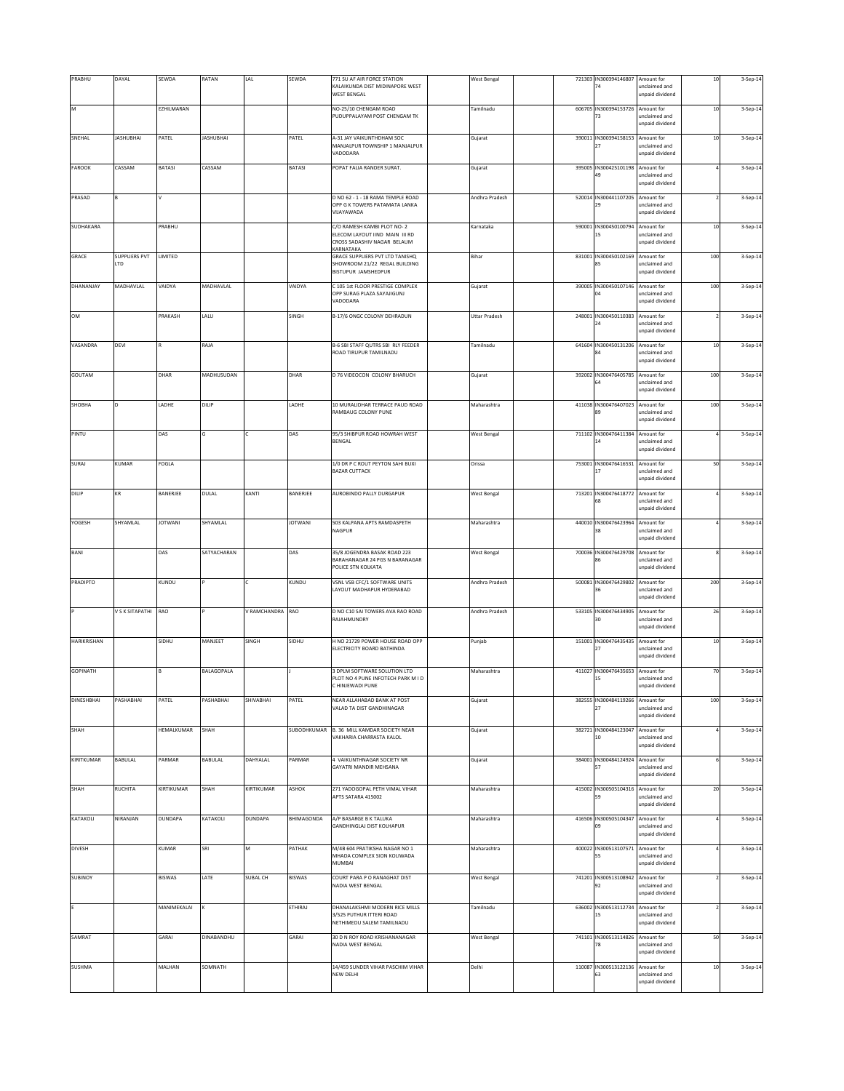| PRABHU          | DAYAL                | SEWDA             | RATAN             | LAL            | SEWDA          | 771 SU AF AIR FORCE STATION<br>KALAIKUNDA DIST MIDINAPORE WEST<br>WEST BENGAL                        | West Bengal          |        | 721303 IN300394146807<br>74            | Amount for<br>unclaimed and<br>unpaid dividend | $10\,$ | 3-Sep-14 |
|-----------------|----------------------|-------------------|-------------------|----------------|----------------|------------------------------------------------------------------------------------------------------|----------------------|--------|----------------------------------------|------------------------------------------------|--------|----------|
| M               |                      | EZHILMARAN        |                   |                |                | NO-25/10 CHENGAM ROAD<br>PUDUPPALAYAM POST CHENGAM TK                                                | Tamilnadu            |        | 606705 IN300394153726 Amount for<br>73 | unclaimed and<br>unpaid dividend               | $10\,$ | 3-Sep-14 |
| SNEHAL          | <b>ASHUBHAI</b>      | PATEL             | <b>JASHUBHAI</b>  |                | PATEL          | A-31 JAY VAIKUNTHDHAM SOC<br>MANJALPUR TOWNSHIP 1 MANJALPUR<br>VADODARA                              | Gujarat              | 390011 | IN300394158153 Amount for              | unclaimed and<br>unpaid dividend               | $10$   | 3-Sep-14 |
| FAROOK          | CASSAM               | BATASI            | CASSAM            |                | BATASI         | POPAT FALIA RANDER SURAT.                                                                            | Gujarat              | 395005 | IN300425101198<br>49                   | Amount for<br>unclaimed and<br>unpaid dividend |        | 3-Sep-14 |
| PRASAD          |                      | v                 |                   |                |                | D NO 62 - 1 - 18 RAMA TEMPLE ROAD<br>OPP G K TOWERS PATAMATA LANKA<br>VIJAYAWADA                     | Andhra Pradesh       |        | 520014 IN300441107205<br>29            | Amount for<br>unclaimed and<br>unpaid dividend |        | 3-Sep-14 |
| SUDHAKARA       |                      | PRABHU            |                   |                |                | C/O RAMESH KAMBI PLOT NO- 2<br>ELECOM LAYOUT IIND MAIN III RD<br>CROSS SADASHIV NAGAR BELAUM         | Karnataka            | 590001 | IN300450100794<br>15                   | Amount for<br>unclaimed and<br>unpaid dividend | $10\,$ | 3-Sep-14 |
| GRACE           | SUPPLIERS PVT<br>LTD | LIMITED           |                   |                |                | KARNATAKA<br>GRACE SUPPLIERS PVT LTD TANISHQ<br>SHOWROOM 21/22 REGAL BUILDING<br>BISTUPUR JAMSHEDPUR | Bihar                | 831001 | IN300450102169<br>85                   | Amount for<br>unclaimed and<br>unpaid dividend | 100    | 3-Sep-14 |
| DHANANJAY       | MADHAVLAL            | VAIDYA            | MADHAVLAL         |                | VAIDYA         | C 105 1st FLOOR PRESTIGE COMPLEX<br>OPP SURAG PLAZA SAYAJIGUNJ<br>VADODARA                           | Gujarat              |        | 390005 IN300450107146 Amount for<br>04 | unclaimed and<br>unpaid dividend               | 100    | 3-Sep-14 |
| OM              |                      | PRAKASH           | LALU              |                | SINGH          | B-17/6 ONGC COLONY DEHRADUN                                                                          | <b>Uttar Pradesh</b> | 248001 | IN300450110383 Amount for<br>24        | unclaimed and<br>unpaid dividend               |        | 3-Sep-14 |
| VASANDRA        | DEVI                 |                   | RAJA              |                |                | B-6 SBI STAFF QUTRS SBI RLY FEEDER<br>ROAD TIRUPUR TAMILNADU                                         | Tamilnadu            |        | 641604 IN300450131206                  | Amount for<br>inclaimed and                    | $10$   | 3-Sep-14 |
| GOUTAM          |                      | DHAR              | MADHUSUDAN        |                | DHAR           | D 76 VIDEOCON COLONY BHARUCH                                                                         | Gujarat              | 392002 | IN300476405785<br>64                   | unpaid dividend<br>Amount for<br>unclaimed and | 100    | 3-Sep-14 |
| SHOBHA          |                      | LADHE             | DILIP             |                | LADHE          | 10 MURALIDHAR TERRACE PAUD ROAD<br>RAMBAUG COLONY PUNE                                               | Maharashtra          | 411038 | IN300476407023 Amount for<br>89        | unpaid dividend<br>unclaimed and               | 100    | 3-Sep-14 |
| PINTU           |                      | DAS               |                   |                | DAS            | 95/3 SHIBPUR ROAD HOWRAH WEST<br>BENGAL                                                              | <b>West Bengal</b>   |        | 711102 IN300476411384<br>14            | unpaid dividend<br>Amount for<br>unclaimed and |        | 3-Sep-14 |
| SURAJ           | KUMAR                | FOGLA             |                   |                |                | 1/0 DR P C ROUT PEYTON SAHI BUXI<br><b>BAZAR CUTTACK</b>                                             | Orissa               |        | 753001 IN300476416531 Amount for       | unpaid dividend<br>unclaimed and               | 50     | 3-Sep-14 |
| DILIP           | KR                   | BANERJEE          | DULAL             | KANTI          | BANERJEE       | AUROBINDO PALLY DURGAPUR                                                                             | <b>West Bengal</b>   |        | 713201 IN300476418772 Amount for       | unpaid dividend<br>unclaimed and               |        | 3-Sep-14 |
| YOGESH          | SHYAMLAL             | <b>JOTWANI</b>    | SHYAMLAL          |                | <b>JOTWANI</b> | 503 KALPANA APTS RAMDASPETH<br>NAGPUR                                                                | Maharashtra          | 440010 | IN300476423964<br>38                   | unpaid dividend<br>Amount for<br>unclaimed and |        | 3-Sep-14 |
| BANI            |                      | DAS               | SATYACHARAN       |                | DAS            | 35/8 JOGENDRA BASAK ROAD 223<br>BARAHANAGAR 24 PGS N BARANAGAR                                       | <b>West Bengal</b>   | 700036 | IN300476429708<br>86                   | unpaid dividend<br>Amount for<br>unclaimed and |        | 3-Sep-14 |
| PRADIPTO        |                      | KUNDU             |                   | c              | KUNDU          | POLICE STN KOLKATA<br>VSNL VSB CFC/1 SOFTWARE UNITS                                                  | Andhra Pradesh       | 500081 | IN300476429802 Amount for              | unpaid dividend                                | 200    | 3-Sep-14 |
|                 | V S K SITAPATHI      | RAO               |                   | V RAMCHANDRA   |                | LAYOUT MADHAPUR HYDERABAD<br>D NO C10 SAI TOWERS AVA RAO ROAD                                        |                      |        | 36<br>533105 IN300476434905 Amount for | unclaimed and<br>unpaid dividend               | 26     |          |
|                 |                      |                   |                   |                | RAO            | RAJAHMUNDRY                                                                                          | Andhra Pradesh       |        | 30                                     | unclaimed and<br>unpaid dividend               |        | 3-Sep-14 |
| HARIKRISHAN     |                      | SIDHU             | MANJEET           | SINGH          | SIDHU          | H NO 21729 POWER HOUSE ROAD OPP<br>ELECTRICITY BOARD BATHINDA                                        | Punjab               |        | 151001 IN300476435435 Amount for       | unclaimed and<br>unpaid dividend               | $10\,$ | 3-Sep-14 |
| <b>GOPINATH</b> |                      | <b>B</b>          | <b>BALAGOPALA</b> |                |                | 3 DPLM SOFTWARE SOLUTION LTD<br>PLOT NO 4 PUNE INFOTECH PARK M I D<br>C HINJEWADI PUNE               | Maharashtra          |        | 411027 IN300476435653 Amount for<br>15 | unclaimed and<br>unpaid dividend               | 70     | 3-Sep-14 |
| DINESHBHAI      | PASHABHAI            | PATEL             | PASHABHAI         | SHIVABHAI      | PATEL          | NEAR ALLAHABAD BANK AT POST<br>VALAD TA DIST GANDHINAGAR                                             | Gujarat              | 382555 | IN300484119266                         | Amount for<br>unclaimed and<br>unpaid dividend | 100    | 3-Sep-14 |
| SHAH            |                      | <b>HEMALKUMAR</b> | SHAH              |                | SUBODHKUMAR    | B. 36 MILL KAMDAR SOCIETY NEAR<br>VAKHARIA CHARRASTA KALOL                                           | Gujarat              |        | 382721 IN300484123047<br>10            | Amount for<br>unclaimed and<br>unpaid dividend |        | 3-Sep-14 |
| KIRITKUMAR      | BABULAL              | PARMAR            | BABULAL           | DAHYALAL       | PARMAR         | 4 VAIKUNTHNAGAR SOCIETY NR<br><b>GAYATRI MANDIR MEHSANA</b>                                          | Gujarat              |        | 384001 IN300484124924 Amount for<br>57 | unclaimed and<br>unpaid dividend               |        | 3-Sep-14 |
| SHAH            | RUCHITA              | KIRTIKUMAR        | SHAH              | KIRTIKUMAR     | ASHOK          | 271 YADOGOPAL PETH VIMAL VIHAR<br>APTS SATARA 415002                                                 | Maharashtra          |        | 415002 IN300505104316<br>59            | Amount for<br>unclaimed and<br>unpaid dividend | 20     | 3-Sep-14 |
| KATAKOLI        | NIRANJAN             | <b>DUNDAPA</b>    | KATAKOLI          | <b>DUNDAPA</b> | BHIMAGONDA     | A/P BASARGE B K TALUKA<br>GANDHINGLAJ DIST KOLHAPUR                                                  | Maharashtra          |        | 416506 IN300505104347 Amount for<br>09 | unclaimed and<br>unpaid dividend               |        | 3-Sep-14 |
| DIVESH          |                      | KUMAR             | SRI               | M              | PATHAK         | M/4B 604 PRATIKSHA NAGAR NO 1<br>MHADA COMPLEX SION KOLIWADA<br>MUMBAI                               | Maharashtra          |        | 400022 IN300513107571 Amount for<br>55 | unclaimed and<br>unpaid dividend               |        | 3-Sep-14 |
| <b>SUBINOY</b>  |                      | <b>BISWAS</b>     | LATE              | SUBAL CH       | BISWAS         | COURT PARA P O RANAGHAT DIST<br>NADIA WEST BENGAL                                                    | <b>West Bengal</b>   |        | 741201 IN300513108942<br>92            | Amount for<br>unclaimed and<br>unpaid dividend |        | 3-Sep-14 |
|                 |                      | MANIMEKALAI       |                   |                | ETHIRAJ        | DHANALAKSHMI MODERN RICE MILLS<br>3/525 PUTHUR ITTERI ROAD<br>NETHIMEDU SALEM TAMILNADU              | Tamilnadu            |        | 636002 IN300513112734<br>15            | Amount for<br>unclaimed and<br>unpaid dividend |        | 3-Sep-14 |
| SAMRAT          |                      | GARAI             | DINABANDHU        |                | GARAI          | 30 D N ROY ROAD KRISHANANAGAR<br>NADIA WEST BENGAL                                                   | <b>West Bengal</b>   |        | 741101 IN300513114826 Amount for<br>78 | unclaimed and<br>unpaid dividend               | 50     | 3-Sep-14 |
| <b>SUSHMA</b>   |                      | MALHAN            | SOMNATH           |                |                | 14/459 SUNDER VIHAR PASCHIM VIHAR<br>NEW DELHI                                                       | Delhi                |        | 110087 IN300513122136<br>63            | Amount for<br>unclaimed and<br>unpaid dividend | $10\,$ | 3-Sep-14 |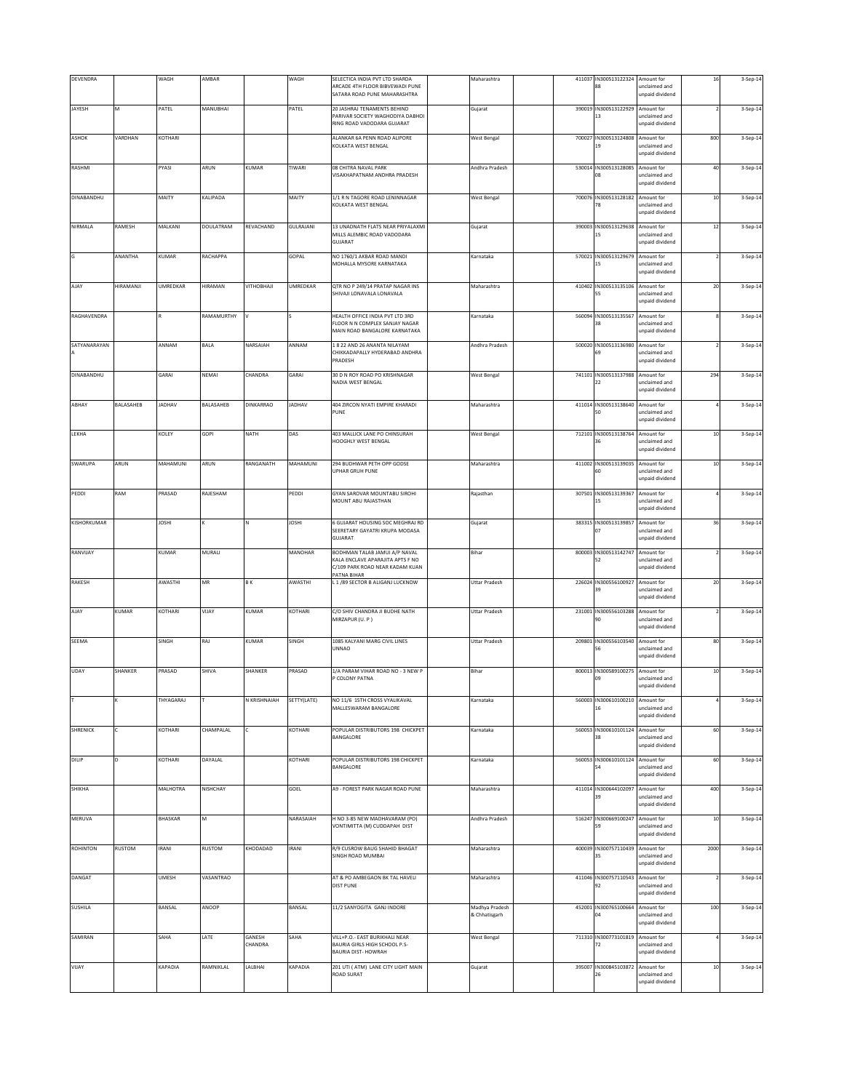| DEVENDRA        |           | WAGH         | AMBAR         |                   | WAGH          | SELECTICA INDIA PVT LTD SHARDA<br>ARCADE 4TH FLOOR BIBVEWADI PUNE<br>SATARA ROAD PUNE MAHARASHTRA                   | Maharashtra                     | 411037 | IN300513122324 Amount for<br>88        | unclaimed and<br>unpaid dividend               | 16     | 3-Sep-14 |
|-----------------|-----------|--------------|---------------|-------------------|---------------|---------------------------------------------------------------------------------------------------------------------|---------------------------------|--------|----------------------------------------|------------------------------------------------|--------|----------|
| JAYESH          | M         | PATEL        | MANUBHAI      |                   | PATEL         | 20 JASHRAJ TENAMENTS BEHIND<br>PARIVAR SOCIETY WAGHODIYA DABHOI<br>RING ROAD VADODARA GUJARAT                       | Gujarat                         | 390019 | IN300513122929<br>13                   | Amount for<br>unclaimed and<br>unpaid dividend |        | 3-Sep-14 |
| ASHOK           | VARDHAN   | KOTHARI      |               |                   |               | ALANKAR 6A PENN ROAD ALIPORE<br>KOLKATA WEST BENGAL                                                                 | <b>West Bengal</b>              | 700027 | IN300513124808 Amount for<br>19        | unclaimed and<br>unpaid dividend               | 800    | 3-Sep-14 |
| RASHMI          |           | PYASI        | ARUN          | KUMAR             | TIWARI        | 08 CHITRA NAVAL PARK<br>VISAKHAPATNAM ANDHRA PRADESH                                                                | Andhra Pradesh                  |        | 530014 IN300513128085<br>JR.           | Amount for<br>unclaimed and<br>unpaid dividend | 40     | 3-Sep-14 |
| DINABANDHU      |           | MAITY        | KALIPADA      |                   | MAITY         | 1/1 R N TAGORE ROAD LENINNAGAR<br>KOLKATA WEST BENGAL                                                               | <b>West Bengal</b>              | 700076 | IN300513128182<br>78                   | Amount for<br>unclaimed and<br>unpaid dividend | 10     | 3-Sep-14 |
| NIRMALA         | RAMESH    | MALKANI      | DOULATRAM     | REVACHAND         | GULRAJANI     | 13 UNADNATH FLATS NEAR PRIYALAXMI<br>MILLS ALEMBIC ROAD VADODARA<br>GUJARAT                                         | Gujarat                         |        | 390003 IN300513129638<br>15            | Amount for<br>unclaimed and<br>unpaid dividend | $12\,$ | 3-Sep-14 |
| G               | ANANTHA   | KUMAR        | RACHAPPA      |                   | GOPAL         | NO 1760/1 AKBAR ROAD MANDI<br>MOHALLA MYSORE KARNATAKA                                                              | Karnataka                       | 570021 | IN300513129679<br>15                   | Amount for<br>unclaimed and<br>unpaid dividend |        | 3-Sep-14 |
| AJAY            | HIRAMANJI | UMREDKAR     | HIRAMAN       | VITHOBHAJI        | UMREDKAR      | QTR NO P 249/14 PRATAP NAGAR INS<br>SHIVAJI LONAVALA LONAVALA                                                       | Maharashtra                     |        | 410402 IN300513135106                  | Amount for<br>unclaimed and<br>unpaid dividend | 20     | 3-Sep-14 |
| RAGHAVENDRA     |           | $\mathbb R$  | RAMAMURTHY    | l٧                |               | HEALTH OFFICE INDIA PVT LTD 3RD<br>FLOOR N N COMPLEX SANJAY NAGAR<br>MAIN ROAD BANGALORE KARNATAKA                  | Karnataka                       |        | 560094 IN300513135567 Amount for<br>38 | unclaimed and<br>unpaid dividend               |        | 3-Sep-14 |
| SATYANARAYAN    |           | ANNAM        | BALA          | NARSAIAH          | ANNAM         | 1 8 22 AND 26 ANANTA NILAYAM<br>CHIKKADAPALLY HYDERABAD ANDHRA<br>PRADESH                                           | Andhra Pradesh                  |        | 500020 IN300513136980                  | Amount for<br>inclaimed and<br>unpaid dividend |        | 3-Sep-14 |
| DINABANDHU      |           | GARAI        | NEMAI         | CHANDRA           | GARAI         | 30 D N ROY ROAD PO KRISHNAGAR<br>NADIA WEST BENGAL                                                                  | <b>West Bengal</b>              | 741101 | IN300513137988<br>22                   | Amount for<br>unclaimed and<br>unpaid dividend | 294    | 3-Sep-14 |
| ABHAY           | BALASAHEB | JADHAV       | BALASAHEB     | DINKARRAO         | <b>JADHAV</b> | 404 ZIRCON NYATI EMPIRE KHARADI<br>PUNE                                                                             | Maharashtra                     |        | 411014 IN300513138640<br>50            | Amount for<br>unclaimed and<br>unpaid dividend |        | 3-Sep-14 |
| LEKHA           |           | KOLEY        | GOPI          | NATH              | DAS           | 403 MALLICK LANE PO CHINSURAH<br>HOOGHLY WEST BENGAL                                                                | <b>West Bengal</b>              | 712101 | IN300513138764 Amount for<br>36        | unclaimed and<br>unpaid dividend               | $10\,$ | 3-Sep-14 |
| SWARUPA         | ARUN      | MAHAMUNI     | ARUN          | RANGANATH         | MAHAMUNI      | 294 BUDHWAR PETH OPP GODSE<br>UPHAR GRUH PUNE                                                                       | Maharashtra                     |        | 411002 IN300513139035 Amount for<br>60 | unclaimed and<br>unpaid dividend               | $10$   | 3-Sep-14 |
| PEDDI           | RAM       | PRASAD       | RAJESHAM      |                   | PEDDI         | GYAN SAROVAR MOUNTABU SIROHI<br>MOUNT ABU RAJASTHAN                                                                 | Rajasthan                       |        | 307501 IN300513139367 Amount for<br>15 | unclaimed and<br>unpaid dividend               |        | 3-Sep-14 |
| KISHORKUMAR     |           | <b>JOSHI</b> |               |                   | <b>IHZOL</b>  | 6 GUJARAT HOUSING SOC MEGHRAJ RD<br>SEERETARY GAYATRI KRUPA MODASA<br>GUJARAT                                       | Gujarat                         | 383315 | IN300513139857<br>07                   | Amount for<br>unclaimed and<br>unpaid dividend | 36     | 3-Sep-14 |
| RANVIJAY        |           | KUMAR        | MURALI        |                   | MANOHAR       | BODHMAN TALAB JAMUI A/P NAVAL<br>KALA ENCLAVE APARAJITA APTS F NO<br>C/109 PARK ROAD NEAR KADAM KUAN<br>PATNA BIHAR | Bihar                           | 800003 | IN300513142747                         | Amount for<br>inclaimed and<br>unpaid dividend |        | 3-Sep-14 |
| RAKESH          |           | AWASTHI      | <b>MR</b>     | <b>BK</b>         | AWASTHI       | L 1 /89 SECTOR B ALIGANJ LUCKNOW                                                                                    | <b>Uttar Pradesh</b>            | 226024 | IN300556100927<br>39                   | Amount for<br>unclaimed and<br>unpaid dividend | $20\,$ | 3-Sep-14 |
| AJAY            | KUMAR     | KOTHARI      | VIJAY         | KUMAR             | KOTHARI       | C/O SHIV CHANDRA JI BUDHE NATH<br>MIRZAPUR (U. P)                                                                   | <b>Uttar Pradesh</b>            |        | 231001 IN300556103288<br>90            | Amount for<br>unclaimed and<br>unpaid dividend |        | 3-Sep-14 |
| SEEMA           |           | SINGH        | RAJ           | KUMAR             | SINGH         | 1085 KALYANI MARG CIVIL LINES<br>UNNAO                                                                              | <b>Uttar Pradesh</b>            |        | 209801 IN300556103540 Amount for<br>56 | unclaimed and<br>unpaid dividend               | 80     | 3-Sep-14 |
| <b>UDAY</b>     | SHANKER   | PRASAD       | <b>SHIVA</b>  | <b>SHANKER</b>    | PRASAD        | 1/A PARAM VIHAR ROAD NO - 3 NEW P<br>P COLONY PATNA                                                                 | Bihar                           |        | 800013 IN300589100275 Amount for<br>09 | unclaimed and<br>unpaid dividend               | $10\,$ | 3-Sep-14 |
|                 |           | THYAGARAJ    |               | N KRISHNAIAH      | SETTY(LATE)   | NO 11/6 15TH CROSS VYALIKAVAL<br>MALLESWARAM BANGALORE                                                              | Karnataka                       | 560003 | IN300610100210 Amount for              | unclaimed and<br>unpaid dividend               |        | 3-Sep-14 |
| SHRENICK        |           | KOTHARI      | CHAMPALAL     |                   | KOTHARI       | POPULAR DISTRIBUTORS 198 CHICKPET<br>BANGALORE                                                                      | Karnataka                       | 560053 | IN300610101124<br>38                   | Amount for<br>unclaimed and<br>unpaid dividend | 60     | 3-Sep-14 |
| DILIP           | D.        | KOTHARI      | DAYALAL       |                   | KOTHARI       | POPULAR DISTRIBUTORS 198 CHICKPET<br>BANGALORE                                                                      | Karnataka                       | 560053 | IN300610101124<br>54                   | Amount for<br>unclaimed and<br>unpaid dividend | 60     | 3-Sep-14 |
| SHIKHA          |           | MALHOTRA     | NISHCHAY      |                   | GOEL          | A9 - FOREST PARK NAGAR ROAD PUNE                                                                                    | Maharashtra                     | 411014 | IN300644102097<br>39                   | Amount for<br>unclaimed and<br>unpaid dividend | 400    | 3-Sep-14 |
| MERUVA          |           | BHASKAR      | M             |                   | NARASAIAH     | H NO 3-85 NEW MADHAVARAM (PO)<br>VONTIMITTA (M) CUDDAPAH DIST                                                       | Andhra Pradesh                  |        | 516247 IN300669100247 Amount for<br>59 | unclaimed and<br>unpaid dividend               | $10$   | 3-Sep-14 |
| <b>ROHINTON</b> | RUSTOM    | <b>IRANI</b> | <b>RUSTOM</b> | KHODADAD          | IRANI         | R/9 CUSROW BAUG SHAHID BHAGAT<br>SINGH ROAD MUMBAI                                                                  | Maharashtra                     |        | 400039 IN300757110439 Amount for<br>35 | unclaimed and<br>unpaid dividend               | 2000   | 3-Sep-14 |
| DANGAT          |           | <b>UMESH</b> | VASANTRAO     |                   |               | AT & PO AMBEGAON BK TAL HAVELI<br><b>DIST PUNE</b>                                                                  | Maharashtra                     |        | 411046 IN300757110543 Amount for<br>92 | unclaimed and<br>unpaid dividend               |        | 3-Sep-14 |
| SUSHILA         |           | BANSAL       | ANOOP         |                   | BANSAL        | 11/2 SANYOGITA GANJ INDORE                                                                                          | Madhya Pradesh<br>& Chhatisgarh | 452001 | IN300765100664                         | Amount for<br>inclaimed and<br>unpaid dividend | 100    | 3-Sep-14 |
| SAMIRAN         |           | SAHA         | LATE          | GANESH<br>CHANDRA | SAHA          | VILL+P.O. - EAST BURIKHALI NEAR<br>BAURIA GIRLS HIGH SCHOOL P.S-<br>BAURIA DIST- HOWRAH                             | West Bengal                     | 711310 | IN300773101819<br>72                   | Amount for<br>unclaimed and<br>inpaid dividend |        | 3-Sep-14 |
| VIJAY           |           | KAPADIA      | RAMNIKLAL     | LALBHAI           | KAPADIA       | 201 UTI (ATM) LANE CITY LIGHT MAIN<br>ROAD SURAT                                                                    | Gujarat                         |        | 395007 IN300845103872 Amount for<br>26 | unclaimed and<br>unpaid dividend               | $10\,$ | 3-Sep-14 |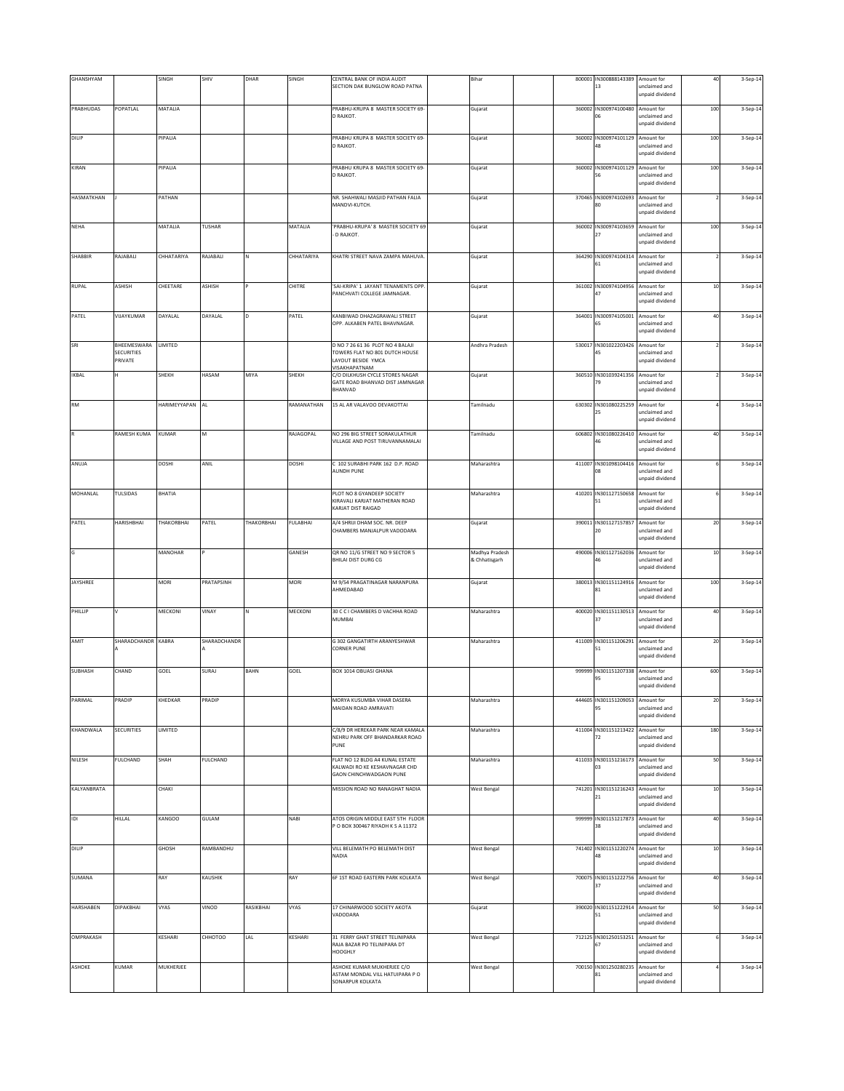| GHANSHYAM    |                       | SINGH        | SHIV          | DHAR        | SINGH        | CENTRAL BANK OF INDIA AUDIT<br>SECTION DAK BUNGLOW ROAD PATNA                               | Bihar                           |  | 800001 IN300888143389<br>13            | Amount for<br>unclaimed and<br>unpaid dividend | 40                       | 3-Sep-14 |
|--------------|-----------------------|--------------|---------------|-------------|--------------|---------------------------------------------------------------------------------------------|---------------------------------|--|----------------------------------------|------------------------------------------------|--------------------------|----------|
|              |                       |              |               |             |              |                                                                                             |                                 |  |                                        |                                                |                          |          |
| PRABHUDAS    | POPATLAL              | MATALIA      |               |             |              | PRABHU-KRUPA 8 MASTER SOCIETY 69-<br>D RAJKOT.                                              | Gujarat                         |  | 360002 IN300974100480<br>06            | Amount for<br>unclaimed and<br>unpaid dividend | 100                      | 3-Sep-14 |
| DILIP        |                       | PIPALIA      |               |             |              | PRABHU KRUPA 8 MASTER SOCIETY 69-<br>D RAJKOT.                                              | Gujarat                         |  | 360002 IN300974101129                  | Amount for<br>inclaimed and<br>unpaid dividend | 100                      | 3-Sep-14 |
| KIRAN        |                       | PIPALIA      |               |             |              | PRABHU KRUPA 8 MASTER SOCIETY 69-<br>D RAJKOT.                                              | Gujarat                         |  | 360002 IN300974101129<br>56            | Amount for<br>unclaimed and<br>unpaid dividend | 100                      | 3-Sep-14 |
| HASMATKHAN   |                       | PATHAN       |               |             |              | NR. SHAHWALI MASJID PATHAN FALIA<br>MANDVI-KUTCH.                                           | Gujarat                         |  | 370465 IN300974102693<br>80            | Amount for<br>unclaimed and                    | $\overline{\phantom{a}}$ | 3-Sep-14 |
| <b>NEHA</b>  |                       | MATALIA      | TUSHAR        |             | MATALIA      | 'PRABHU-KRUPA' 8 MASTER SOCIETY 69                                                          | Gujarat                         |  | 360002 IN300974103659                  | unpaid dividend<br>Amount for                  | 100                      | 3-Sep-14 |
|              |                       |              |               |             |              | D RAJKOT.                                                                                   |                                 |  | 27                                     | unclaimed and<br>unpaid dividend               |                          |          |
| SHABBIR      | RAJABALI              | CHHATARIYA   | RAJABALI      |             | CHHATARIYA   | KHATRI STREET NAVA ZAMPA MAHUVA.                                                            | Gujarat                         |  | 364290 IN300974104314<br>61            | Amount for<br>unclaimed and<br>unpaid dividend |                          | 3-Sep-14 |
| <b>RUPAL</b> | ASHISH                | CHEETARE     | <b>ASHISH</b> |             | CHITRE       | 'SAI-KRIPA' 1 JAYANT TENAMENTS OPP.<br>PANCHVATI COLLEGE JAMNAGAR.                          | Gujarat                         |  | 361002 IN300974104956<br>47            | Amount for<br>unclaimed and<br>unpaid dividend | $10\,$                   | 3-Sep-14 |
| PATEL        | VIJAYKUMAR            | DAYALAL      | DAYALAL       |             | PATEL        | KANBIWAD DHAZAGRAWALI STREET<br>OPP. ALKABEN PATEL BHAVNAGAR.                               | Gujarat                         |  | 364001 IN300974105001<br>65            | Amount for<br>unclaimed and<br>unpaid dividend | 40                       | 3-Sep-14 |
| SRI          | BHEEMESWARA           | LIMITED      |               |             |              | D NO 7 26 61 36 PLOT NO 4 BALAJI                                                            | Andhra Pradesh                  |  | 530017 IN301022203426                  | Amount for                                     |                          | 3-Sep-14 |
|              | SECURITIES<br>PRIVATE |              |               |             |              | TOWERS FLAT NO 801 DUTCH HOUSE<br>LAYOUT BESIDE YMCA                                        |                                 |  | 45                                     | inclaimed and<br>unpaid dividend               |                          |          |
| <b>IKBAL</b> |                       | SHEKH        | HASAM         | MIYA        | SHEKH        | VISAKHAPATNAM<br>C/O DILKHUSH CYCLE STORES NAGAR                                            | Gujarat                         |  | 360510 IN301039241356                  | Amount for                                     |                          | 3-Sep-14 |
|              |                       |              |               |             |              | GATE ROAD BHANVAD DIST JAMNAGAR<br>BHANVAD                                                  |                                 |  | 79                                     | unclaimed and<br>unpaid dividend               |                          |          |
| RM           |                       | HARIMEYYAPAN | AL            |             | RAMANATHAN   | 15 AL AR VALAVOO DEVAKOTTAI                                                                 | Tamilnadu                       |  | 630302 IN301080225259<br>25            | Amount for<br>unclaimed and<br>unpaid dividend |                          | 3-Sep-14 |
| $\mathsf{R}$ | RAMESH KUMA           | KUMAR        | M             |             | RAJAGOPAL    | NO 296 BIG STREET SORAKULATHUR<br>VILLAGE AND POST TIRUVANNAMALAI                           | Tamilnadu                       |  | 606802 IN301080226410<br>46            | Amount for<br>unclaimed and<br>unpaid dividend | 40                       | 3-Sep-14 |
| ANUJA        |                       | DOSHI        | ANIL          |             | <b>DOSHI</b> | C 102 SURABHI PARK 162 D.P. ROAD                                                            | Maharashtra                     |  | 411007 IN301098104416 Amount for       |                                                |                          | 3-Sep-14 |
|              |                       |              |               |             |              | <b>AUNDH PUNE</b>                                                                           |                                 |  | 08                                     | unclaimed and<br>unpaid dividend               |                          |          |
| MOHANLAL     | TULSIDAS              | BHATIA       |               |             |              | PLOT NO 8 GYANDEEP SOCIETY<br>KIRAVALI KARJAT MATHERAN ROAD<br>KARJAT DIST RAIGAD           | Maharashtra                     |  | 410201 IN301127150658 Amount for<br>51 | unclaimed and<br>unpaid dividend               |                          | 3-Sep-14 |
| PATEL        | <b>HARISHBHAI</b>     | THAKORBHAI   | PATEL         | THAKORBHAI  | FULABHAI     | A/4 SHRIJI DHAM SOC. NR. DEEP<br>CHAMBERS MANJALPUR VADODARA                                | Gujarat                         |  | 390011 IN301127157857<br>20            | Amount for<br>unclaimed and<br>unpaid dividend | 20                       | 3-Sep-14 |
| G            |                       | MANOHAR      |               |             | GANESH       | QR NO 11/G STREET NO 9 SECTOR 5<br>BHILAI DIST DURG CG                                      | Madhya Pradesh<br>& Chhatisgarh |  | 490006 IN301127162036<br>46            | Amount for<br>unclaimed and                    | $10$                     | 3-Sep-14 |
|              |                       |              |               |             |              |                                                                                             |                                 |  |                                        | inpaid dividend                                |                          |          |
| JAYSHREE     |                       | MORI         | PRATAPSINH    |             | MORI         | M 9/54 PRAGATINAGAR NARANPURA<br>AHMEDABAD                                                  | Gujarat                         |  | 380013 IN301151124916<br>81            | Amount for<br>unclaimed and<br>unpaid dividend | 100                      | 3-Sep-14 |
| PHILLIP      |                       | MECKONI      | VINAY         |             | MECKONI      | 30 C C I CHAMBERS D VACHHA ROAD<br>MUMBAI                                                   | Maharashtra                     |  | 400020 IN301151130513<br>37            | Amount for<br>unclaimed and<br>unpaid dividend | 40                       | 3-Sep-14 |
| AMIT         | SHARADCHANDR KABRA    |              | SHARADCHANDR  |             |              | G 302 GANGATIRTH ARANYESHWAR                                                                | Maharashtra                     |  | 411009 IN301151206291 Amount for       |                                                | $20\,$                   | 3-Sep-14 |
| SUBHASH      | CHAND                 | GOEL         | SURAJ         | <b>BAHN</b> | GOEL         | <b>CORNER PUNE</b><br>BOX 1014 OBUASI GHANA                                                 |                                 |  | 51<br>999999 IN301151207338            | unclaimed and<br>unpaid dividend<br>Amount for | 600                      | 3-Sep-14 |
|              |                       |              |               |             |              |                                                                                             |                                 |  | 95                                     | unclaimed and<br>unpaid dividend               |                          |          |
| PARIMAL      | PRADIP                | KHEDKAR      | PRADIP        |             |              | MORYA KUSUMBA VIHAR DASERA<br>MAIDAN ROAD AMRAVATI                                          | Maharashtra                     |  | 444605 IN301151209053<br>95            | Amount for<br>unclaimed and<br>unpaid dividend | $20\,$                   | 3-Sep-14 |
| KHANDWALA    | SECURITIES            | LIMITED      |               |             |              | C/8/9 DR HEREKAR PARK NEAR KAMALA<br>NEHRU PARK OFF BHANDARKAR ROAD<br>PUNE                 | Maharashtra                     |  | 411004 IN301151213422<br>72            | Amount for<br>unclaimed and<br>inpaid dividend | 180                      | 3-Sep-14 |
| NILESH       | FULCHAND              | SHAH         | FULCHAND      |             |              | FLAT NO 12 BLDG A4 KUNAL ESTATE<br>KALWADI RO KE KESHAVNAGAR CHD<br>GAON CHINCHWADGAON PUNE | Maharashtra                     |  | 411033 IN301151216173 Amount for<br>03 | unclaimed and<br>unpaid dividend               | 50                       | 3-Sep-14 |
| KALYANBRATA  |                       | CHAKI        |               |             |              | MISSION ROAD NO RANAGHAT NADIA                                                              | <b>West Bengal</b>              |  | 741201 IN301151216243                  | Amount for                                     | $10\,$                   | 3-Sep-14 |
|              |                       |              |               |             |              |                                                                                             |                                 |  | 21                                     | unclaimed and<br>unpaid dividend               |                          |          |
| IDI          | HILLAL                | KANGOO       | GULAM         |             | <b>NABI</b>  | ATOS ORIGIN MIDDLE EAST 5TH FLOOR<br>P O BOX 300467 RIYADH K S A 11372                      |                                 |  | 999999 IN301151217873 Amount for<br>38 | unclaimed and<br>unpaid dividend               | 40                       | 3-Sep-14 |
| DILIP        |                       | GHOSH        | RAMBANDHU     |             |              | VILL BELEMATH PO BELEMATH DIST<br><b>NADIA</b>                                              | <b>West Bengal</b>              |  | 741402 IN301151220274 Amount for<br>48 | unclaimed and<br>unpaid dividend               | $10\,$                   | 3-Sep-14 |
| SUMANA       |                       | RAY          | KAUSHIK       |             | RAY          | 6F 1ST ROAD EASTERN PARK KOLKATA                                                            | <b>West Bengal</b>              |  | 700075 IN301151222756<br>37            | Amount for<br>unclaimed and<br>unpaid dividend | 40                       | 3-Sep-14 |
| HARSHABEN    | DIPAKBHAI             | VYAS         | VINOD         | RASIKBHAI   | VYAS         | 17 CHINARWOOD SOCIETY AKOTA<br>VADODARA                                                     | Gujarat                         |  | 390020 IN301151222914<br>51            | Amount for<br>unclaimed and                    | 50                       | 3-Sep-14 |
| OMPRAKASH    |                       | KESHARI      | СННОТОО       | LAL         | KESHARI      | 31 FERRY GHAT STREET TELINIPARA                                                             | West Bengal                     |  | 712125 IN301250153251                  | inpaid dividend<br>Amount for                  |                          | 3-Sep-14 |
|              |                       |              |               |             |              | RAJA BAZAR PO TELINIPARA DT<br>HOOGHLY                                                      |                                 |  | 67                                     | unclaimed and<br>unpaid dividend               |                          |          |
| ASHOKE       | KUMAR                 | MUKHERJEE    |               |             |              | ASHOKE KUMAR MUKHERJEE C/O<br>ASTAM MONDAL VILL HATUIPARA PO<br>SONARPUR KOLKATA            | <b>West Bengal</b>              |  | 700150 IN301250280235<br>81            | Amount for<br>unclaimed and<br>unpaid dividend |                          | 3-Sep-14 |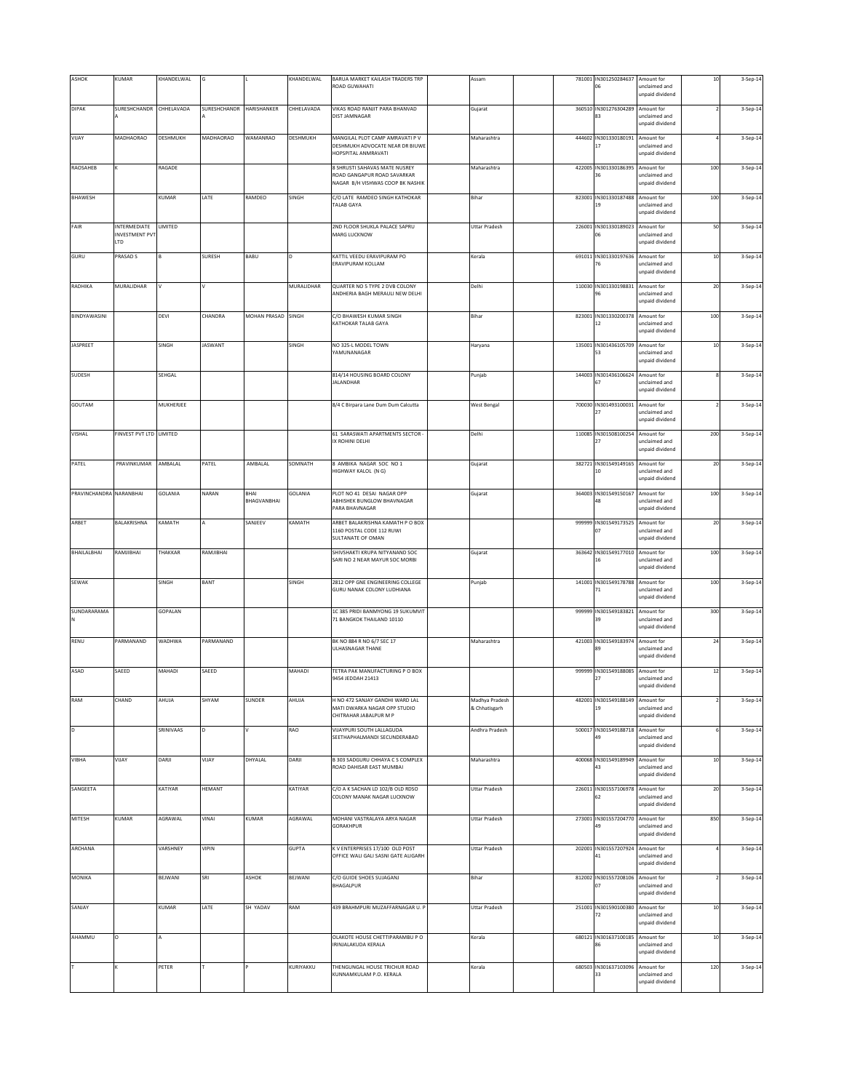| ASHOK                   | KUMAR                                    | KHANDELWAL     |                          |                            | KHANDELWAL   | BARUA MARKET KAILASH TRADERS TRP<br>ROAD GUWAHATI                                         | Assam                           |        | 781001 IN301250284637<br>06                 | Amount for<br>unclaimed and<br>unpaid dividend | $10\,$     | 3-Sep-14 |
|-------------------------|------------------------------------------|----------------|--------------------------|----------------------------|--------------|-------------------------------------------------------------------------------------------|---------------------------------|--------|---------------------------------------------|------------------------------------------------|------------|----------|
| <b>DIPAK</b>            | SURESHCHANDR                             | CHHELAVADA     | SURESHCHANDR HARISHANKER |                            | CHHELAVADA   | VIKAS ROAD RANJIT PARA BHANVAD<br>DIST JAMNAGAR                                           | Gujarat                         | 360510 | IN301276304289<br>83                        | Amount for<br>unclaimed and<br>unpaid dividend |            | 3-Sep-14 |
| VIJAY                   | MADHAORAO                                | DESHMUKH       | MADHAORAO                | <b>WAMANRAO</b>            | DESHMUKH     | MANGILAL PLOT CAMP AMRAVATI P V<br>DESHMUKH ADVOCATE NEAR DR BIUWE                        | Maharashtra                     |        | 444602 IN301330180191 Amount for            | unclaimed and                                  |            | 3-Sep-14 |
| RAOSAHEB                |                                          | RAGADE         |                          |                            |              | HOPSPITAL ANMRAVATI<br>8 SHRUSTI SAHAVAS MATE NUSREY<br>ROAD GANGAPUR ROAD SAVARKAR       | Maharashtra                     | 422005 | IN301330186395                              | unpaid dividend<br>Amount for<br>unclaimed and | 100        | 3-Sep-14 |
| BHAWESH                 |                                          | KUMAR          | LATE                     | RAMDEO                     | SINGH        | NAGAR B/H VISHWAS COOP BK NASHIK<br>C/O LATE RAMDEO SINGH KATHOKAR<br>TALAB GAYA          | Bihar                           | 823001 | IN301330187488<br>19                        | unpaid dividend<br>Amount for<br>unclaimed and | 100        | 3-Sep-14 |
| FAIR                    | INTERMEDIATE                             | LIMITED        |                          |                            |              | 2ND FLOOR SHUKLA PALACE SAPRU                                                             | <b>Uttar Pradesh</b>            |        | 226001 IN301330189023 Amount for            | unpaid dividend                                | 50         | 3-Sep-14 |
|                         | <b>INVESTMENT PVT</b><br>LTD<br>PRASAD S |                | <b>SURESH</b>            | BABU                       |              | MARG LUCKNOW<br>KATTIL VEEDU ERAVIPURAM PO                                                |                                 | 691011 | 06<br>IN301330197636                        | unclaimed and<br>unpaid dividend<br>Amount for |            |          |
| GURU                    |                                          |                |                          |                            |              | <b>ERAVIPURAM KOLLAM</b>                                                                  | Kerala                          |        | 76                                          | unclaimed and<br>unpaid dividend               | $10\,$     | 3-Sep-14 |
| RADHIKA                 | MURALIDHAR                               | V              |                          |                            | MURALIDHAR   | QUARTER NO 5 TYPE 2 DVB COLONY<br>ANDHERIA BAGH MERAULI NEW DELHI                         | Delhi                           | 110030 | IN301330198831                              | Amount for<br>unclaimed and<br>unpaid dividend | 20         | 3-Sep-14 |
| BINDYAWASINI            |                                          | DEVI           | CHANDRA                  | MOHAN PRASAD SINGH         |              | C/O BHAWESH KUMAR SINGH<br>KATHOKAR TALAB GAYA                                            | Bihar                           | 823001 | IN301330200378 Amount for<br>12             | unclaimed and<br>unpaid dividend               | 100        | 3-Sep-14 |
| <b>JASPREET</b>         |                                          | SINGH          | <b>JASWANT</b>           |                            | SINGH        | NO 325-L MODEL TOWN<br>YAMUNANAGAR                                                        | Haryana                         | 135001 | IN301436105709 Amount for                   | unclaimed and<br>unpaid dividend               | 10         | 3-Sep-14 |
| SUDESH                  |                                          | SEHGAL         |                          |                            |              | 814/14 HOUSING BOARD COLONY<br><b>JALANDHAR</b>                                           | Punjab                          | 144003 | IN301436106624<br>67                        | Amount for<br>unclaimed and                    |            | 3-Sep-14 |
| GOUTAM                  |                                          | MUKHERJEE      |                          |                            |              | 8/4 C Birpara Lane Dum Dum Calcutta                                                       | <b>West Bengal</b>              | 700030 | IN301493100031 Amount for<br>27             | unpaid dividend<br>unclaimed and               |            | 3-Sep-14 |
| VISHAL                  | FINVEST PVT LTD LIMITED                  |                |                          |                            |              | 61 SARASWATI APARTMENTS SECTOR -                                                          | Delhi                           | 110085 | IN301508100254 Amount for                   | unpaid dividend                                | 200        | 3-Sep-14 |
|                         |                                          |                |                          |                            |              | <b>X ROHINI DELHI</b>                                                                     |                                 |        | 27                                          | unclaimed and<br>unpaid dividend               |            |          |
| PATEL                   | PRAVINKUMAR                              | AMBALAL        | PATEL                    | AMBALAL                    | SOMNATH      | 8 AMBIKA NAGAR SOC NO 1<br>HIGHWAY KALOL (N G)                                            | Gujarat                         |        | 382721 IN301549149165 Amount for<br>10      | unclaimed and<br>unpaid dividend               | 20         | 3-Sep-14 |
| PRAVINCHANDRA NARANBHAI |                                          | <b>GOLANIA</b> | NARAN                    | <b>BHAI</b><br>BHAGVANBHAI | GOLANIA      | PLOT NO 41 DESAI NAGAR OPP<br>ABHISHEK BUNGLOW BHAVNAGAR<br>PARA BHAVNAGAR                | Gujarat                         |        | 364003 IN301549150167 Amount for<br>18      | unclaimed and<br>unpaid dividend               | 100        | 3-Sep-14 |
| ARBET                   | BALAKRISHNA                              | KAMATH         |                          | SANJEEV                    | KAMATH       | ARBET BALAKRISHNA KAMATH P O BOX<br>1160 POSTAL CODE 112 RUWI<br>SULTANATE OF OMAN        |                                 | 999999 | IN301549173525<br>07                        | Amount for<br>unclaimed and<br>unpaid dividend | 20         | 3-Sep-14 |
| BHAILALBHAI             | RAMJIBHAI                                | THAKKAR        | RAMJIBHAI                |                            |              | SHIVSHAKTI KRUPA NITYANAND SOC<br>SARI NO 2 NEAR MAYUR SOC MORBI                          | Gujarat                         | 363642 | IN301549177010                              | Amount for<br>inclaimed and<br>unpaid dividend | 100        | 3-Sep-14 |
| SEWAK                   |                                          | SINGH          | BANT                     |                            | SINGH        | 2812 OPP GNE ENGINEERING COLLEGE<br>GURU NANAK COLONY LUDHIANA                            | Punjab                          | 141001 | IN301549178788<br>71                        | Amount for<br>unclaimed and<br>unpaid dividend | 100        | 3-Sep-14 |
| SUNDARARAMA<br>N        |                                          | GOPALAN        |                          |                            |              | 1C 385 PRIDI BANMYONG 19 SUKUMVIT<br>71 BANGKOK THAILAND 10110                            |                                 | 999999 | IN301549183821<br>39                        | Amount for<br>unclaimed and<br>unpaid dividend | 300        | 3-Sep-14 |
| RENU                    | PARMANAND                                | <b>WADHWA</b>  | PARMANAND                |                            |              | BK NO 884 R NO 6/7 SEC 17<br>ULHASNAGAR THANE                                             | Maharashtra                     |        | 421003 IN301549183974 Amount for<br>89      | unclaimed and<br>unpaid dividend               | ${\bf 24}$ | 3-Sep-14 |
| ASAD                    | SAEED                                    | MAHADI         | SAEED                    |                            | MAHADI       | TETRA PAK MANUFACTURING P O BOX<br>9454 JEDDAH 21413                                      |                                 | 999999 | IN301549188085 Amount for<br>27             | unclaimed and<br>unpaid dividend               | $12\,$     | 3-Sep-14 |
| RAM                     | CHAND                                    | AHUJA          | SHYAM                    | SUNDER                     | AHUJA        | H NO 472 SANJAY GANDHI WARD LAL<br>MATI DWARKA NAGAR OPP STUDIO<br>CHITRAHAR JABALPUR M P | Madhya Pradesh<br>& Chhatisgarh | 482001 | IN301549188149 Amount for                   | unclaimed and<br>unpaid dividend               |            | 3-Sep-14 |
| D                       |                                          | SRINIVAAS      |                          |                            | RAO          | VIJAYPURI SOUTH LALLAGUDA<br>SEETHAPHALMANDI SECUNDERABAD                                 | Andhra Pradesh                  | 500017 | IN301549188718<br>49                        | Amount for<br>unclaimed and<br>unpaid dividend |            | 3-Sep-14 |
| VIBHA                   | VIJAY                                    | DARJI          | VIJAY                    | DHYALAL                    | DARJI        | B 303 SADGURU CHHAYA C S COMPLEX<br>ROAD DAHISAR EAST MUMBAI                              | Maharashtra                     | 400068 | IN301549189949<br>43                        | Amount for<br>unclaimed and<br>unpaid dividend | 10         | 3-Sep-14 |
| SANGEETA                |                                          | KATIYAR        | HEMANT                   |                            | KATIYAR      | C/O A K SACHAN LD 102/B OLD RDSO<br>COLONY MANAK NAGAR LUCKNOW                            | <b>Uttar Pradesh</b>            | 226011 | IN301557106978<br>62                        | Amount for<br>unclaimed and<br>unpaid dividend | $20\,$     | 3-Sep-14 |
| <b>MITESH</b>           | KUMAR                                    | AGRAWAL        | VINAI                    | KUMAR                      | AGRAWAL      | MOHANI VASTRALAYA ARYA NAGAR<br>GORAKHPUR                                                 | <b>Uttar Pradesh</b>            |        | 273001 IN301557204770 Amount for<br>49      | unclaimed and<br>unpaid dividend               | 850        | 3-Sep-14 |
| ARCHANA                 |                                          | VARSHNEY       | VIPIN                    |                            | <b>GUPTA</b> | K V ENTERPRISES 17/100 OLD POST<br>OFFICE WALI GALI SASNI GATE ALIGARH                    | <b>Uttar Pradesh</b>            |        | 202001 IN301557207924 Amount for<br>41      | unclaimed and                                  |            | 3-Sep-14 |
| MONIKA                  |                                          | BEJWANI        | SRI                      | ASHOK                      | BEJWANI      | C/O GUIDE SHOES SUJAGANJ<br>BHAGALPUR                                                     | Bihar                           |        | 812002 IN301557208106 Amount for<br>$_{07}$ | unpaid dividend<br>unclaimed and               |            | 3-Sep-14 |
| SANJAY                  |                                          | KUMAR          | LATE                     | SH YADAV                   | RAM          | 439 BRAHMPURI MUZAFFARNAGAR U. P                                                          | <b>Uttar Pradesh</b>            | 251001 | IN301590100380                              | unpaid dividend<br>Amount for<br>inclaimed and | $10$       | 3-Sep-14 |
| AHAMMU                  | $\Omega$                                 |                |                          |                            |              | OLAKOTE HOUSE CHETTIPARAMBU PO<br>RINJALAKUDA KERALA                                      | Kerala                          |        | 680121 IN301637100185<br>86                 | unpaid dividend<br>Amount for<br>unclaimed and | $10\,$     | 3-Sep-14 |
|                         |                                          | PETER          |                          |                            | KURIYAKKU    | THENGUNGAL HOUSE TRICHUR ROAD                                                             | Kerala                          |        | 680503 IN301637103096                       | inpaid dividend<br>Amount for                  | 120        | 3-Sep-14 |
|                         |                                          |                |                          |                            |              | KUNNAMKULAM P.O. KERALA                                                                   |                                 |        | 33                                          | unclaimed and<br>unpaid dividend               |            |          |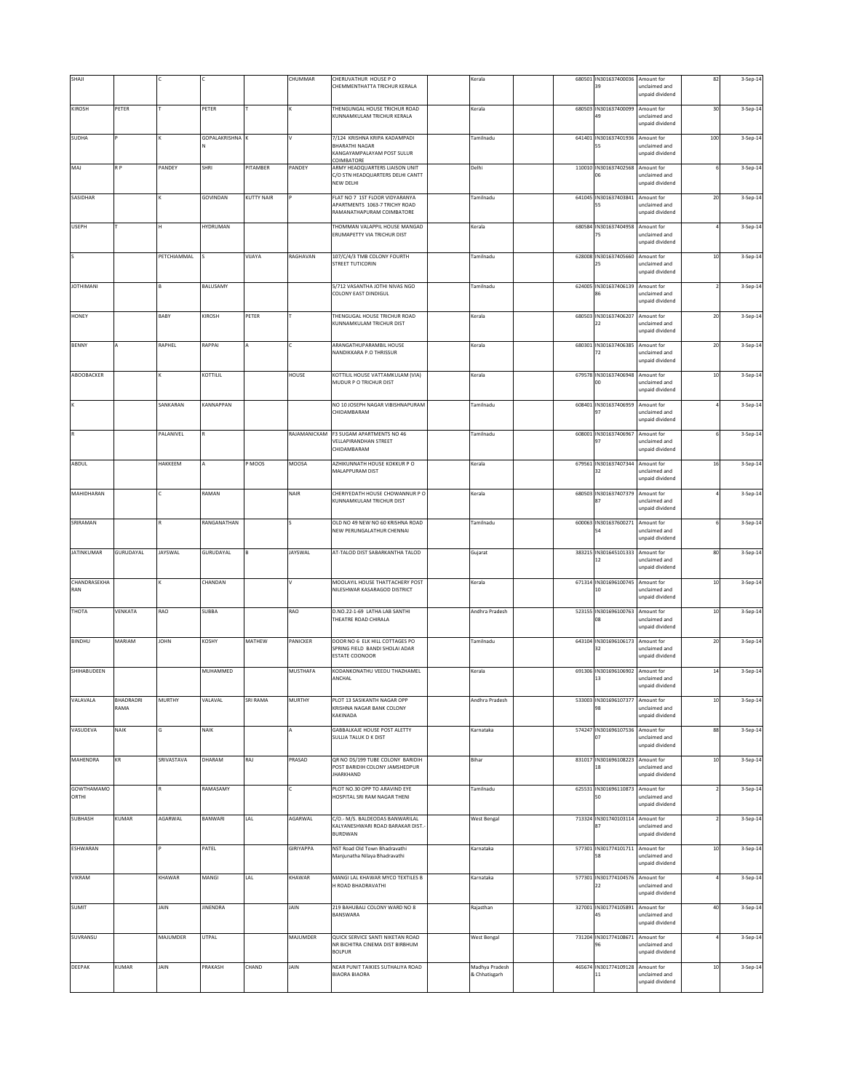| SHAJI                      |                   |                |                      |            | CHUMMAR          | CHERUVATHUR HOUSE PO<br>CHEMMENTHATTA TRICHUR KERALA                                               | Kerala                          |  | 680501 IN301637400036<br>39            | Amount for<br>unclaimed and<br>unpaid dividend | 82     | 3-Sep-14 |
|----------------------------|-------------------|----------------|----------------------|------------|------------------|----------------------------------------------------------------------------------------------------|---------------------------------|--|----------------------------------------|------------------------------------------------|--------|----------|
| KIROSH                     | PETER             |                | PETER                |            |                  | THENGUNGAL HOUSE TRICHUR ROAD<br>KUNNAMKULAM TRICHUR KERALA                                        | Kerala                          |  | 680503 IN301637400099<br>49            | Amount for<br>unclaimed and<br>unpaid dividend | 30     | 3-Sep-14 |
| SUDHA                      |                   |                | <b>GOPALAKRISHNA</b> |            |                  | 7/124 KRISHNA KRIPA KADAMPADI<br><b>BHARATHI NAGAR</b><br>KANGAYAMPALAYAM POST SULUR<br>COIMBATORE | Tamilnadu                       |  | 641401 IN301637401936 Amount for<br>55 | unclaimed and<br>unpaid dividend               | 100    | 3-Sep-14 |
| MAJ                        | R P               | PANDEY         | SHRI                 | PITAMBER   | PANDEY           | ARMY HEADQUARTERS LIAISON UNIT<br>C/O STN HEADQUARTERS DELHI CANTT<br>NEW DELHI                    | Delhi                           |  | 110010 IN301637402568<br>06            | Amount for<br>unclaimed and<br>unpaid dividend |        | 3-Sep-14 |
| SASIDHAR                   |                   |                | GOVINDAN             | KUTTY NAIR |                  | FLAT NO 7 1ST FLOOR VIDYARANYA<br>APARTMENTS 1063-7 TRICHY ROAD<br>RAMANATHAPURAM COIMBATORE       | Tamilnadu                       |  | 641045 IN301637403841<br>55            | Amount for<br>unclaimed and<br>unpaid dividend | 20     | 3-Sep-14 |
| <b>USEPH</b>               |                   | н              | <b>HYDRUMAN</b>      |            |                  | THOMMAN VALAPPIL HOUSE MANGAD<br>ERUMAPETTY VIA TRICHUR DIST                                       | Kerala                          |  | 680584 IN301637404958<br>75            | Amount for<br>unclaimed and<br>unpaid dividend |        | 3-Sep-14 |
|                            |                   | PETCHIAMMAL    |                      | VIJAYA     | RAGHAVAN         | 107/C/4/3 TMB COLONY FOURTH<br>STREET TUTICORIN                                                    | Tamilnadu                       |  | 628008 IN301637405660<br>25            | Amount for<br>unclaimed and<br>unpaid dividend | 10     | 3-Sep-14 |
| <b>JOTHIMANI</b>           |                   |                | BALUSAMY             |            |                  | 5/712 VASANTHA JOTHI NIVAS NGO<br>COLONY EAST DINDIGUL                                             | Tamilnadu                       |  | 624005 IN301637406139<br>86            | Amount for<br>unclaimed and<br>unpaid dividend |        | 3-Sep-14 |
| <b>HONEY</b>               |                   | BABY           | KIROSH               | PETER      |                  | THENGUGAL HOUSE TRICHUR ROAD<br>KUNNAMKULAM TRICHUR DIST                                           | Kerala                          |  | 680503 IN301637406207<br>22            | Amount for<br>unclaimed and<br>unpaid dividend | $20\,$ | 3-Sep-14 |
| <b>BENNY</b>               |                   | RAPHEL         | RAPPAI               |            |                  | ARANGATHUPARAMBIL HOUSE<br>NANDIKKARA P.O THRISSUR                                                 | Kerala                          |  | 680301 IN301637406385<br>72            | Amount for<br>unclaimed and<br>unpaid dividend | 20     | 3-Sep-14 |
| ABOOBACKER                 |                   |                | KOTTILIL             |            | HOUSE            | KOTTILIL HOUSE VATTAMKULAM (VIA)<br><b>MUDUR P O TRICHUR DIST</b>                                  | Kerala                          |  | 679578 IN301637406948<br>$^{00}$       | Amount for<br>unclaimed and<br>unpaid dividend | $10$   | 3-Sep-14 |
|                            |                   | SANKARAN       | KANNAPPAN            |            |                  | NO 10 JOSEPH NAGAR VIBISHNAPURAM<br>CHIDAMRARAM                                                    | Tamilnadu                       |  | 608401 IN301637406959<br>97            | Amount for<br>unclaimed and<br>unpaid dividend |        | 3-Sep-14 |
|                            |                   | PALANIVEL      |                      |            |                  | RAJAMANICKAM F3 SUGAM APARTMENTS NO 46<br><b>VELLAPIRANDHAN STREET</b><br>CHIDAMBARAM              | Tamilnadu                       |  | 608001 IN301637406967<br>97            | Amount for<br>unclaimed and<br>unpaid dividend |        | 3-Sep-14 |
| ABDUL                      |                   | HAKKEEM        |                      | P MOOS     | MOOSA            | AZHIKUNNATH HOUSE KOKKUR PO<br>MALAPPURAM DIST                                                     | Kerala                          |  | 679561 IN301637407344<br>32            | Amount for<br>unclaimed and<br>unpaid dividend | 16     | 3-Sep-14 |
| MAHIDHARAN                 |                   |                | RAMAN                |            | NAIR             | CHERIYEDATH HOUSE CHOWANNUR P O<br>KUNNAMKULAM TRICHUR DIST                                        | Kerala                          |  | 680503 IN301637407379 Amount for<br>87 | unclaimed and<br>unpaid dividend               |        | 3-Sep-14 |
| SRIRAMAN                   |                   |                | RANGANATHAN          |            |                  | OLD NO 49 NEW NO 60 KRISHNA ROAD<br>NEW PERUNGALATHUR CHENNAI                                      | Tamilnadu                       |  | 600063 IN301637600271<br>54            | Amount for<br>unclaimed and<br>unpaid dividend |        | 3-Sep-14 |
| <b>JATINKUMAR</b>          | GURUDAYAL         | <b>JAYSWAL</b> | GURUDAYAL            |            | JAYSWAL          | AT-TALOD DIST SABARKANTHA TALOD                                                                    | Gujarat                         |  | 383215 IN301645101333<br>12            | Amount for<br>nclaimed and<br>unpaid dividend  | 80     | 3-Sep-14 |
| CHANDRASEKHA<br>RAN        |                   |                | CHANDAN              |            | v                | MOOLAYIL HOUSE THATTACHERY POST<br>NILESHWAR KASARAGOD DISTRICT                                    | Kerala                          |  | 671314 IN301696100745<br>10            | Amount for<br>unclaimed and<br>inpaid dividend | $10\,$ | 3-Sep-14 |
| THOTA                      | VENKATA           | RAO            | <b>SUBBA</b>         |            | RAO              | D.NO.22-1-69 LATHA LAB SANTHI<br>THEATRE ROAD CHIRALA                                              | Andhra Pradesh                  |  | 523155 IN301696100763<br>08            | Amount for<br>unclaimed and<br>unpaid dividend | $10\,$ | 3-Sep-14 |
| <b>BINDHU</b>              | MARIAM            | <b>JOHN</b>    | KOSHY                | MATHEW     | PANICKER         | DOOR NO 6 ELK HILL COTTAGES PO<br>SPRING FIELD BANDI SHOLAI ADAR<br>ESTATE COONOOR                 | Tamilnadu                       |  | 643104 IN301696106173<br>32            | Amount for<br>unclaimed and<br>unpaid dividend | $20\,$ | 3-Sep-14 |
| SHIHABUDEEN                |                   |                | MUHAMMED             |            | <b>MUSTHAFA</b>  | KODANKONATHU VEEDU THAZHAMEL<br>ANCHAL                                                             | Kerala                          |  | 691306 IN301696106902<br>13            | Amount for<br>unclaimed and<br>unpaid dividend | 14     | 3-Sep-14 |
| VALAVALA                   | BHADRADRI<br>RAMA | MURTHY         | VALAVAL              | SRI RAMA   | <b>MURTHY</b>    | PLOT 13 SASIKANTH NAGAR OPP<br>KRISHNA NAGAR BANK COLONY<br>KAKINADA                               | Andhra Pradesh                  |  | 533003 IN301696107377                  | Amount for<br>unclaimed and<br>unpaid dividend | $10\,$ | 3-Sep-14 |
| VASUDEVA                   | NAIK              | G              | NAIK                 |            |                  | GABBALKAJE HOUSE POST ALETTY<br>SULLIA TALUK D K DIST                                              | Karnataka                       |  | 574247 IN301696107536<br>07            | Amount for<br>inclaimed and<br>unpaid dividend | 88     | 3-Sep-14 |
| <b>MAHENDRA</b>            | ΚR                | SRIVASTAVA     | DHARAM               | RAJ        | PRASAD           | QR NO DS/199 TUBE COLONY BARIDIH<br>POST BARIDIH COLONY JAMSHEDPUR<br><b>IHARKHAND</b>             | Bihar                           |  | 831017 IN301696108223<br>18            | Amount for<br>unclaimed and<br>unpaid dividend | $10\,$ | 3-Sep-14 |
| <b>GOWTHAMAMO</b><br>ORTHI |                   |                | RAMASAMY             |            |                  | PLOT NO.30 OPP TO ARAVIND EYE<br>HOSPITAL SRI RAM NAGAR THENL                                      | Tamilnadu                       |  | 625531 IN301696110873<br>50            | Amount for<br>unclaimed and<br>unpaid dividend |        | 3-Sep-14 |
| SUBHASH                    | KUMAR             | AGARWAL        | BANWARI              | LAL        | AGARWAL          | C/O.- M/S. BALDEODAS BANWARILAL<br>KALYANESHWARI ROAD BARAKAR DIST.-<br><b>BURDWAN</b>             | <b>West Bengal</b>              |  | 713324 IN301740103114<br>87            | Amount for<br>unclaimed and<br>unpaid dividend |        | 3-Sep-14 |
| ESHWARAN                   |                   |                | PATEL                |            | <b>GIRIYAPPA</b> | NST Road Old Town Bhadravathi<br>Manjunatha Nilaya Bhadravathi                                     | Karnataka                       |  | 577301 IN301774101711<br>58            | Amount for<br>unclaimed and<br>unpaid dividend | $10\,$ | 3-Sep-14 |
| VIKRAM                     |                   | KHAWAR         | MANGI                | LAL        | KHAWAR           | MANGI LAL KHAWAR MYCO TEXTILES B<br>H ROAD BHADRAVATHI                                             | Karnataka                       |  | 577301 IN301774104576<br>22            | Amount for<br>unclaimed and<br>unpaid dividend |        | 3-Sep-14 |
| SUMIT                      |                   | JAIN           | JINENDRA             |            | JAIN             | 219 BAHUBALI COLONY WARD NO 8<br>BANSWARA                                                          | Rajasthan                       |  | 327001 IN301774105891<br>45            | Amount for<br>nclaimed and<br>unpaid dividend  | 40     | 3-Sep-14 |
| SUVRANSU                   |                   | MAJUMDER       | <b>UTPAL</b>         |            | MAJUMDER         | QUICK SERVICE SANTI NIKETAN ROAD<br>NR BICHITRA CINEMA DIST BIRBHUM<br><b>BOLPUR</b>               | <b>West Bengal</b>              |  | 731204 IN301774108671<br>96            | Amount for<br>unclaimed and<br>inpaid dividend |        | 3-Sep-14 |
| DEEPAK                     | KUMAR             | JAIN           | PRAKASH              | CHAND      | JAIN             | NEAR PUNIT TAIKIES SUTHALIYA ROAD<br><b>BIAORA BIAORA</b>                                          | Madhya Pradesh<br>& Chhatisgarh |  | 465674 IN301774109128<br>11            | Amount for<br>unclaimed and<br>unpaid dividend | $10\,$ | 3-Sep-14 |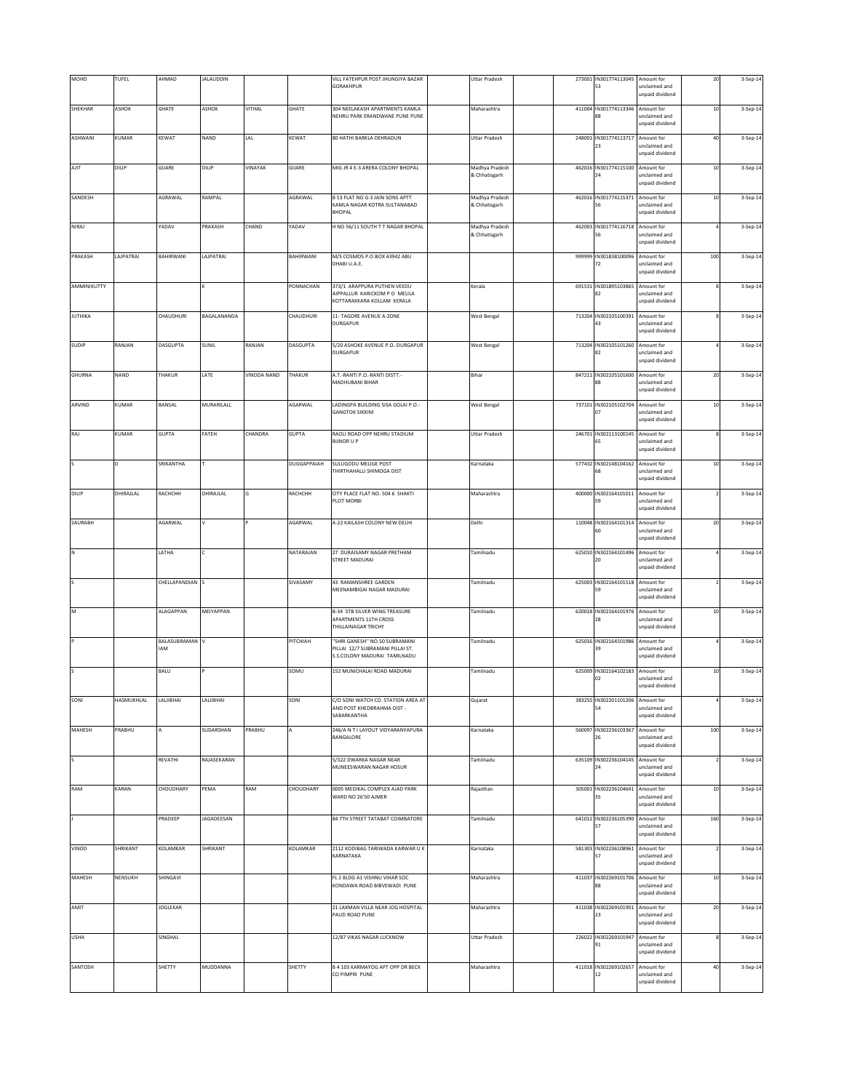| MOHD                     | TUFEL           | AHMAD               | <b>JALAUDDIN</b>  |                    |              | VILL FATEHPUR POST JHUNGIYA BAZAR<br>GORAKHPUR                                                    | <b>Uttar Pradesh</b>            |        | 273001 IN301774113045 Amount for<br>53  | unclaimed and<br>unpaid dividend               | 20     | 3-Sep-14 |
|--------------------------|-----------------|---------------------|-------------------|--------------------|--------------|---------------------------------------------------------------------------------------------------|---------------------------------|--------|-----------------------------------------|------------------------------------------------|--------|----------|
| SHEKHAR                  | ASHOK           | GHATE               | ASHOK             | VITHAL             | GHATE        | 304 NEELAKASH APARTMENTS KAMLA<br>NEHRU PARK ERANDWANE PUNE PUNE                                  | Maharashtra                     |        | 411004 IN301774113346<br>88             | Amount for<br>unclaimed and<br>unpaid dividend | $10$   | 3-Sep-14 |
| ASHWANI                  | KUMAR           | KEWAT               | NAND              | LAL                | KEWAT        | 80 HATHI BARKLA DEHRADUN                                                                          | <b>Uttar Pradesh</b>            |        | 248001 IN301774113717 Amount for<br>23  | unclaimed and<br>unpaid dividend               | 40     | 3-Sep-14 |
| AJIT                     | DILIP           | GIJARE              | DILIP             | VINAYAK            | GIJARE       | MIG JR 4 E-3 ARERA COLONY BHOPAL                                                                  | Madhya Pradesh<br>& Chhatisgarh |        | 462016 IN301774115100 Amount for<br>24  | unclaimed and<br>unpaid dividend               | $10\,$ | 3-Sep-14 |
| SANDESH                  |                 | AGRAWAL             | RAMPAL            |                    | AGRAWAL      | B 53 FLAT NO G-3 JAIN SONS APTT<br>KAMLA NAGAR KOTRA SULTANABAD<br><b>BHOPAL</b>                  | Madhya Pradesh<br>& Chhatisgarh | 462016 | IN301774115371<br>56                    | Amount for<br>unclaimed and<br>unpaid dividend | $10$   | 3-Sep-14 |
| NIRAJ                    |                 | YADAV               | PRAKASH           | CHAND              | YADAV        | H NO 56/11 SOUTH T T NAGAR BHOPAL                                                                 | Madhya Pradesh<br>& Chhatisgarh |        | 462003 IN301774116718 Amount for<br>56  | unclaimed and<br>unpaid dividend               |        | 3-Sep-14 |
| PRAKASH                  | <b>AJPATRAI</b> | BAHIRWANI           | LAJPATRAI         |                    | BAHIRWANI    | M/S COSMOS P.O.BOX 43942 ABU<br>DHABI U.A.E.                                                      |                                 | 999999 | IN301838100096<br>72                    | Amount for<br>unclaimed and<br>unpaid dividend | 100    | 3-Sep-14 |
| AMMINIKUTTY              |                 |                     |                   |                    | PONNACHAN    | 373/1 ARAPPURA PUTHEN VEEDU<br>AIPPALLUR KARICKOM P O MELILA<br>KOTTARAKKARA KOLLAM KERALA        | Kerala                          | 691531 | IN301895103865<br>82                    | Amount for<br>unclaimed and<br>unpaid dividend |        | 3-Sep-14 |
| <b>JUTHIKA</b>           |                 | CHAUDHURI           | BAGALANANDA       |                    | CHAUDHURI    | 11- TAGORE AVENUE A-ZONE<br><b>DURGAPUR</b>                                                       | <b>West Bengal</b>              |        | 713204 IN302105100391 Amount for<br>43  | unclaimed and<br>unpaid dividend               |        | 3-Sep-14 |
| <b>SUDIP</b>             | RANJAN          | DASGUPTA            | SUNIL             | RANJAN             | DASGUPTA     | 5/20 ASHOKE AVENUE P.O.-DURGAPUR<br>DURGAPUR                                                      | <b>West Bengal</b>              |        | 713204 IN302105101260 Amount for        | unclaimed and<br>unpaid dividend               |        | 3-Sep-14 |
| <b>GHURNA</b>            | NAND            | THAKUR              | LATE              | <b>VINODA NAND</b> | THAKUR       | A.T.-RANTI P.O.-RANTI DISTT.-<br>MADHUBANI BIHAR                                                  | Bihar                           | 847211 | IN302105101600<br>88                    | Amount for<br>unclaimed and<br>unpaid dividend | 20     | 3-Sep-14 |
| ARVIND                   | KUMAR           | BANSAL              | MURARILALL        |                    | AGARWAL      | LADINGPA BUILDING SISA GOLAI P.O.-<br><b>GANGTOK SIKKIM</b>                                       | <b>West Bengal</b>              | 737101 | IN302105102704<br>07                    | Amount for<br>unclaimed and<br>unpaid dividend | $10\,$ | 3-Sep-14 |
| RAJ                      | KUMAR           | <b>GUPTA</b>        | FATEH             | CHANDRA            | <b>GUPTA</b> | RAOLI ROAD OPP NEHRU STADIUM<br><b>BIJNOR U P</b>                                                 | <b>Uttar Pradesh</b>            | 246701 | IN302113100145 Amount for<br>55         | unclaimed and<br>unpaid dividend               |        | 3-Sep-14 |
| $\overline{\phantom{a}}$ | D.              | SRIKANTHA           |                   |                    | DUGGAPPAIAH  | SULUGODU MELIGE POST<br>THIRTHAHALLI SHIMOGA DIST                                                 | Karnataka                       |        | 577432 IN302148104162 Amount for<br>68  | unclaimed and<br>unpaid dividend               | $10$   | 3-Sep-14 |
| DILIP                    | DHIRAJLAL       | RACHCHH             | DHIRAJLAL         |                    | RACHCHH      | CITY PLACE FLAT NO. 504 6 SHAKTI<br>PLOT MORBI                                                    | Maharashtra                     | 400000 | IN302164101011 Amount for<br>59         | unclaimed and<br>unpaid dividend               |        | 3-Sep-14 |
| SAURABH                  |                 | AGARWAL             |                   |                    | AGARWAL      | A-22 KAILASH COLONY NEW DELHI                                                                     | Delhi                           | 110048 | IN302164101314 Amount for<br>60         | unclaimed and<br>unpaid dividend               | 20     | 3-Sep-14 |
| $\mathsf N$              |                 | LATHA               |                   |                    | NATARAJAN    | 27 DURAISAMY NAGAR PRETHAM<br><b>STREET MADURAI</b>                                               | Tamilnadu                       | 625010 | IN302164101496                          | Amount for<br>inclaimed and<br>unpaid dividend |        | 3-Sep-14 |
|                          |                 | CHELLAPANDIAN       |                   |                    | SIVASAMY     | 43 RAMANSHREE GARDEN<br>MEENAMBIGAI NAGAR MADURAI                                                 | Tamilnadu                       | 625003 | IN302164101518<br>59                    | Amount for<br>unclaimed and<br>unpaid dividend |        | 3-Sep-14 |
| M                        |                 | ALAGAPPAN           | MEIYAPPAN         |                    |              | <b>B-34 STB SILVER WING TREASURE</b><br>APARTMENTS 11TH CROSS<br>THILLAINAGAR TRICHY              | Tamilnadu                       |        | 620018 IN302164101976<br>28             | Amount for<br>unclaimed and<br>unpaid dividend | 10     | 3-Sep-14 |
|                          |                 | BALASUBRAMAN<br>IAM |                   |                    | PITCHIAH     | "SHRI GANESH" NO.50 SUBRAMANI<br>PILLAI 12/7 SUBRAMANI PILLAI ST.<br>S.S.COLONY MADURAI TAMILNADU | Tamilnadu                       |        | 625016 IN302164101986<br>39             | Amount for<br>unclaimed and<br>unpaid dividend |        | 3-Sep-14 |
|                          |                 | <b>BALU</b>         |                   |                    | SOMU         | 152 MUNICHALAI ROAD MADURAI                                                                       | Tamilnadu                       |        | 625009 IN302164102183 Amount for<br>02  | unclaimed and<br>unpaid dividend               | $10\,$ | 3-Sep-14 |
| SONI                     | HASMUKHLAL      | LALIBHAI            | LALJIBHAI         |                    | SONI         | C/O SONI WATCH CO. STATION AREA AT<br>AND POST KHEDBRAHMA DIST -<br>SABARKANTHA                   | Gujarat                         | 383255 | IN302201101206 Amount for               | unclaimed and<br>unpaid dividend               |        | 3-Sep-14 |
| <b>MAHESH</b>            | PRABHU          |                     | SUDARSHAN         | PRABHU             |              | 246/A N T I LAYOUT VIDYARANYAPURA<br>BANGALORE                                                    | Karnataka                       | 560097 | IN302236103367<br>26                    | Amount for<br>unclaimed and<br>unpaid dividend | 100    | 3-Sep-14 |
| s                        |                 | REVATHI             | RAJASEKARAN       |                    |              | 5/322 DWARKA NAGAR NEAR<br>MUNEESWARAN NAGAR HOSUR                                                | Tamilnadu                       |        | 635109 IN302236104145<br>24             | Amount for<br>unclaimed and<br>unpaid dividend |        | 3-Sep-14 |
| RAM                      | KARAN           | CHOUDHARY           | PEMA              | RAM                | CHOUDHARY    | 0005 MEDIKAL COMPLEX AJAD PARK<br>WARD NO 26'50 AIMER                                             | Rajasthan                       | 305001 | IN302236104641 Amount for<br>35         | unclaimed and<br>unpaid dividend               | $10\,$ | 3-Sep-14 |
|                          |                 | PRADEEP             | <b>JAGADEESAN</b> |                    |              | 84 7TH STREET TATABAT COIMBATORE                                                                  | Tamilnadu                       |        | 641012 IN302236105390 Amount for<br>57  | unclaimed and<br>unpaid dividend               | 160    | 3-Sep-14 |
| VINOD                    | SHRIKANT        | KOLAMKAR            | SHRIKANT          |                    | KOLAMKAR     | 2112 KODIBAG TARIWADA KARWAR U K<br>KARNATAKA                                                     | Karnataka                       |        | 581303 IN302236108961 Amount for        | unclaimed and<br>unpaid dividend               |        | 3-Sep-14 |
| MAHESH                   | NENSUKH         | SHINGAVI            |                   |                    |              | FL 2 BLDG A1 VISHNU VIHAR SOC<br>KONDAWA ROAD BIBVEWADI PUNE                                      | Maharashtra                     |        | 411037 IN302269101706 Amount for<br>RR. | unclaimed and<br>unpaid dividend               | $10\,$ | 3-Sep-14 |
| AMIT                     |                 | <b>JOGLEKAR</b>     |                   |                    |              | 21 LAXMAN VILLA NEAR JOG HOSPITAL<br>PAUD ROAD PUNE                                               | Maharashtra                     | 411038 | IN302269101901                          | Amount for<br>inclaimed and<br>unpaid dividend | 20     | 3-Sep-14 |
| <b>USHA</b>              |                 | SINGHAL             |                   |                    |              | 12/87 VIKAS NAGAR LUCKNOW                                                                         | <b>Uttar Pradesh</b>            | 226022 | IN302269101947<br>91                    | Amount for<br>unclaimed and<br>unpaid dividend |        | 3-Sep-14 |
| SANTOSH                  |                 | SHETTY              | MUDDANNA          |                    | SHETTY       | B 4 103 KARMAYOG APT OPP DR BECK<br>CO PIMPRI PUNE                                                | Maharashtra                     |        | 411018 IN302269102657<br>12             | Amount for<br>unclaimed and<br>unpaid dividend | 40     | 3-Sep-14 |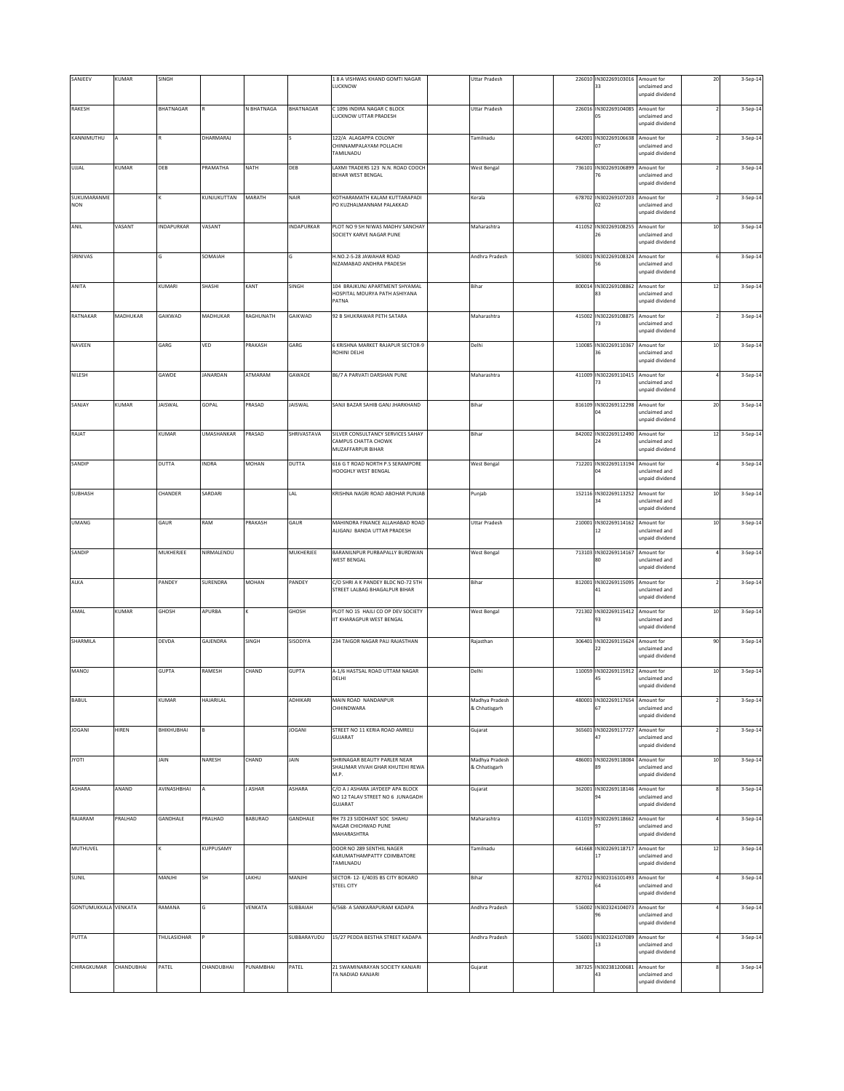| SANJEEV                     | KUMAR      | SINGH             |                   |              |                | 1 8 A VISHWAS KHAND GOMTI NAGAR<br>LUCKNOW                                      | <b>Uttar Pradesh</b>            |        | 226010 IN302269103016 Amount for<br>33             | unclaimed and<br>unpaid dividend                                  | 20     | 3-Sep-14 |
|-----------------------------|------------|-------------------|-------------------|--------------|----------------|---------------------------------------------------------------------------------|---------------------------------|--------|----------------------------------------------------|-------------------------------------------------------------------|--------|----------|
| RAKESH                      |            | <b>BHATNAGAR</b>  |                   | N BHATNAGA   | BHATNAGAR      | C 1096 INDIRA NAGAR C BLOCK<br>LUCKNOW UTTAR PRADESH                            | <b>Uttar Pradesh</b>            |        | 226016 IN302269104085 Amount for<br>05             | unclaimed and<br>unpaid dividend                                  |        | 3-Sep-14 |
| KANNIMUTHU                  |            |                   | DHARMARAJ         |              |                | 122/A ALAGAPPA COLONY<br>CHINNAMPALAYAM POLLACHI<br>TAMILNADU                   | Tamilnadu                       | 642001 | IN302269106638 Amount for                          | unclaimed and<br>unpaid dividend                                  |        | 3-Sep-14 |
| UJJAL                       | KUMAR      | DEB               | PRAMATHA          | NATH         | DEB            | LAXMI TRADERS 123 N.N. ROAD COOCH<br>BEHAR WEST BENGAL                          | <b>West Bengal</b>              | 736101 | IN302269106899<br>76                               | Amount for<br>unclaimed and<br>unpaid dividend                    |        | 3-Sep-14 |
| SUKUMARANME<br><b>NON</b>   |            |                   | KUNJUKUTTAN       | MARATH       | NAIR           | KOTHARAMATH KALAM KUTTARAPADI<br>PO KUZHALMANNAM PALAKKAD                       | Kerala                          |        | 678702 IN302269107203 Amount for<br>02             | unclaimed and<br>unpaid dividend                                  |        | 3-Sep-14 |
| ANIL                        | VASANT     | INDAPURKAR        | VASANT            |              | INDAPURKAR     | PLOT NO 9 SH NIWAS MADHV SANCHAY<br>SOCIETY KARVE NAGAR PUNE                    | Maharashtra                     | 411052 | IN302269108255<br>26                               | Amount for<br>unclaimed and<br>unpaid dividend                    | $10\,$ | 3-Sep-14 |
| SRINIVAS                    |            | G                 | SOMAIAH           |              |                | H.NO.2-5-28 JAWAHAR ROAD<br>NIZAMABAD ANDHRA PRADESH                            | Andhra Pradesh                  | 503001 | IN302269108324<br>56                               | Amount for<br>unclaimed and<br>unpaid dividend                    |        | 3-Sep-14 |
| ANITA                       |            | KUMARI            | SHASHI            | KANT         | SINGH          | 104 BRAJKUNJ APARTMENT SHYAMAL<br>HOSPITAL MOURYA PATH ASHIYANA<br>PATNA        | Bihar                           |        | 800014 IN302269108862 Amount for<br>83             | unclaimed and<br>unpaid dividend                                  | $12\,$ | 3-Sep-14 |
| RATNAKAR                    | MADHUKAR   | GAIKWAD           | MADHUKAR          | RAGHUNATH    | GAIKWAD        | 92 B SHUKRAWAR PETH SATARA                                                      | Maharashtra                     | 415002 | IN302269108875 Amount for<br>73                    | unclaimed and<br>unpaid dividend                                  |        | 3-Sep-14 |
| NAVEEN                      |            | GARG              | VED               | PRAKASH      | GARG           | 6 KRISHNA MARKET RAJAPUR SECTOR-9<br>ROHINI DELHI                               | Delhi                           | 110085 | IN302269110367                                     | Amount for<br>inclaimed and                                       | $10$   | 3-Sep-14 |
| NILESH                      |            | GAWDE             | <b>JANARDAN</b>   | ATMARAM      | GAWADE         | 86/7 A PARVATI DARSHAN PUNE                                                     | Maharashtra                     | 411009 | IN302269110415<br>73                               | unpaid dividend<br>Amount for<br>unclaimed and<br>unpaid dividend |        | 3-Sep-14 |
| SANJAY                      | KUMAR      | JAISWAL           | GOPAL             | PRASAD       | <b>JAISWAL</b> | SANJI BAZAR SAHIB GANJ JHARKHAND                                                | Bihar                           | 816109 | IN302269112298<br>$\overline{a}$                   | Amount for<br>unclaimed and<br>unpaid dividend                    | 20     | 3-Sep-14 |
| RAJAT                       |            | KUMAR             | <b>UMASHANKAR</b> | PRASAD       | SHRIVASTAVA    | SILVER CONSULTANCY SERVICES SAHAY<br>CAMPUS CHATTA CHOWK                        | Bihar                           |        | 842002 IN302269112490 Amount for<br>24             | unclaimed and                                                     | $12\,$ | 3-Sep-14 |
| SANDIP                      |            | <b>DUTTA</b>      | INDRA             | <b>MOHAN</b> | <b>DUTTA</b>   | MUZAFFARPUR BIHAR<br>616 G T ROAD NORTH P.S SERAMPORE<br>HOOGHLY WEST BENGAL    | West Bengal                     |        | 712201 IN302269113194 Amount for<br>$\overline{a}$ | unpaid dividend<br>unclaimed and<br>unpaid dividend               |        | 3-Sep-14 |
| SUBHASH                     |            | CHANDER           | SARDARI           |              | LAL            | KRISHNA NAGRI ROAD ABOHAR PUNJAB                                                | Punjab                          |        | 152116 IN302269113252 Amount for<br>34             | unclaimed and<br>unpaid dividend                                  | $10\,$ | 3-Sep-14 |
| <b>UMANG</b>                |            | GAUR              | RAM               | PRAKASH      | GAUR           | MAHINDRA FINANCE ALLAHABAD ROAD<br>ALIGANJ BANDA UTTAR PRADESH                  | <b>Uttar Pradesh</b>            | 210001 | IN302269114162<br>12                               | Amount for<br>unclaimed and                                       | $10$   | 3-Sep-14 |
| SANDIP                      |            | MUKHERJEE         | NIRMALENDU        |              | MUKHERJEE      | BARANILNPUR PURBAPALLY BURDWAN<br>WEST BENGAL                                   | <b>West Bengal</b>              |        | 713103 IN302269114167<br>BO                        | unpaid dividend<br>Amount for<br>unclaimed and                    |        | 3-Sep-14 |
| ALKA                        |            | PANDEY            | SURENDRA          | MOHAN        | PANDEY         | C/O SHRI A K PANDEY BLDC NO-72 STH<br>STREET LALBAG BHAGALPUR BIHAR             | Bihar                           | 812001 | IN302269115095 Amount for<br>41                    | unpaid dividend<br>unclaimed and<br>unpaid dividend               |        | 3-Sep-14 |
| AMAL                        | KUMAR      | GHOSH             | APURBA            |              | GHOSH          | PLOT NO 15 HAJLI CO OP DEV SOCIETY<br>IT KHARAGPUR WEST BENGAL                  | <b>West Bengal</b>              |        | 721302 IN302269115412 Amount for<br>93             | unclaimed and<br>unpaid dividend                                  | $10$   | 3-Sep-14 |
| SHARMILA                    |            | DEVDA             | GAJENDRA          | SINGH        | SISODIYA       | 234 TAIGOR NAGAR PALI RAJASTHAN                                                 | Rajasthan                       |        | 306401 IN302269115624 Amount for<br>22             | unclaimed and<br>unpaid dividend                                  | 90     | 3-Sep-14 |
| MANOJ                       |            | <b>GUPTA</b>      | RAMESH            | CHAND        | <b>GUPTA</b>   | A-1/6 HASTSAL ROAD UTTAM NAGAR<br>DELHI                                         | Delhi                           |        | 110059 IN302269115912 Amount for<br>45             | unclaimed and<br>unpaid dividend                                  | $10\,$ | 3-Sep-14 |
| BABUL                       |            | KUMAR             | HAJARILAL         |              | ADHIKARI       | MAIN ROAD NANDANPUR<br>CHHINDWARA                                               | Madhya Pradesh<br>& Chhatisgarh | 480001 | IN302269117654                                     | Amount for<br>unclaimed and<br>unpaid dividend                    |        | 3-Sep-14 |
| <b>JOGANI</b>               | HIREN      | <b>BHIKHUBHAI</b> |                   |              | JOGANI         | STREET NO 11 KERIA ROAD AMRELI<br>GUJARAT                                       | Gujarat                         |        | 365601 IN302269117727<br>47                        | Amount for<br>unclaimed and<br>unpaid dividend                    |        | 3-Sep-14 |
| <b>ITOYL</b>                |            | JAIN              | NARESH            | CHAND        | JAIN           | SHRINAGAR BEAUTY PARLER NEAR<br>SHALIMAR VIVAH GHAR KHUTEHI REWA<br>M.P.        | Madhya Pradesh<br>& Chhatisgarh |        | 486001 IN302269118084 Amount for<br>89             | unclaimed and<br>unpaid dividend                                  | $10\,$ | 3-Sep-14 |
| ASHARA                      | ANAND      | AVINASHBHAI       |                   | J ASHAR      | ASHARA         | C/O A J ASHARA JAYDEEP APA BLOCK<br>NO 12 TALAV STREET NO 6 JUNAGADH<br>GUJARAT | Gujarat                         | 362001 | IN302269118146<br>94                               | Amount for<br>unclaimed and<br>unpaid dividend                    |        | 3-Sep-14 |
| RAJARAM                     | PRALHAD    | GANDHALE          | PRALHAD           | BABURAO      | GANDHALE       | RH 73 23 SIDDHANT SOC SHAHU<br>NAGAR CHICHWAD PUNE<br>MAHARASHTRA               | Maharashtra                     |        | 411019 IN302269118662 Amount for                   | unclaimed and<br>unpaid dividend                                  |        | 3-Sep-14 |
| MUTHUVEL                    |            |                   | KUPPUSAMY         |              |                | DOOR NO 289 SENTHIL NAGER<br>KARUMATHAMPATTY COIMBATORE                         | Tamilnadu                       |        | 641668 IN302269118717 Amount for                   | unclaimed and                                                     | $12\,$ | 3-Sep-14 |
| SUNIL                       |            | MANJHI            | SH                | LAKHU        | <b>HUAN</b>    | TAMILNADU<br>SECTOR- 12- E/4035 BS CITY BOKARO<br>STEEL CITY                    | Bihar                           |        | 827012 IN302316101493<br>54                        | unpaid dividend<br>Amount for<br>unclaimed and<br>unpaid dividend |        | 3-Sep-14 |
| <b>GONTUMUKKALA VENKATA</b> |            | RAMANA            |                   | VENKATA      | SUBBAIAH       | 6/568- A SANKARAPURAM KADAPA                                                    | Andhra Pradesh                  |        | 516002 IN302324104073                              | Amount for<br>unclaimed and<br>unpaid dividend                    |        | 3-Sep-14 |
| PUTTA                       |            | THULASIDHAR       |                   |              | SUBBARAYUDU    | 15/27 PEDDA BESTHA STREET KADAPA                                                | Andhra Pradesh                  |        | 516001 IN302324107089<br>13                        | Amount for<br>unclaimed and<br>unpaid dividend                    |        | 3-Sep-14 |
| CHIRAGKUMAR                 | CHANDUBHAI | PATEL             | CHANDUBHAI        | PUNAMBHAI    | PATEL          | 21 SWAMINARAYAN SOCIETY KANJARI<br>TA NADIAD KANJARI                            | Gujarat                         |        | 387325 IN302381200681<br>43                        | Amount for<br>unclaimed and<br>unpaid dividend                    |        | 3-Sep-14 |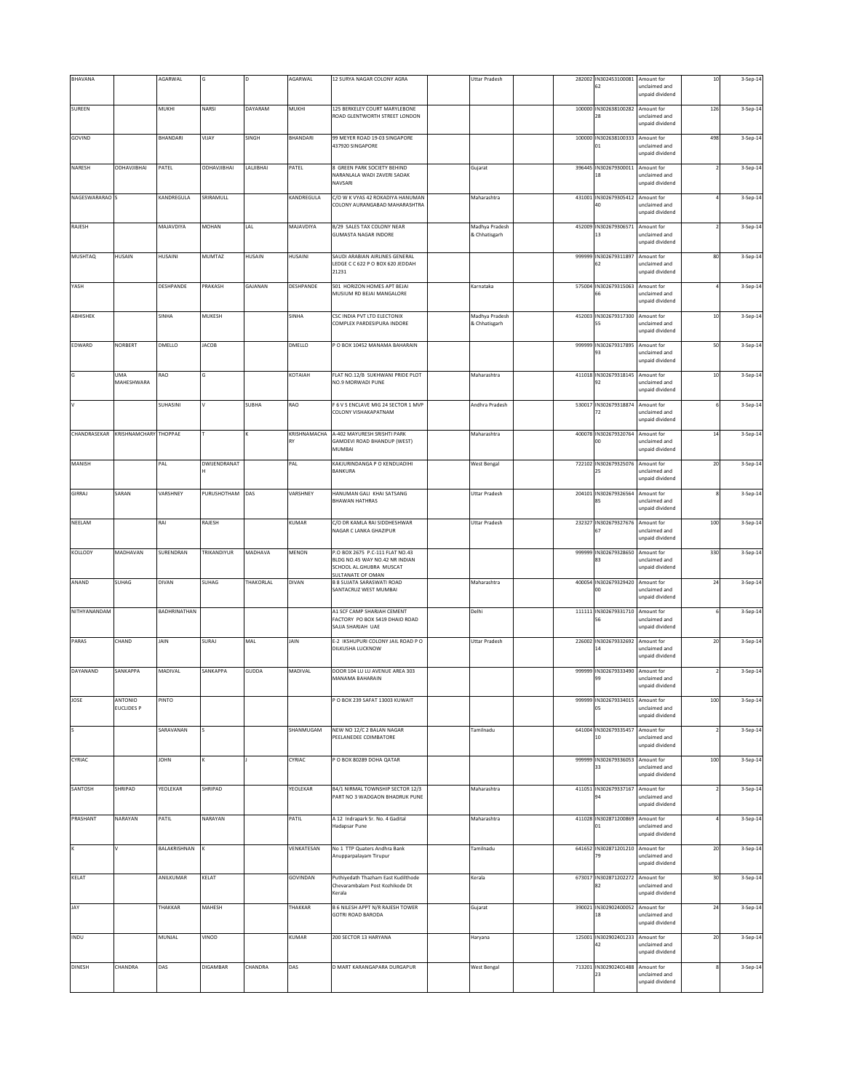| BHAVANA        |                              | AGARWAL      |                    |              | AGARWAL      | 12 SURYA NAGAR COLONY AGRA                                                                                        | <b>Uttar Pradesh</b>            |  | 282002 IN302453100081<br>62            | Amount for<br>unclaimed and<br>unpaid dividend                    | $10\,$ | 3-Sep-14 |
|----------------|------------------------------|--------------|--------------------|--------------|--------------|-------------------------------------------------------------------------------------------------------------------|---------------------------------|--|----------------------------------------|-------------------------------------------------------------------|--------|----------|
| SUREEN         |                              | MUKHI        | NARSI              | DAYARAM      | MUKHI        | 125 BERKELEY COURT MARYLEBONE<br>ROAD GLENTWORTH STREET LONDON                                                    |                                 |  | 100000 IN302638100282<br>28            | Amount for<br>unclaimed and<br>unpaid dividend                    | 126    | 3-Sep-14 |
| GOVIND         |                              | BHANDARI     | VIJAY              | SINGH        | BHANDARI     | 99 MEYER ROAD 19-03 SINGAPORE<br>437920 SINGAPORE                                                                 |                                 |  | 100000 IN302638100333 Amount for<br>01 | unclaimed and<br>unpaid dividend                                  | 498    | 3-Sep-14 |
| NARESH         | <b>ODHAVJIBHAI</b>           | PATEL        | <b>ODHAVJIBHAI</b> | LALJIBHAI    | PATEL        | 8 GREEN PARK SOCIETY BEHIND<br>NARANLALA WADI ZAVERI SADAK<br>NAVSARI                                             | Gujarat                         |  | 396445 IN302679300011<br>18            | Amount for<br>unclaimed and<br>unpaid dividend                    |        | 3-Sep-14 |
| NAGESWARARAO S |                              | KANDREGULA   | SRIRAMULL          |              | KANDREGULA   | C/O W K VYAS 42 ROKADIYA HANUMAN<br>COLONY AURANGABAD MAHARASHTRA                                                 | Maharashtra                     |  | 431001 IN302679305412<br>40            | Amount for<br>unclaimed and<br>unpaid dividend                    |        | 3-Sep-14 |
| RAJESH         |                              | MAJAVDIYA    | MOHAN              | LAL          | MAJAVDIYA    | B/29 SALES TAX COLONY NEAR<br><b>GUMASTA NAGAR INDORE</b>                                                         | Madhya Pradesh<br>& Chhatisgarh |  | 452009 IN302679306571<br>13            | Amount for<br>unclaimed and                                       |        | 3-Sep-14 |
| <b>MUSHTAQ</b> | HUSAIN                       | HUSAINI      | MUMTAZ             | HUSAIN       | HUSAINI      | SAUDI ARABIAN AIRLINES GENERAL<br>LEDGE C C 622 P O BOX 620 JEDDAH<br>21231                                       |                                 |  | 999999 IN302679311897<br>62            | unpaid dividend<br>Amount for<br>unclaimed and<br>unpaid dividend | 80     | 3-Sep-14 |
| YASH           |                              | DESHPANDE    | PRAKASH            | GAJANAN      | DESHPANDE    | 501 HORIZON HOMES APT BEJAI<br>MUSIUM RD BEJAI MANGALORE                                                          | Karnataka                       |  | 575004 IN302679315063<br>66            | Amount for<br>unclaimed and<br>unpaid dividend                    |        | 3-Sep-14 |
| ABHISHEK       |                              | SINHA        | MUKESH             |              | SINHA        | CSC INDIA PVT LTD ELECTONIX<br>COMPLEX PARDESIPURA INDORE                                                         | Madhya Pradesh<br>& Chhatisgarh |  | 452003 IN302679317300<br>55            | Amount for<br>unclaimed and                                       | $10\,$ | 3-Sep-14 |
| EDWARD         | NORBERT                      | DMELLO       | JACOB              |              | DMELLO       | P O BOX 10452 MANAMA BAHARAIN                                                                                     |                                 |  | 999999 IN302679317895<br>93            | unpaid dividend<br>Amount for<br>unclaimed and<br>unpaid dividend | 50     | 3-Sep-14 |
| G              | UMA<br>MAHESHWARA            | RAO          | G                  |              | KOTAIAH      | FLAT NO.12/B SUKHWANI PRIDE PLOT<br>NO.9 MORWADI PUNE                                                             | Maharashtra                     |  | 411018 IN302679318145<br>92            | Amount for<br>unclaimed and                                       | $10$   | 3-Sep-14 |
| v              |                              | SUHASINI     |                    | <b>SUBHA</b> | RAO          | F 6 V S ENCLAVE MIG 24 SECTOR 1 MVP<br>COLONY VISHAKAPATNAM                                                       | Andhra Pradesh                  |  | 530017 IN302679318874<br>72            | <b>unpaid</b> dividend<br>Amount for<br>unclaimed and             |        | 3-Sep-14 |
| CHANDRASEKAR   | KRISHNAMCHARY THOPPAE        |              |                    |              | KRISHNAMACHA | A-402 MAYURESH SRISHTI PARK                                                                                       | Maharashtra                     |  | 400078 IN302679320764                  | unpaid dividend<br>Amount for                                     | 14     | 3-Sep-14 |
| MANISH         |                              | PAL          | DWIJENDRANAT       |              | RY<br>PAL    | GAMDEVI ROAD BHANDUP (WEST)<br>MUMBAI<br>KAKJURINDANGA P O KENDUADIHI                                             | <b>West Bengal</b>              |  | 00<br>722102 IN302679325076            | unclaimed and<br>unpaid dividend<br>Amount for                    | 20     | 3-Sep-14 |
|                |                              |              |                    |              |              | BANKURA                                                                                                           |                                 |  | 25                                     | unclaimed and<br>unpaid dividend                                  |        |          |
| GIRRAJ         | SARAN                        | VARSHNEY     | PURUSHOTHAM DAS    |              | VARSHNEY     | HANUMAN GALI KHAI SATSANG<br><b>BHAWAN HATHRAS</b>                                                                | <b>Uttar Pradesh</b>            |  | 204101 IN302679326564 Amount for<br>85 | unclaimed and<br>unpaid dividend                                  | R      | 3-Sep-14 |
| NEELAM         |                              | RAI          | RAJESH             |              | KUMAR        | C/O DR KAMLA RAI SIDDHESHWAR<br>NAGAR C LANKA GHAZIPUR                                                            | <b>Uttar Pradesh</b>            |  | 232327 IN302679327676<br>67            | Amount for<br>unclaimed and<br>unpaid dividend                    | 100    | 3-Sep-14 |
| KOLLODY        | MADHAVAN                     | SURENDRAN    | TRIKANDIYUR        | MADHAVA      | MENON        | P.O BOX 2675 P.C-111 FLAT NO.43<br>BLDG NO.45 WAY NO.42 NR INDIAN<br>SCHOOL AL.GHUBRA MUSCAT<br>SULTANATE OF OMAN |                                 |  | 999999 IN302679328650<br>83            | Amount for<br>nclaimed and<br>unpaid dividend                     | 330    | 3-Sep-14 |
| ANAND          | SUHAG                        | DIVAN        | SUHAG              | THAKORLAL    | <b>DIVAN</b> | <b>B 8 SUJATA SARASWATI ROAD</b><br>SANTACRUZ WEST MUMBAI                                                         | Maharashtra                     |  | 400054 IN302679329420<br>00            | Amount for<br>unclaimed and<br>inpaid dividend                    | 24     | 3-Sep-14 |
| NITHYANANDAM   |                              | BADHRINATHAN |                    |              |              | A1 SCF CAMP SHARJAH CEMENT<br>FACTORY PO BOX 5419 DHAID ROAD<br>SAJJA SHARJAH UAE                                 | Delhi                           |  | 111111 IN302679331710<br>56            | Amount for<br>unclaimed and<br>unpaid dividend                    |        | 3-Sep-14 |
| PARAS          | CHAND                        | JAIN         | SURAJ              | MAL          | JAIN         | E-2 IKSHUPURI COLONY JAIL ROAD P O<br>DILKUSHA LUCKNOW                                                            | Uttar Pradesh                   |  | 226002 IN302679332692<br>$14\,$        | Amount for<br>unclaimed and<br>unpaid dividend                    | $20\,$ | 3-Sep-14 |
| DAYANAND       | SANKAPPA                     | MADIVAL      | SANKAPPA           | GUDDA        | MADIVAL      | DOOR 104 LU LU AVENUE AREA 303<br>MANAMA BAHARAIN                                                                 |                                 |  | 999999 IN302679333490<br>99            | Amount for<br>unclaimed and<br>unpaid dividend                    |        | 3-Sep-14 |
| JOSE           | ANTONIO<br><b>EUCLIDES P</b> | PINTO        |                    |              |              | P O BOX 239 SAFAT 13003 KUWAIT                                                                                    |                                 |  | 999999 IN302679334015<br>05            | Amount for<br>inclaimed and<br>unpaid dividend                    | 100    | 3-Sep-14 |
| ls             |                              | SARAVANAN    |                    |              | SHANMUGAM    | NEW NO 12/C 2 BALAN NAGAR<br>PEELANEDEE COIMBATORE                                                                | Tamilnadu                       |  | 641004 IN302679335457<br>10            | Amount for<br>inclaimed and<br>unpaid dividend                    |        | 3-Sep-14 |
| CYRIAC         |                              | <b>NHOL</b>  |                    |              | CYRIAC       | P O BOX 80289 DOHA QATAR                                                                                          |                                 |  | 999999 IN302679336053<br>33            | Amount for<br>unclaimed and<br>unpaid dividend                    | 100    | 3-Sep-14 |
| SANTOSH        | SHRIPAD                      | YEOLEKAR     | SHRIPAD            |              | YEOLEKAR     | B4/1 NIRMAL TOWNSHIP SECTOR 12/3<br>PART NO 3 WADGAON BHADRUK PUNE                                                | Maharashtra                     |  | 411051 IN302679337167<br>94            | Amount for<br>unclaimed and<br>unpaid dividend                    |        | 3-Sep-14 |
| PRASHANT       | NARAYAN                      | PATIL        | NARAYAN            |              | PATIL        | A 12 Indrapark Sr. No. 4 Gadital<br>Hadapsar Pune                                                                 | Maharashtra                     |  | 411028 IN302871200869<br>$_{01}$       | Amount for<br>unclaimed and<br>unpaid dividend                    |        | 3-Sep-14 |
|                |                              | BALAKRISHNAN |                    |              | VENKATESAN   | No 1 TTP Quaters Andhra Bank<br>Anupparpalayam Tirupur                                                            | Tamilnadu                       |  | 641652 IN302871201210<br>79            | Amount for<br>unclaimed and<br>unpaid dividend                    | $20\,$ | 3-Sep-14 |
| KELAT          |                              | ANILKUMAR    | KELAT              |              | GOVINDAN     | Puthiyedath Thazham East Kudilthode<br>Chevarambalam Post Kozhikode Dt<br>Kerala                                  | Kerala                          |  | 673017 IN302871202272<br>82            | Amount for<br>unclaimed and<br>unpaid dividend                    | 30     | 3-Sep-14 |
| JAY            |                              | THAKKAR      | MAHESH             |              | THAKKAR      | B 6 NILESH APPT N/R RAJESH TOWER<br>GOTRI ROAD BARODA                                                             | Gujarat                         |  | 390021 IN302902400052<br>18            | Amount for<br>nclaimed and<br>unpaid dividend                     | 24     | 3-Sep-14 |
| INDU           |                              | MUNJAL       | VINOD              |              | KUMAR        | 200 SECTOR 13 HARYANA                                                                                             | Haryana                         |  | 125001 IN302902401233<br>42            | Amount for<br>unclaimed and<br>inpaid dividend                    | $20\,$ | 3-Sep-14 |
| <b>DINESH</b>  | CHANDRA                      | DAS          | DIGAMBAR           | CHANDRA      | DAS          | D MART KARANGAPARA DURGAPUR                                                                                       | <b>West Bengal</b>              |  | 713201 IN302902401488<br>23            | Amount for<br>unclaimed and<br>unpaid dividend                    |        | 3-Sep-14 |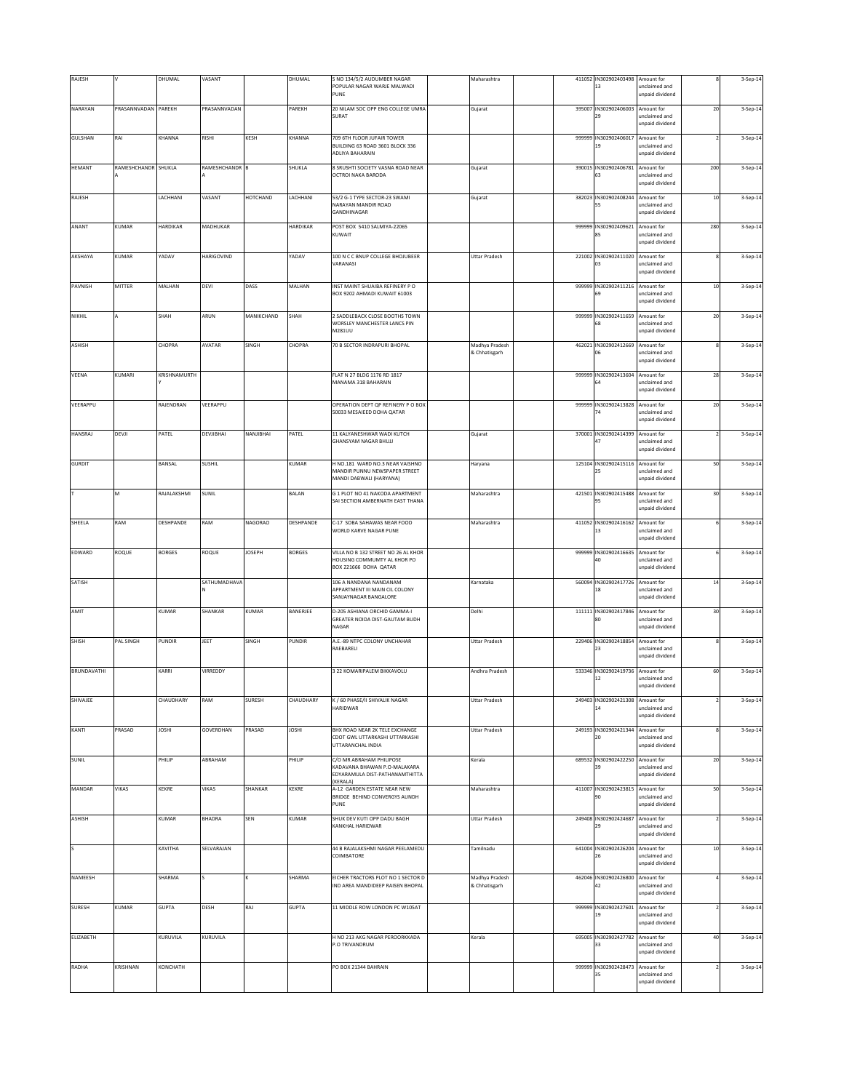| RAJESH             |                     | DHUMAL        | VASANT         |               | DHUMAL        | S NO 134/5/2 AUDUMBER NAGAR                                                       | Maharashtra                     |        | 411052 IN302902403498                  | Amount for                                     |        | 3-Sep-14 |
|--------------------|---------------------|---------------|----------------|---------------|---------------|-----------------------------------------------------------------------------------|---------------------------------|--------|----------------------------------------|------------------------------------------------|--------|----------|
|                    |                     |               |                |               |               | POPULAR NAGAR WARJE MALWADI<br>PUNE                                               |                                 |        | 13                                     | unclaimed and<br>unpaid dividend               |        |          |
| NARAYAN            | PRASANNVADAN PAREKH |               | PRASANNVADAN   |               | PAREKH        | 20 NILAM SOC OPP ENG COLLEGE UMRA<br>SURAT                                        | Gujarat                         | 395007 | IN302902406003 Amount for<br>29        | unclaimed and                                  | $20\,$ | 3-Sep-14 |
| GULSHAN            | RAI                 | KHANNA        | RISHI          | KESH          | KHANNA        | 709 6TH FLOOR JUFAIR TOWER                                                        |                                 | 999999 | IN302902406017                         | unpaid dividend<br>Amount for                  |        | 3-Sep-14 |
|                    |                     |               |                |               |               | BUILDING 63 ROAD 3601 BLOCK 336<br>ADLIYA BAHARAIN                                |                                 |        |                                        | unclaimed and<br>unpaid dividend               |        |          |
| <b>HEMANT</b>      | RAMESHCHANDR SHUKLA |               | RAMESHCHANDR B |               | SHUKLA        | 8 SRUSHTI SOCIETY VASNA ROAD NEAR<br>OCTROI NAKA BARODA                           | Gujarat                         | 390015 | IN302902406781<br>63                   | Amount for<br>unclaimed and<br>unpaid dividend | 200    | 3-Sep-14 |
| RAJESH             |                     | LACHHANI      | VASANT         | HOTCHAND      | LACHHANI      | 53/2 G-1 TYPE SECTOR-23 SWAMI<br>NARAYAN MANDIR ROAD                              | Gujarat                         |        | 382023 IN302902408244<br>55            | Amount for<br>unclaimed and                    | $10\,$ | 3-Sep-14 |
| ANANT              | KUMAR               | HARDIKAR      | MADHUKAR       |               | HARDIKAR      | GANDHINAGAR<br>POST BOX 5410 SALMIYA-22065                                        |                                 | 999999 | IN302902409621                         | unpaid dividend<br>Amount for                  | 280    | 3-Sep-14 |
|                    |                     |               |                |               |               | KUWAIT                                                                            |                                 |        | 85                                     | unclaimed and<br>unpaid dividend               |        |          |
| AKSHAYA            | KUMAR               | YADAV         | HARIGOVIND     |               | ADAV          | 100 N C C BNUP COLLEGE BHOJUBEER<br>VARANASI                                      | <b>Uttar Pradesh</b>            | 221002 | IN302902411020<br>03                   | Amount for<br>unclaimed and<br>unpaid dividend |        | 3-Sep-14 |
| PAVNISH            | MITTER              | MALHAN        | DEVI           | DASS          | MALHAN        | INST MAINT SHUAIBA REFINERY PO<br>BOX 9202 AHMADI KUWAIT 61003                    |                                 | 999999 | IN302902411216 Amount for<br>69        | unclaimed and                                  | $10\,$ | 3-Sep-14 |
|                    |                     |               |                |               |               |                                                                                   |                                 |        |                                        | unpaid dividend                                |        |          |
| NIKHIL             |                     | SHAH          | ARUN           | MANIKCHAND    | SHAH          | 2 SADDLEBACK CLOSE BOOTHS TOWN<br>WORSLEY MANCHESTER LANCS PIN<br>M281UU          |                                 | 999999 | IN302902411659 Amount for<br>58        | unclaimed and<br>unpaid dividend               | $20\,$ | 3-Sep-14 |
| ASHISH             |                     | CHOPRA        | AVATAR         | SINGH         | CHOPRA        | 70 B SECTOR INDRAPURI BHOPAL                                                      | Madhya Pradesh<br>& Chhatisgarh |        | 462021 IN302902412669                  | Amount for<br>inclaimed and                    |        | 3-Sep-14 |
| VEENA              | KUMARI              | KRISHNAMURTH  |                |               |               | FLAT N 27 BLDG 1176 RD 1817                                                       |                                 | 999999 | IN302902413604                         | unpaid dividend<br>Amount for                  | 28     | 3-Sep-14 |
|                    |                     |               |                |               |               | MANAMA 318 BAHARAIN                                                               |                                 |        | 64                                     | unclaimed and<br>unpaid dividend               |        |          |
| VEERAPPU           |                     | RAJENDRAN     | VEERAPPU       |               |               | OPERATION DEPT OP REFINERY P O BOX<br>50033 MESAIEED DOHA QATAR                   |                                 | 999999 | IN302902413828 Amount for<br>74        | unclaimed and<br>unpaid dividend               | 20     | 3-Sep-14 |
| <b>HANSRAJ</b>     | DEVJI               | PATEL         | DEVJIBHAI      | NANJIBHAI     | PATEL         | 11 KALYANESHWAR WADI KUTCH<br><b>GHANSYAM NAGAR BHUJJ</b>                         | Gujarat                         | 370001 | IN302902414399                         | Amount for<br>unclaimed and                    |        | 3-Sep-14 |
| <b>GURDIT</b>      |                     | BANSAL        | <b>SUSHIL</b>  |               | KUMAR         | H NO.181 WARD NO.3 NEAR VAISHNO                                                   | Haryana                         |        | 125104 IN302902415116 Amount for       | unpaid dividend                                | 50     | 3-Sep-14 |
|                    |                     |               |                |               |               | MANDIR PUNNU NEWSPAPER STREET<br>MANDI DABWALI (HARYANA)                          |                                 |        | 25                                     | unclaimed and<br>unpaid dividend               |        |          |
|                    | М                   | RAJALAKSHMI   | SUNIL          |               | BALAN         | G 1 PLOT NO 41 NAKODA APARTMENT<br>SAI SECTION AMBERNATH EAST THANA               | Maharashtra                     |        | 421501 IN302902415488 Amount for<br>95 | unclaimed and<br>unpaid dividend               | 30     | 3-Sep-14 |
| SHEELA             | RAM                 | DESHPANDE     | RAM            | NAGORAO       | DESHPANDE     | C-17 SOBA SAHAWAS NEAR FOOD<br>WORLD KARVE NAGAR PUNE                             | Maharashtra                     | 411052 | IN302902416162<br>13                   | Amount for<br>unclaimed and                    |        | 3-Sep-14 |
| EDWARD             | ROQUE               | <b>BORGES</b> | ROQUE          | <b>JOSEPH</b> | <b>BORGES</b> | VILLA NO B 132 STREET NO 26 AL KHOR<br>HOUSING COMMUMTY AL KHOR PO                |                                 | 999999 | IN302902416635<br>40                   | unpaid dividend<br>Amount for<br>unclaimed and |        | 3-Sep-14 |
|                    |                     |               |                |               |               | BOX 221666 DOHA QATAR                                                             |                                 |        |                                        | unpaid dividend                                |        |          |
| SATISH             |                     |               | SATHUMADHAVA   |               |               | 106 A NANDANA NANDANAM<br>APPARTMENT III MAIN CIL COLONY<br>SANJAYNAGAR BANGALORE | Karnataka                       | 560094 | IN302902417726 Amount for<br>18        | unclaimed and<br>unpaid dividend               | $14\,$ | 3-Sep-14 |
| AMIT               |                     | KUMAR         | SHANKAR        | KUMAR         | BANERJEE      | D-205 ASHIANA ORCHID GAMMA-I<br>GREATER NOIDA DIST-GAUTAM BUDH<br>NAGAR           | Delhi                           |        | 111111 IN302902417846<br>80            | Amount for<br>unclaimed and<br>unpaid dividend | 30     | 3-Sep-14 |
| SHISH              | PAL SINGH           | PUNDIR        | JEET           | <b>SINGH</b>  | PUNDIR        | A.E.-89 NTPC COLONY UNCHAHAR<br>RAEBARELI                                         | <b>Uttar Pradesh</b>            |        | 229406 IN302902418854 Amount for<br>23 | unclaimed and                                  |        | 3-Sep-14 |
| <b>BRUNDAVATHI</b> |                     | KARRI         | VIRREDDY       |               |               | 3 22 KOMARIPALEM BIKKAVOLU                                                        | Andhra Pradesh                  |        | 533346 IN302902419736 Amount for       | unpaid dividend                                | 60     | 3-Sep-14 |
|                    |                     |               |                |               |               |                                                                                   |                                 |        | 12                                     | unclaimed and<br>unpaid dividend               |        |          |
| SHIVAJEE           |                     | CHAUDHARY     | RAM            | SURESH        | CHAUDHARY     | K / 60 PHASE/II SHIVALIK NAGAR<br>HARIDWAR                                        | <b>Uttar Pradesh</b>            |        | 249403 IN302902421308                  | Amount for<br>unclaimed and<br>unpaid dividend |        | 3-Sep-14 |
| KANTI              | PRASAD              | <b>JOSHI</b>  | GOVERDHAN      | PRASAD        | <b>IHZOL</b>  | BHX ROAD NEAR 2K TELE EXCHANGE<br>CDOT GWL UTTARKASHI UTTARKASHI                  | Uttar Pradesh                   |        | 249193 IN302902421344<br>20            | Amount for<br>unclaimed and                    |        | 3-Sep-14 |
| SUNIL              |                     | PHILIP        | ABRAHAM        |               | PHILIP        | UTTARANCHAL INDIA<br>C/O MR ABRAHAM PHILIPOSE                                     | Kerala                          | 689532 | IN302902422250 Amount for              | unpaid dividend                                | $20\,$ | 3-Sep-14 |
|                    |                     |               |                |               |               | KADAVANA BHAWAN P.O-MALAKARA<br>EDYARAMULA DIST-PATHANAMTHITTA<br>(KERALA)        |                                 |        | 39                                     | unclaimed and<br>unpaid dividend               |        |          |
| MANDAR             | VIKAS               | KEKRE         | VIKAS          | SHANKAR       | KEKRE         | A-12 GARDEN ESTATE NEAR NEW<br>BRIDGE BEHIND CONVERGYS AUNDH<br>PUNE              | Maharashtra                     | 411007 | IN302902423815<br>90                   | Amount for<br>unclaimed and<br>unpaid dividend | 50     | 3-Sep-14 |
| ASHISH             |                     | KUMAR         | <b>BHADRA</b>  | SEN           | KUMAR         | SHUK DEV KUTI OPP DADU BAGH<br>KANKHAL HARIDWAR                                   | <b>Uttar Pradesh</b>            |        | 249408 IN302902424687 Amount for<br>29 | unclaimed and<br>unpaid dividend               |        | 3-Sep-14 |
|                    |                     | KAVITHA       | SELVARAJAN     |               |               | 44 B RAJALAKSHMI NAGAR PEELAMEDU<br>COIMBATORE                                    | Tamilnadu                       |        | 641004 IN302902426204 Amount for<br>26 | unclaimed and                                  | $10\,$ | 3-Sep-14 |
| NAMEESH            |                     | SHARMA        |                |               | SHARMA        | EICHER TRACTORS PLOT NO 1 SECTOR D                                                | Madhya Pradesh                  |        | 462046 IN302902426800                  | unpaid dividend<br>Amount for                  |        | 3-Sep-14 |
|                    |                     |               |                |               |               | IND AREA MANDIDEEP RAISEN BHOPAL                                                  | & Chhatisgarh                   |        | 42                                     | unclaimed and<br>unpaid dividend               |        |          |
| <b>SURESH</b>      | KUMAR               | GUPTA         | DESH           | RAJ           | <b>GUPTA</b>  | 11 MIDDLE ROW LONDON PC W105AT                                                    |                                 | 999999 | IN302902427601<br>19                   | Amount for<br>unclaimed and<br>unpaid dividend |        | 3-Sep-14 |
| ELIZABETH          |                     | KURUVILA      | KURUVILA       |               |               | H NO 213 AKG NAGAR PEROORKKADA<br>P.O TRIVANDRUM                                  | Kerala                          | 695005 | IN302902427782 Amount for<br>33        | unclaimed and                                  | 40     | 3-Sep-14 |
| RADHA              | KRISHNAN            | KONCHATH      |                |               |               | PO BOX 21344 BAHRAIN                                                              |                                 | 999999 | IN302902428473                         | unpaid dividend<br>Amount for                  |        | 3-Sep-14 |
|                    |                     |               |                |               |               |                                                                                   |                                 |        | 35                                     | unclaimed and<br>unpaid dividend               |        |          |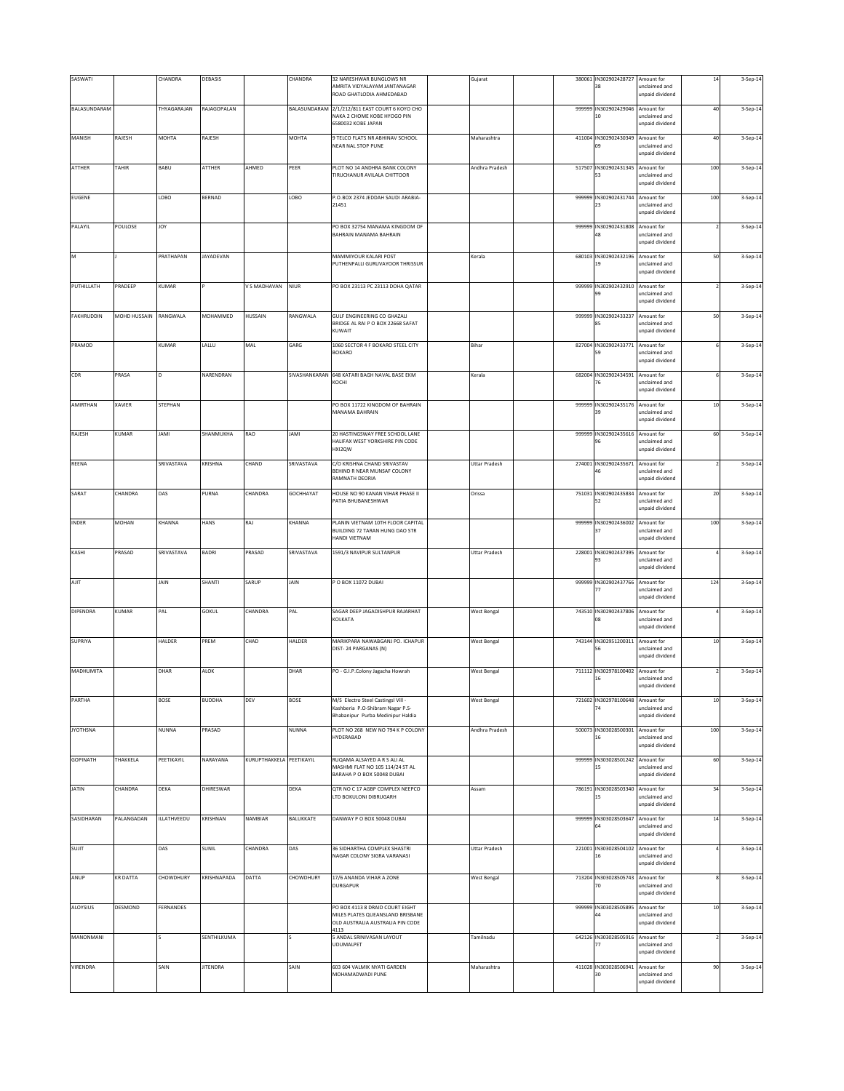| SASWATI         |              | CHANDRA          | DEBASIS          |                          | CHANDRA       | 32 NARESHWAR BUNGLOWS NR<br>AMRITA VIDYALAYAM JANTANAGAR<br>ROAD GHATLODIA AHMEDABAD                            | Gujarat              | 380061 | IN302902428727 Amount for<br>38        | unclaimed and<br>unpaid dividend               | 14             | 3-Sep-14 |
|-----------------|--------------|------------------|------------------|--------------------------|---------------|-----------------------------------------------------------------------------------------------------------------|----------------------|--------|----------------------------------------|------------------------------------------------|----------------|----------|
| BALASUNDARAM    |              | THYAGARAJAN      | RAJAGOPALAN      |                          | BALASUNDARAM  | 2/1/212/811 EAST COURT 6 KOYO CHO<br>NAKA 2 CHOME KOBE HYOGO PIN<br>6580032 KOBE JAPAN                          |                      | 999999 | IN302902429046<br>10                   | Amount for<br>unclaimed and<br>unpaid dividend | 40             | 3-Sep-14 |
| MANISH          | RAJESH       | MOHTA            | RAJESH           |                          | MOHTA         | 9 TELCO FLATS NR ABHINAV SCHOOL<br><b>NEAR NAL STOP PUNE</b>                                                    | Maharashtra          |        | 411004 IN302902430349 Amount for<br>m  | unclaimed and<br>unpaid dividend               | $40\,$         | 3-Sep-14 |
| ATTHER          | TAHIR        | BABU             | ATTHER           | AHMED                    | PEER          | PLOT NO 14 ANDHRA BANK COLONY<br>TIRUCHANUR AVILALA CHITTOOR                                                    | Andhra Pradesh       | 517507 | IN302902431345 Amount for<br>53        | unclaimed and<br>unpaid dividend               | 100            | 3-Sep-14 |
| EUGENE          |              | LOBO             | BERNAD           |                          | LOBO          | P.O.BOX 2374 JEDDAH SAUDI ARABIA-<br>21451                                                                      |                      | 999999 | IN302902431744<br>23                   | Amount for<br>unclaimed and<br>unpaid dividend | 100            | 3-Sep-14 |
| PALAYIL         | POULOSE      | <b>JOY</b>       |                  |                          |               | PO BOX 32754 MANAMA KINGDOM OF<br>BAHRAIN MANAMA BAHRAIN                                                        |                      | 999999 | IN302902431808<br>48                   | Amount for<br>unclaimed and<br>unpaid dividend | $\overline{ }$ | 3-Sep-14 |
| M               |              | PRATHAPAN        | <b>JAYADEVAN</b> |                          |               | MAMMIYOUR KALARI POST<br>PUTHENPALLI GURUVAYOOR THRISSUR                                                        | Kerala               |        | 680103 IN302902432196<br>19            | Amount for<br>unclaimed and<br>unpaid dividend | 50             | 3-Sep-14 |
| PUTHILLATH      | PRADEEP      | KUMAR            |                  | V S MADHAVAN             | <b>NIUR</b>   | PO BOX 23113 PC 23113 DOHA QATAR                                                                                |                      | 999999 | IN302902432910 Amount for<br>99        | unclaimed and<br>unpaid dividend               |                | 3-Sep-14 |
| FAKHRUDDIN      | MOHD HUSSAIN | RANGWALA         | MOHAMMED         | <b>HUSSAIN</b>           | RANGWALA      | GULF ENGINEERING CO GHAZALI<br>BRIDGE AL RAI P O BOX 22668 SAFAT<br>KUWAIT                                      |                      | 999999 | IN302902433237 Amount for<br>85        | unclaimed and<br>unpaid dividend               | 50             | 3-Sep-14 |
| PRAMOD          |              | KUMAR            | LALLU            | MAL                      | GARG          | 1060 SECTOR 4 F BOKARO STEEL CITY<br><b>BOKARO</b>                                                              | Bihar                |        | 827004 IN302902433771 Amount for       | inclaimed and<br>unpaid dividend               |                | 3-Sep-14 |
| CDR             | PRASA        | D                | NARENDRAN        |                          | SIVASHANKARAN | 648 KATARI BAGH NAVAL BASE EKM<br>KOCHI                                                                         | Kerala               | 682004 | IN302902434591<br>76                   | Amount for<br>unclaimed and<br>unpaid dividend |                | 3-Sep-14 |
| AMIRTHAN        | XAVIER       | STEPHAN          |                  |                          |               | PO BOX 11722 KINGDOM OF BAHRAIN<br><b>MANAMA BAHRAIN</b>                                                        |                      | 999999 | IN302902435176<br>39                   | Amount for<br>unclaimed and<br>unpaid dividend | $10\,$         | 3-Sep-14 |
| RAJESH          | KUMAR        | <b>JAMI</b>      | SHANMUKHA        | RAO                      | <b>IMAL</b>   | 20 HASTINGSWAY FREE SCHOOL LANE<br>HALIFAX WEST YORKSHIRE PIN CODE<br>HXI2QW                                    |                      | 999999 | IN302902435616<br>96                   | Amount for<br>unclaimed and<br>unpaid dividend | 60             | 3-Sep-14 |
| REENA           |              | SRIVASTAVA       | KRISHNA          | CHAND                    | SRIVASTAVA    | C/O KRISHNA CHAND SRIVASTAV<br>BEHIND R NEAR MUNSAF COLONY<br>RAMNATH DEORIA                                    | <b>Uttar Pradesh</b> |        | 274001 IN302902435671 Amount for<br>46 | unclaimed and<br>unpaid dividend               |                | 3-Sep-14 |
| SARAT           | CHANDRA      | DAS              | PURNA            | CHANDRA                  | GOCHHAYAT     | HOUSE NO 90 KANAN VIHAR PHASE II<br>PATIA BHUBANESHWAR                                                          | Orissa               |        | 751031 IN302902435834 Amount for<br>52 | unclaimed and<br>unpaid dividend               | $20\,$         | 3-Sep-14 |
| INDER           | MOHAN        | KHANNA           | HANS             | RAJ                      | KHANNA        | PLANIN VIETNAM 10TH FLOOR CAPITAL<br>BUILDING 72 TARAN HUNG DAO STR<br>HANDI VIETNAM                            |                      | 999999 | IN302902436002<br>37                   | Amount for<br>unclaimed and<br>unpaid dividend | 100            | 3-Sep-14 |
| KASHI           | PRASAD       | SRIVASTAVA       | BADRI            | PRASAD                   | SRIVASTAVA    | 1591/3 NAVIPUR SULTANPUR                                                                                        | <b>Uttar Pradesh</b> | 228001 | IN302902437395                         | Amount for<br>inclaimed and<br>unpaid dividend |                | 3-Sep-14 |
| AJIT            |              | JAIN             | SHANTI           | SARUP                    | <b>JAIN</b>   | P O BOX 11072 DUBAI                                                                                             |                      | 999999 | IN302902437766<br>77                   | Amount for<br>unclaimed and<br>unpaid dividend | 124            | 3-Sep-14 |
| DIPENDRA        | KUMAR        | PAL              | GOKUL            | CHANDRA                  | PAL           | SAGAR DEEP JAGADISHPUR RAJARHAT<br>KOLKATA                                                                      | <b>West Bengal</b>   |        | 743510 IN302902437806<br>08            | Amount for<br>unclaimed and<br>unpaid dividend |                | 3-Sep-14 |
| SUPRIYA         |              | HALDER           | PREM             | CHAD                     | HALDER        | MARIKPARA NAWABGANJ PO. ICHAPUR<br>DIST-24 PARGANAS (N)                                                         | <b>West Bengal</b>   |        | 743144 IN302951200311 Amount for<br>56 | unclaimed and<br>unpaid dividend               | $10\,$         | 3-Sep-14 |
| MADHUMITA       |              | <b>DHAR</b>      | ALOK             |                          | DHAR          | PO - G.I.P.Colony Jagacha Howrah                                                                                | <b>West Bengal</b>   |        | 711112 IN302978100402 Amount for<br>16 | unclaimed and<br>unpaid dividend               |                | 3-Sep-14 |
| PARTHA          |              | <b>BOSE</b>      | <b>BUDDHA</b>    | DEV                      | BOSE          | M/S Electro Steel Castingsl Vill -<br>Kashberia P.O-Shibram Nagar P.S-<br>Bhabanipur Purba Medinipur Haldia     | <b>West Bengal</b>   | 721602 | IN302978100648 Amount for              | unclaimed and<br>unpaid dividend               | $10\,$         | 3-Sep-14 |
| <b>JYOTHSNA</b> |              | <b>NUNNA</b>     | PRASAD           |                          | NUNNA         | PLOT NO 268 NEW NO 794 K P COLONY<br>HYDERABAD                                                                  | Andhra Pradesh       | 500073 | IN303028500301<br>16                   | Amount for<br>unclaimed and<br>unpaid dividend | 100            | 3-Sep-14 |
| <b>GOPINATH</b> | THAKKELA     | PEETIKAYIL       | NARAYANA         | KURUPTHAKKELA PEETIKAYIL |               | RUQAMA ALSAYED A R S ALI AL<br>MASHMI FLAT NO 105 114/24 ST AL<br>BARAHA P O BOX 50048 DUBAI                    |                      | 999999 | IN303028501242 Amount for<br>15        | unclaimed and<br>unpaid dividend               | 60             | 3-Sep-14 |
| <b>JATIN</b>    | CHANDRA      | DEKA             | DHIRESWAR        |                          | DEKA          | QTR NO C 17 AGBP COMPLEX NEEPCO<br>LTD BOKULONI DIBRUGARH                                                       | Assam                | 786191 | IN303028503340 Amount for<br>15        | unclaimed and<br>unpaid dividend               | 34             | 3-Sep-14 |
| SASIDHARAN      | PALANGADAN   | ILLATHVEEDU      | KRISHNAN         | NAMBIAR                  | BALUKKATE     | DANWAY P O BOX 50048 DUBAI                                                                                      |                      |        | 999999 IN303028503647                  | Amount for<br>unclaimed and<br>unpaid dividend | $14\,$         | 3-Sep-14 |
| SUJIT           |              | DAS              | SUNIL            | CHANDRA                  | DAS           | 36 SIDHARTHA COMPLEX SHASTRI<br>NAGAR COLONY SIGRA VARANASI                                                     | <b>Uttar Pradesh</b> |        | 221001 IN303028504102 Amount for<br>16 | unclaimed and<br>unpaid dividend               |                | 3-Sep-14 |
| ANUP            | KR DATTA     | CHOWDHURY        | KRISHNAPADA      | DATTA                    | CHOWDHURY     | 17/6 ANANDA VIHAR A ZONE<br>DURGAPUR                                                                            | <b>West Bengal</b>   |        | 713204 IN303028505743 Amount for<br>70 | unclaimed and<br>unpaid dividend               |                | 3-Sep-14 |
| ALOYSIUS        | DESMOND      | <b>FERNANDES</b> |                  |                          |               | PO BOX 4113 8 DRAID COURT EIGHT<br>MILES PLATES QUEANSLAND BRISBANE<br>OLD AUSTRALIA AUSTRALIA PIN CODE<br>4113 |                      | 999999 | IN303028505895                         | Amount for<br>inclaimed and<br>unpaid dividend | $10$           | 3-Sep-14 |
| MANONMANI       |              |                  | SENTHILKUMA      |                          |               | 5 ANDAL SRINIVASAN LAYOUT<br>UDUMALPET                                                                          | Tamilnadu            | 642126 | IN303028505916<br>77                   | Amount for<br>unclaimed and<br>inpaid dividend |                | 3-Sep-14 |
| VIRENDRA        |              | SAIN             | <b>JITENDRA</b>  |                          | SAIN          | 603 604 VALMIK NYATI GARDEN<br>MOHAMADWADI PUNE                                                                 | Maharashtra          |        | 411028 IN303028506941 Amount for<br>30 | unclaimed and<br>unpaid dividend               | 90             | 3-Sep-14 |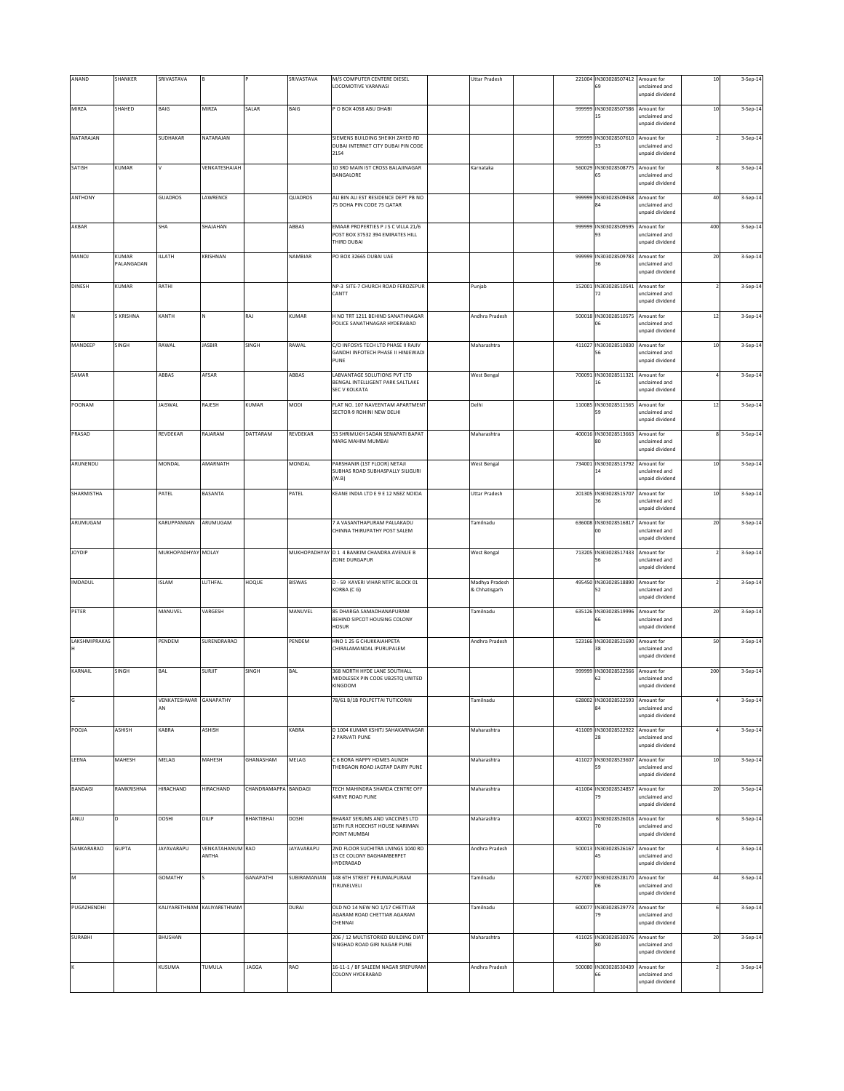| ANAND          | SHANKER      | SRIVASTAVA         |                             |                      | SRIVASTAVA        | M/S COMPUTER CENTERE DIESEL                                             | <b>Uttar Pradesh</b> |        | 221004 IN303028507412 Amount for            |                                  | $10\,$ | 3-Sep-14 |
|----------------|--------------|--------------------|-----------------------------|----------------------|-------------------|-------------------------------------------------------------------------|----------------------|--------|---------------------------------------------|----------------------------------|--------|----------|
|                |              |                    |                             |                      |                   | LOCOMOTIVE VARANASI                                                     |                      |        | 69                                          | unclaimed and<br>unpaid dividend |        |          |
| MIRZA          | SHAHED       | BAIG               | MIRZA                       | SALAR                | BAIG              | O BOX 4058 ABU DHABI                                                    |                      | 999999 | IN303028507586                              | Amount for                       | 10     | 3-Sep-14 |
|                |              |                    |                             |                      |                   |                                                                         |                      |        | 15                                          | unclaimed and                    |        |          |
|                |              |                    |                             |                      |                   |                                                                         |                      |        |                                             | unpaid dividend                  |        |          |
| NATARAJAN      |              | SUDHAKAR           | NATARAJAN                   |                      |                   | SIEMENS BUILDING SHEIKH ZAYED RD                                        |                      | 999999 | IN303028507610 Amount for                   |                                  |        | 3-Sep-14 |
|                |              |                    |                             |                      |                   | DUBAI INTERNET CITY DUBAI PIN CODE<br>2154                              |                      |        | 33                                          | unclaimed and<br>unpaid dividend |        |          |
|                | <b>KUMAR</b> |                    |                             |                      |                   | 10 3RD MAIN IST CROSS BALAJINAGAR                                       |                      |        |                                             |                                  |        |          |
| SATISH         |              |                    | VENKATESHAIAH               |                      |                   | BANGALORE                                                               | Karnataka            |        | 560029 IN303028508775 Amount for<br>65      | unclaimed and                    |        | 3-Sep-14 |
|                |              |                    |                             |                      |                   |                                                                         |                      |        |                                             | unpaid dividend                  |        |          |
| ANTHONY        |              | GUADROS            | LAWRENCE                    |                      | QUADROS           | ALI BIN ALI EST RESIDENCE DEPT PB NO                                    |                      | 999999 | IN303028509458                              | Amount for                       | 40     | 3-Sep-14 |
|                |              |                    |                             |                      |                   | 75 DOHA PIN CODE 75 QATAR                                               |                      |        |                                             | inclaimed and<br>unpaid dividend |        |          |
|                |              |                    |                             |                      |                   |                                                                         |                      |        |                                             |                                  |        |          |
| AKBAR          |              | SHA                | SHAJAHAN                    |                      | ABBAS             | EMAAR PROPERTIES P J S C VILLA 21/6<br>POST BOX 37532 394 EMIRATES HILL |                      | 999999 | IN303028509595<br>93                        | Amount for<br>unclaimed and      | 400    | 3-Sep-14 |
|                |              |                    |                             |                      |                   | THIRD DURAL                                                             |                      |        |                                             | unpaid dividend                  |        |          |
| MANOJ          | KUMAR        | ILLATH             | KRISHNAN                    |                      | NAMBIAR           | PO BOX 32665 DUBAI UAE                                                  |                      | 999999 | IN303028509783 Amount for                   |                                  | $20\,$ | 3-Sep-14 |
|                | PALANGADAN   |                    |                             |                      |                   |                                                                         |                      |        | 36                                          | unclaimed and                    |        |          |
|                |              |                    |                             |                      |                   |                                                                         |                      |        |                                             | unpaid dividend                  |        |          |
| <b>DINESH</b>  | KUMAR        | RATHI              |                             |                      |                   | NP-3 SITE-7 CHURCH ROAD FEROZEPUR<br>CANTT                              | Punjab               | 152001 | IN303028510541 Amount for<br>72             | unclaimed and                    |        | 3-Sep-14 |
|                |              |                    |                             |                      |                   |                                                                         |                      |        |                                             | unpaid dividend                  |        |          |
| $\hbox{N}$     | S KRISHNA    | KANTH              |                             | RAJ                  | KUMAR             | H NO TRT 1211 BEHIND SANATHNAGAR                                        | Andhra Pradesh       |        | 500018 IN303028510575 Amount for            |                                  | $12\,$ | 3-Sep-14 |
|                |              |                    |                             |                      |                   | POLICE SANATHNAGAR HYDERABAD                                            |                      |        | D6                                          | unclaimed and                    |        |          |
|                |              |                    |                             |                      |                   |                                                                         |                      |        |                                             | unpaid dividend                  |        |          |
| MANDEEP        | SINGH        | RAWAL              | <b>JASBIR</b>               | SINGH                | RAWAL             | C/O INFOSYS TECH LTD PHASE II RAJIV                                     | Maharashtra          | 411027 | IN303028510830 Amount for                   |                                  | $10\,$ | 3-Sep-14 |
|                |              |                    |                             |                      |                   | GANDHI INFOTECH PHASE II HINJEWADI<br>PUNE                              |                      |        |                                             | unclaimed and<br>unpaid dividend |        |          |
|                |              |                    |                             |                      |                   |                                                                         |                      |        |                                             |                                  |        |          |
| SAMAR          |              | ABBAS              | AFSAR                       |                      | ABBAS             | LABVANTAGE SOLUTIONS PVT LTD<br>BENGAL INTELLIGENT PARK SALTLAKE        | West Bengal          | 700091 | IN303028511321<br>16                        | Amount for<br>unclaimed and      |        | 3-Sep-14 |
|                |              |                    |                             |                      |                   | <b>SEC V KOLKATA</b>                                                    |                      |        |                                             | unpaid dividend                  |        |          |
| POONAM         |              | <b>JAISWAL</b>     | RAJESH                      | <b>KUMAR</b>         | MODI              | FLAT NO. 107 NAVEENTAM APARTMENT                                        | Delhi                | 110085 | IN303028511565                              | Amount for                       | $12\,$ | 3-Sep-14 |
|                |              |                    |                             |                      |                   | SECTOR-9 ROHINI NEW DELHI                                               |                      |        | 59                                          | unclaimed and                    |        |          |
|                |              |                    |                             |                      |                   |                                                                         |                      |        |                                             | unpaid dividend                  |        |          |
| PRASAD         |              | REVDEKAR           | RAJARAM                     | DATTARAM             | REVDEKAR          | 53 SHRIMUKH SADAN SENAPATI BAPAT                                        | Maharashtra          | 400016 | IN303028513663 Amount for                   |                                  |        | 3-Sep-14 |
|                |              |                    |                             |                      |                   | MARG MAHIM MUMBAI                                                       |                      |        | 80                                          | unclaimed and<br>unpaid dividend |        |          |
|                |              |                    |                             |                      |                   |                                                                         |                      |        |                                             |                                  |        |          |
| ARUNENDU       |              | MONDAL             | AMARNATH                    |                      | MONDAL            | PARSHANIR (1ST FLOOR) NETAJI<br>SUBHAS ROAD SUBHASPALLY SILIGURI        | <b>West Bengal</b>   |        | 734001 IN303028513792<br>14                 | Amount for<br>unclaimed and      | $10\,$ | 3-Sep-14 |
|                |              |                    |                             |                      |                   | (W, B)                                                                  |                      |        |                                             | unpaid dividend                  |        |          |
| SHARMISTHA     |              | PATEL              | BASANTA                     |                      | PATEL             | KEANE INDIA LTD E 9 E 12 NSEZ NOIDA                                     | <b>Uttar Pradesh</b> | 201305 | IN303028515707                              | Amount for                       | $10\,$ | 3-Sep-14 |
|                |              |                    |                             |                      |                   |                                                                         |                      |        | 36                                          | unclaimed and                    |        |          |
|                |              |                    |                             |                      |                   |                                                                         |                      |        |                                             | unpaid dividend                  |        |          |
| ARUMUGAM       |              | KARUPPANNAN        | ARUMUGAM                    |                      |                   | 7 A VASANTHAPURAM PALLAKADU<br>CHINNA THIRUPATHY POST SALEM             | Tamilnadu            |        | 636008 IN303028516817 Amount for<br>$^{00}$ | unclaimed and                    | $20\,$ | 3-Sep-14 |
|                |              |                    |                             |                      |                   |                                                                         |                      |        |                                             | unpaid dividend                  |        |          |
| JOYDIP         |              | MUKHOPADHYAY MOLAY |                             |                      | MUKHOPADHYAY      | D 1 4 BANKIM CHANDRA AVENUE B                                           |                      | 713205 | IN303028517433 Amount for                   |                                  |        |          |
|                |              |                    |                             |                      |                   | ZONE DURGAPUR                                                           | <b>West Bengal</b>   |        |                                             | <b>inclaimed</b> and             |        | 3-Sep-14 |
|                |              |                    |                             |                      |                   |                                                                         |                      |        |                                             | unpaid dividend                  |        |          |
| IMDADUL        |              | <b>ISLAM</b>       | LUTHFAL                     | HOQUE                | BISWAS            | D - 59 KAVERI VIHAR NTPC BLOCK 01                                       | Madhya Pradesh       | 495450 | IN303028518890                              | Amount for                       |        | 3-Sep-14 |
|                |              |                    |                             |                      |                   | KORBA (CG)                                                              | & Chhatisgarh        |        | 52                                          | unclaimed and<br>unpaid dividend |        |          |
|                |              |                    |                             |                      |                   |                                                                         |                      |        |                                             |                                  |        |          |
| PETER          |              | MANUVEL            | VARGESH                     |                      | MANUVEL           | 85 DHARGA SAMADHANAPURAM<br>BEHIND SIPCOT HOUSING COLONY                | Tamilnadu            |        | 635126 IN303028519996<br>66                 | Amount for<br>unclaimed and      | 20     | 3-Sep-14 |
|                |              |                    |                             |                      |                   | HOSUR                                                                   |                      |        |                                             | unpaid dividend                  |        |          |
| LAKSHMIPRAKAS  |              | PENDEM             | SURENDRARAO                 |                      | PENDEM            | HNO 1 25 G CHUKKAIAHPETA                                                | Andhra Pradesh       |        | 523166 IN303028521690 Amount for            |                                  | 50     | 3-Sep-14 |
|                |              |                    |                             |                      |                   | CHIRALAMANDAL IPURUPALEM                                                |                      |        | 38                                          | unclaimed and                    |        |          |
|                |              |                    |                             |                      |                   |                                                                         |                      |        |                                             | unpaid dividend                  |        |          |
| KARNAIL        | SINGH        | BAL                | <b>SURJIT</b>               | SINGH                | BAL               | 368 NORTH HYDE LANE SOUTHALL                                            |                      | 999999 | IN303028522566                              | Amount for                       | 200    | 3-Sep-14 |
|                |              |                    |                             |                      |                   | MIDDLESEX PIN CODE UB25TQ UNITED<br>KINGDOM                             |                      |        | 62                                          | unclaimed and<br>unpaid dividend |        |          |
|                |              |                    |                             |                      |                   |                                                                         |                      |        |                                             |                                  |        |          |
|                |              | VENKATESHWAR<br>AN | GANAPATHY                   |                      |                   | 78/61 B/1B POLPETTAI TUTICORIN                                          | Tamilnadu            | 628002 | IN303028522593 Amount for                   | unclaimed and                    |        | 3-Sep-14 |
|                |              |                    |                             |                      |                   |                                                                         |                      |        |                                             | unpaid dividend                  |        |          |
| POOJA          | ASHISH       | KABRA              | ASHISH                      |                      | KABRA             | D 1004 KUMAR KSHITJ SAHAKARNAGAR                                        | Maharashtra          |        | 411009 IN303028522922                       | Amount for                       |        | 3-Sep-14 |
|                |              |                    |                             |                      |                   | 2 PARVATI PUNE                                                          |                      |        | 28                                          | unclaimed and<br>unpaid dividend |        |          |
|                |              |                    |                             |                      |                   |                                                                         |                      |        |                                             |                                  |        |          |
| LEENA          | MAHESH       | MELAG              | MAHESH                      | GHANASHAM            | MELAG             | C 6 BORA HAPPY HOMES AUNDH<br>THERGAON ROAD JAGTAP DAIRY PUNE           | Maharashtra          | 411027 | IN303028523607                              | Amount for<br>unclaimed and      | $10$   | 3-Sep-14 |
|                |              |                    |                             |                      |                   |                                                                         |                      |        |                                             | unpaid dividend                  |        |          |
| BANDAGI        | RAMKRISHNA   | <b>HIRACHAND</b>   | HIRACHAND                   | CHANDRAMAPPA BANDAGI |                   | TECH MAHINDRA SHARDA CENTRE OFF                                         | Maharashtra          |        | 411004 IN303028524857                       | Amount for                       | $20\,$ | 3-Sep-14 |
|                |              |                    |                             |                      |                   | KARVE ROAD PUNE                                                         |                      |        | 79                                          | unclaimed and                    |        |          |
|                |              |                    |                             |                      |                   |                                                                         |                      |        |                                             | unpaid dividend                  |        |          |
| ANUJ           | D            | DOSHI              | DILIP                       | BHAKTIBHAI           | DOSHI             | BHARAT SERUMS AND VACCINES LTD                                          | Maharashtra          |        | 400021 IN303028526016                       | Amount for                       |        | 3-Sep-14 |
|                |              |                    |                             |                      |                   | 16TH FLR HOECHST HOUSE NARIMAN<br>POINT MUMBAI                          |                      |        | 70                                          | unclaimed and<br>unpaid dividend |        |          |
| SANKARARAO     |              | <b>JAYAVARAPU</b>  | VENKATAHANUM RAO            |                      | <b>JAYAVARAPU</b> | 2ND FLOOR SUCHITRA LIVINGS 1040 RD                                      | Andhra Pradesh       |        | 500013 IN303028526167                       | Amount for                       |        |          |
|                | <b>GUPTA</b> |                    | ANTHA                       |                      |                   | 13 CE COLONY BAGHAMBERPET                                               |                      |        | 45                                          | unclaimed and                    |        | 3-Sep-14 |
|                |              |                    |                             |                      |                   | HYDERABAD                                                               |                      |        |                                             | unpaid dividend                  |        |          |
| M              |              | GOMATHY            |                             | GANAPATHI            | SUBIRAMANIAN      | 148 6TH STREET PERUMALPURAM                                             | Tamilnadu            |        | 627007 IN303028528170 Amount for            |                                  | 44     | 3-Sep-14 |
|                |              |                    |                             |                      |                   | TIRUNELVELI                                                             |                      |        | 06                                          | unclaimed and<br>unpaid dividend |        |          |
|                |              |                    |                             |                      |                   |                                                                         |                      |        |                                             |                                  |        |          |
| PUGAZHENDHI    |              |                    | KALIYARETHNAM KALIYARETHNAM |                      | DURAI             | OLD NO 14 NEW NO 1/17 CHETTIAR<br>AGARAM ROAD CHETTIAR AGARAM           | Tamilnadu            | 600077 | IN303028529773 Amount for                   | <b>inclaimed</b> and             |        | 3-Sep-14 |
|                |              |                    |                             |                      |                   | CHENNAI                                                                 |                      |        |                                             | unpaid dividend                  |        |          |
| <b>SURABHI</b> |              | BHUSHAN            |                             |                      |                   | 206 / 12 MULTISTORIED BUILDING DIAT                                     | Maharashtra          | 411025 | IN303028530376                              | Amount for                       | 20     | 3-Sep-14 |
|                |              |                    |                             |                      |                   | SINGHAD ROAD GIRI NAGAR PUNE                                            |                      |        | BO                                          | unclaimed and                    |        |          |
|                |              |                    |                             |                      |                   |                                                                         |                      |        |                                             | unpaid dividend                  |        |          |
|                |              | KUSUMA             | TUMULA                      | JAGGA                | RAO               | 16-11-1 / BF SALEEM NAGAR SREPURAM                                      | Andhra Pradesh       | 500080 | IN303028530439                              | Amount for                       |        | 3-Sep-14 |
|                |              |                    |                             |                      |                   | COLONY HYDERABAD                                                        |                      |        | 66                                          | unclaimed and<br>inpaid dividend |        |          |
|                |              |                    |                             |                      |                   |                                                                         |                      |        |                                             |                                  |        |          |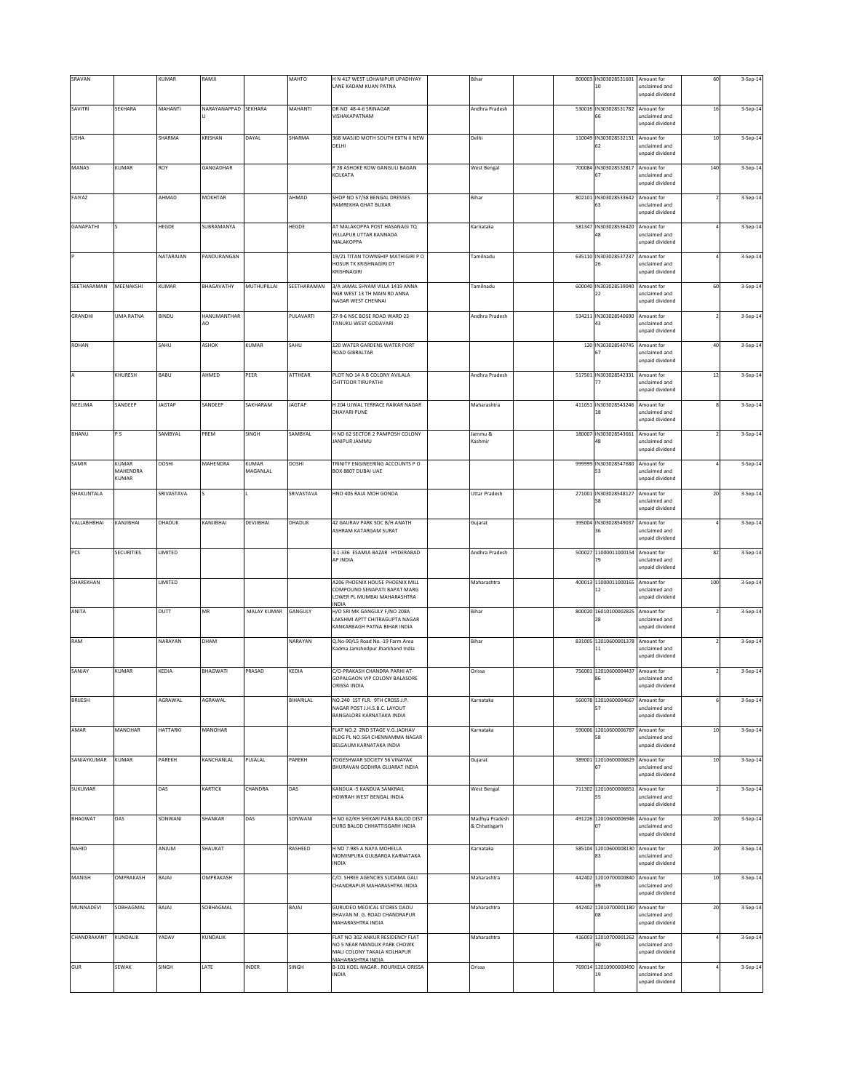| SRAVAN         |                            | KUMAR         | RAMJI                |                   | MAHTO         | H N 417 WEST LOHANIPUR UPADHYAY<br>LANE KADAM KUAN PATNA                                                             | Bihar                           |        | 800003 IN303028531601 Amount for<br>10 | unclaimed and<br>unpaid dividend                      | 60             | 3-Sep-14 |
|----------------|----------------------------|---------------|----------------------|-------------------|---------------|----------------------------------------------------------------------------------------------------------------------|---------------------------------|--------|----------------------------------------|-------------------------------------------------------|----------------|----------|
| SAVITRI        | SEKHARA                    | MAHANTI       | NARAYANAPPAD SEKHARA |                   | MAHANTI       | DR NO 48-4-6 SRINAGAR<br>VISHAKAPATNAM                                                                               | Andhra Pradesh                  | 530016 | IN303028531782<br>66                   | Amount for<br>unclaimed and<br>unpaid dividend        | 16             | 3-Sep-14 |
| <b>USHA</b>    |                            | SHARMA        | KRISHAN              | DAYAL             | SHARMA        | 368 MASJID MOTH SOUTH EXTN II NEW<br>DELHI                                                                           | Delhi                           |        | 110049 IN303028532131 Amount for<br>52 | unclaimed and<br>unpaid dividend                      | $10\,$         | 3-Sep-14 |
| MANAS          | KUMAR                      | ROY           | GANGADHAR            |                   |               | P 28 ASHOKE ROW GANGULI BAGAN<br>KOLKATA                                                                             | <b>West Bengal</b>              |        | 700084 IN303028532817                  | Amount for<br>unclaimed and<br>unpaid dividend        | 140            | 3-Sep-14 |
| FAIYAZ         |                            | AHMAD         | MOKHTAR              |                   | AHMAD         | SHOP NO 57/58 BENGAL DRESSES<br>RAMREKHA GHAT BUXAR                                                                  | Bihar                           |        | 802101 IN303028533642<br>63            | Amount for<br>unclaimed and<br>unpaid dividend        |                | 3-Sep-14 |
| GANAPATHI      |                            | HEGDE         | SUBRAMANYA           |                   | HEGDE         | AT MALAKOPPA POST HASANAGI TQ<br>YELLAPUR UTTAR KANNADA<br>MALAKOPPA                                                 | Karnataka                       | 581347 | IN303028536420 Amount for<br>48        | unclaimed and<br>unpaid dividend                      |                | 3-Sep-14 |
|                |                            | NATARAJAN     | PANDURANGAN          |                   |               | 19/21 TITAN TOWNSHIP MATHIGIRI P O<br>HOSUR TK KRISHNAGIRI DT<br>KRISHNAGIRI                                         | Tamilnadu                       |        | 635110 IN303028537237 Amount for<br>26 | unclaimed and<br>unpaid dividend                      |                | 3-Sep-14 |
| SEETHARAMAN    | MEENAKSHI                  | KUMAR         | BHAGAVATHY           | MUTHUPILLAI       | SEETHARAMAN   | 3/A JAMAL SHYAM VILLA 1419 ANNA<br>NGR WEST 13 TH MAIN RD ANNA<br>NAGAR WEST CHENNAI                                 | Tamilnadu                       | 600040 | IN303028539040<br>22                   | Amount for<br>unclaimed and<br>unpaid dividend        | 60             | 3-Sep-14 |
| GRANDHI        | UMA RATNA                  | <b>BINDU</b>  | HANUMANTHAR<br>AO    |                   | PULAVARTI     | 27-9-6 NSC BOSE ROAD WARD 23<br>TANUKU WEST GODAVARI                                                                 | Andhra Pradesh                  |        | 534211 IN303028540690 Amount for<br>43 | unclaimed and<br>unpaid dividend                      | $\overline{z}$ | 3-Sep-14 |
| ROHAN          |                            | SAHU          | ASHOK                | KUMAR             | SAHU          | 120 WATER GARDENS WATER PORT<br>ROAD GIBRALTAR                                                                       |                                 |        | 120 IN303028540745 Amount for          | inclaimed and<br>unpaid dividend                      | 40             | 3-Sep-14 |
|                | KHURESH                    | BABU          | AHMED                | PEER              | ATTHEAR       | PLOT NO 14 A B COLONY AVILALA<br>CHITTOOR TIRUPATHI                                                                  | Andhra Pradesh                  | 517501 | IN303028542331<br>77                   | Amount for<br>unclaimed and<br>unpaid dividend        | $12\,$         | 3-Sep-14 |
| NEELIMA        | SANDEEP                    | <b>JAGTAP</b> | SANDEEP              | SAKHARAM          | <b>JAGTAP</b> | H 204 UJWAL TERRACE RAIKAR NAGAR<br>DHAYARI PUNE                                                                     | Maharashtra                     | 411051 | IN303028543246<br>18                   | Amount for<br>unclaimed and<br>unpaid dividend        |                | 3-Sep-14 |
| BHANU          | ΡS                         | SAMBYAL       | PREM                 | SINGH             | SAMBYAL       | H NO 62 SECTOR 2 PAMPOSH COLONY<br><b>JANIPUR JAMMU</b>                                                              | Jammu &<br>Kashmir              | 180007 | IN303028543661<br>48                   | Amount for<br>unclaimed and<br>unpaid dividend        |                | 3-Sep-14 |
| SAMIR          | KUMAR<br>MAHENDRA<br>KUMAR | DOSHI         | MAHENDRA             | KUMAR<br>MAGANLAL | DOSHI         | TRINITY ENGINEERING ACCOUNTS P O<br>BOX 8807 DUBAI UAE                                                               |                                 | 999999 | IN303028547680<br>53                   | Amount for<br>unclaimed and<br>unpaid dividend        |                | 3-Sep-14 |
| SHAKUNTALA     |                            | SRIVASTAVA    |                      |                   | SRIVASTAVA    | HNO 405 RAJA MOH GONDA                                                                                               | <b>Uttar Pradesh</b>            |        | 271001 IN303028548127 Amount for<br>58 | unclaimed and<br>unpaid dividend                      | $20\,$         | 3-Sep-14 |
| VALLABHBHAI    | KANJIBHAI                  | DHADUK        | KANJIBHAI            | DEVJIBHAI         | DHADUK        | 42 GAURAV PARK SOC B/H ANATH<br>ASHRAM KATARGAM SURAT                                                                | Gujarat                         | 395004 | IN303028549037<br>36                   | Amount for<br>unclaimed and<br>unpaid dividend        |                | 3-Sep-14 |
| PCS            | <b>SECURITIES</b>          | LIMITED       |                      |                   |               | 3-1-336 ESAMIA BAZAR HYDERABAD<br>AP INDIA                                                                           | Andhra Pradesh                  | 500027 | 11000011000154                         | Amount for<br><b>inclaimed</b> and<br>unpaid dividend | 82             | 3-Sep-14 |
| SHAREKHAN      |                            | LIMITED       |                      |                   |               | A206 PHOENIX HOUSE PHOENIX MILL<br>COMPOUND SENAPATI BAPAT MARG<br>LOWER PL MUMBAI MAHARASHTRA<br>INDIA              | Maharashtra                     |        | 400013 11000011000165<br>12            | Amount for<br>unclaimed and<br>unpaid dividend        | 100            | 3-Sep-14 |
| ANITA          |                            | DUTT          | MR                   | MALAY KUMAR       | GANGULY       | H/O SRI MK GANGULY F/NO 208A<br>LAKSHMI APTT CHITRAGUPTA NAGAR<br>KANKARBAGH PATNA BIHAR INDIA                       | Bihar                           |        | 800020 16010100002825 Amount for<br>28 | unclaimed and<br>unpaid dividend                      |                | 3-Sep-14 |
| RAM            |                            | NARAYAN       | DHAM                 |                   | NARAYAN       | Q.No-90/L5 Road No.-19 Farm Area<br>Kadma Jamshedpur Jharkhand India                                                 | Bihar                           |        | 831005 12010600001378 Amount for<br>11 | unclaimed and<br>unpaid dividend                      |                | 3-Sep-14 |
| SANJAY         | <b>KUMAR</b>               | KEDIA         | <b>BHAGWATI</b>      | PRASAD            | KEDIA         | C/O-PRAKASH CHANDRA PARHI AT-<br>GOPALGAON VIP COLONY BALASORE<br>ORISSA INDIA                                       | Orissa                          |        | 756001 12010600004437 Amount for<br>86 | unclaimed and<br>unpaid dividend                      |                | 3-Sep-14 |
| <b>BRIJESH</b> |                            | AGRAWAL       | AGRAWAL              |                   | BIHARILAL     | NO.240 1ST FLR. 9TH CROSS J.P.<br>NAGAR POST J.H.S.B.C. LAYOUT<br>BANGALORE KARNATAKA INDIA                          | Karnataka                       | 560078 | 12010600004667                         | Amount for<br>unclaimed and<br>unpaid dividend        |                | 3-Sep-14 |
| AMAR           | MANOHAR                    | HATTARKI      | MANOHAR              |                   |               | FLAT NO.2 2ND STAGE V.G.JADHAV<br>BLDG PL NO.564 CHENNAMMA NAGAR<br>BELGAUM KARNATAKA INDIA                          | Karnataka                       | 590006 | 12010600006787<br>58                   | Amount for<br>unclaimed and<br>unpaid dividend        | 10             | 3-Sep-14 |
| SANJAYKUMAR    | KUMAR                      | PAREKH        | KANCHANLAL           | PUJALAL           | PAREKH        | YOGESHWAR SOCIETY 56 VINAYAK<br>BHURAVAN GODHRA GUJARAT INDIA                                                        | Gujarat                         |        | 389001 12010600006829                  | Amount for<br>unclaimed and<br>unpaid dividend        | 10             | 3-Sep-14 |
| SUKUMAR        |                            | DAS           | KARTICK              | CHANDRA           | DAS           | KANDUA -5 KANDUA SANKRAIL<br>HOWRAH WEST BENGAL INDIA                                                                | <b>West Bengal</b>              | 711302 | 12010600006851 Amount for<br>55        | unclaimed and<br>unpaid dividend                      |                | 3-Sep-14 |
| <b>BHAGWAT</b> | DAS                        | SONWANI       | SHANKAR              | DAS               | SONWANI       | H NO 62/KH SHIKARI PARA BALOD DIST<br>DURG BALOD CHHATTISGARH INDIA                                                  | Madhya Pradesh<br>& Chhatisgarh |        | 491226 12010600006946 Amount for<br>07 | unclaimed and<br>unpaid dividend                      | 20             | 3-Sep-14 |
| NAHID          |                            | ANJUM         | SHAUKAT              |                   | RASHEED       | H NO 7-985 A NAYA MOHELLA<br>MOMINPURA GULBARGA KARNATAKA<br>INDIA                                                   | Karnataka                       |        | 585104 12010600008130 Amount for<br>R٩ | unclaimed and<br>unpaid dividend                      | $20\,$         | 3-Sep-14 |
| MANISH         | OMPRAKASH                  | BAJAJ         | OMPRAKASH            |                   |               | C/O. SHREE AGENCIES SUDAMA GALI<br>CHANDRAPUR MAHARASHTRA INDIA                                                      | Maharashtra                     |        | 442402 12010700000840 Amount for<br>ą۹ | unclaimed and<br>unpaid dividend                      | $10\,$         | 3-Sep-14 |
| MUNNADEVI      | SOBHAGMAL                  | BAJAJ         | SOBHAGMAL            |                   | BAJAJ         | <b>GURUDEO MEDICAL STORES DADU</b><br>BHAVAN M. G. ROAD CHANDRAPUR<br>MAHARASHTRA INDIA                              | Maharashtra                     |        | 442402 12010700001180                  | Amount for<br>inclaimed and<br>unpaid dividend        | 20             | 3-Sep-14 |
| CHANDRAKANT    | KUNDALIK                   | YADAV         | KUNDALIK             |                   |               | FLAT NO 302 ANKUR RESIDENCY FLAT<br>NO 5 NEAR MANDLIK PARK CHOWK<br>MALI COLONY TAKALA KOLHAPUR<br>MAHARASHTRA INDIA | Maharashtra                     |        | 416003 12010700001262<br>30            | Amount for<br>unclaimed and<br>inpaid dividend        |                | 3-Sep-14 |
| GUR            | SEWAK                      | SINGH         | LATE                 | INDER             | SINGH         | B-101 KOEL NAGAR . ROURKELA ORISSA<br>INDIA                                                                          | Orissa                          |        | 769014 12010900000490 Amount for<br>19 | unclaimed and<br>unpaid dividend                      |                | 3-Sep-14 |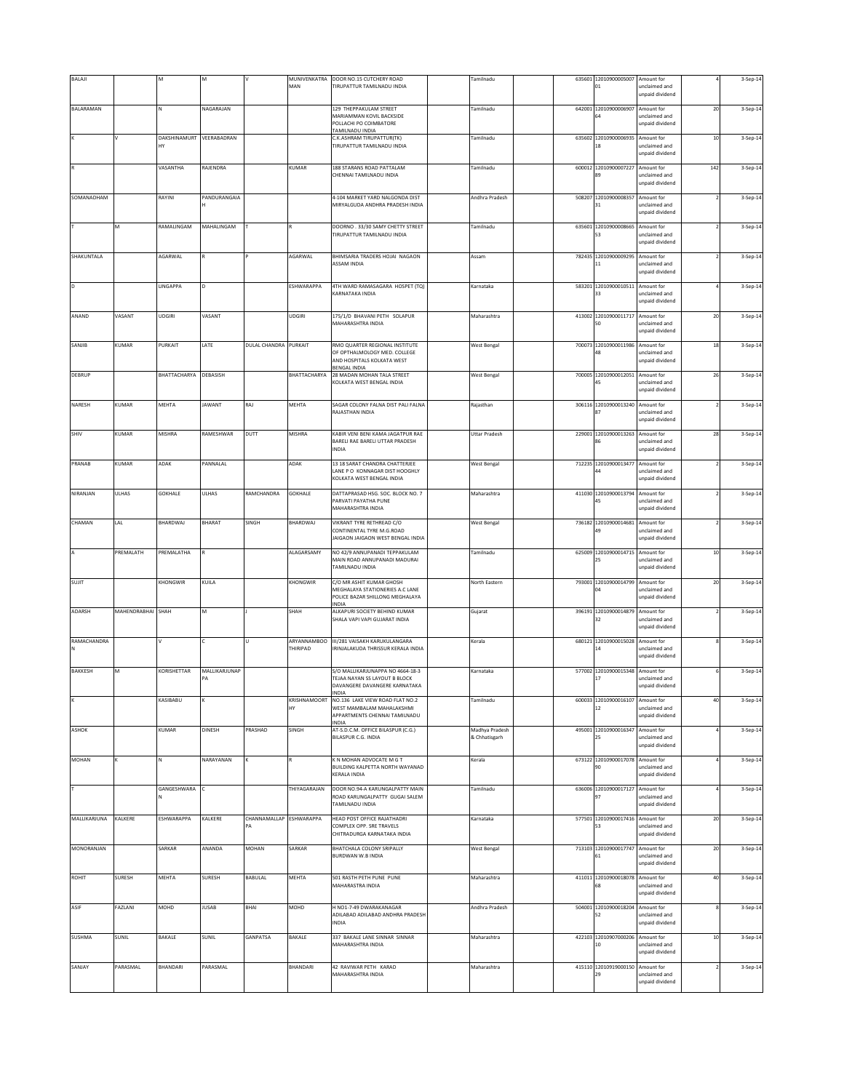| <b>BALAJI</b> |                   | M                              |                     |                               | MUNIVENKATRA<br>MAN     | DOOR NO.15 CUTCHERY ROAD<br>TIRUPATTUR TAMILNADU INDIA                                                        | Tamilnadu                       |        | 635601 12010900005007 Amount for<br>$_{01}$ | unclaimed and<br>unpaid dividend               |        | 3-Sep-14 |
|---------------|-------------------|--------------------------------|---------------------|-------------------------------|-------------------------|---------------------------------------------------------------------------------------------------------------|---------------------------------|--------|---------------------------------------------|------------------------------------------------|--------|----------|
| BALARAMAN     |                   | N                              | NAGARAJAN           |                               |                         | 129 THEPPAKULAM STREET<br>MARIAMMAN KOVIL BACKSIDE<br>POLLACHI PO COIMBATORE                                  | <b>Tamilnadu</b>                |        | 642001 12010900006907<br>54                 | Amount for<br>unclaimed and<br>unpaid dividend | 20     | 3-Sep-14 |
|               |                   | DAKSHINAMURT VEERABADRAN<br>HY |                     |                               |                         | <b>FAMILNADU INDIA</b><br>C.K.ASHRAM TIRUPATTUR(TK)<br>TIRUPATTUR TAMILNADU INDIA                             | Tamilnadu                       |        | 635602 12010900006935 Amount for            | unclaimed and<br>unpaid dividend               | $10\,$ | 3-Sep-14 |
|               |                   | VASANTHA                       | RAJENDRA            |                               | KUMAR                   | 188 STARANS ROAD PATTALAM<br>CHENNAI TAMILNADU INDIA                                                          | Tamilnadu                       |        | 600012 12010900007227 Amount for            | unclaimed and<br>unpaid dividend               | 142    | 3-Sep-14 |
| SOMANADHAM    |                   | RAYINI                         | PANDURANGAIA        |                               |                         | 4-104 MARKET YARD NALGONDA DIST<br>MIRYALGUDA ANDHRA PRADESH INDIA                                            | Andhra Pradesh                  | 508207 | 12010900008357<br>31                        | Amount for<br>unclaimed and<br>unpaid dividend |        | 3-Sep-14 |
|               | М                 | RAMALINGAM                     | MAHALINGAM          |                               |                         | DOORNO. 33/30 SAMY CHETTY STREET<br>TIRUPATTUR TAMILNADU INDIA                                                | Tamilnadu                       |        | 635601 12010900008665<br>53                 | Amount for<br>unclaimed and<br>unpaid dividend |        | 3-Sep-14 |
| SHAKUNTALA    |                   | AGARWAL                        |                     |                               | AGARWAL                 | BHIMSARIA TRADERS HOJAI NAGAON<br><b>ASSAM INDIA</b>                                                          | Assam                           |        | 782435 12010900009295 Amount for<br>11      | unclaimed and<br>unpaid dividend               |        | 3-Sep-14 |
| <b>D</b>      |                   | LINGAPPA                       |                     |                               | ESHWARAPPA              | 4TH WARD RAMASAGARA HOSPET (TQ)<br>KARNATAKA INDIA                                                            | Karnataka                       | 583201 | 12010900010511 Amount for<br>33             | unclaimed and<br>unpaid dividend               |        | 3-Sep-14 |
| ANAND         | VASANT            | <b>UDGIRI</b>                  | VASANT              |                               | UDGIRI                  | 175/1/D BHAVANI PETH SOLAPUR<br>MAHARASHTRA INDIA                                                             | Maharashtra                     |        | 413002 12010900011717 Amount for<br>50      | unclaimed and<br>unpaid dividend               | $20\,$ | 3-Sep-14 |
| SANJIB        | KUMAR             | PURKAIT                        | LATE                | DULAL CHANDRA PURKAIT         |                         | RMO QUARTER REGIONAL INSTITUTE<br>OF OPTHALMOLOGY MED. COLLEGE<br>AND HOSPITALS KOLKATA WEST                  | <b>West Bengal</b>              |        | 700073 12010900011986 Amount for            | inclaimed and<br>unpaid dividend               | 18     | 3-Sep-14 |
| <b>DEBRUP</b> |                   | BHATTACHARYA                   | DEBASISH            |                               | BHATTACHARYA            | <b>BENGAL INDIA</b><br>28 MADAN MOHAN TALA STREET<br>KOLKATA WEST BENGAL INDIA                                | <b>West Bengal</b>              | 700005 | 12010900012051<br>45                        | Amount for<br>unclaimed and<br>unpaid dividend | 26     | 3-Sep-14 |
| NARESH        | KUMAR             | MEHTA                          | <b>JAWANT</b>       | RAJ                           | MEHTA                   | SAGAR COLONY FALNA DIST PALI FALNA<br>RAJASTHAN INDIA                                                         | Rajasthan                       |        | 306116 12010900013240 Amount for            | unclaimed and<br>unpaid dividend               |        | 3-Sep-14 |
| SHIV          | KUMAR             | MISHRA                         | RAMESHWAR           | DUTT                          | MISHRA                  | KABIR VENI BENI KAMA JAGATPUR RAE<br>BARELI RAE BARELI UTTAR PRADESH<br>INDIA                                 | <b>Uttar Pradesh</b>            | 229001 | 12010900013263 Amount for<br>R6             | unclaimed and<br>unpaid dividend               | 28     | 3-Sep-14 |
| PRANAB        | KUMAR             | ADAK                           | PANNALAL            |                               | ADAK                    | 13 18 SARAT CHANDRA CHATTERJEE<br>LANE P O KONNAGAR DIST HOOGHLY<br>KOLKATA WEST BENGAL INDIA                 | <b>West Bengal</b>              |        | 712235 12010900013477 Amount for<br>44      | unclaimed and<br>unpaid dividend               |        | 3-Sep-14 |
| NIRANJAN      | <b>ULHAS</b>      | <b>GOKHALE</b>                 | ULHAS               | RAMCHANDRA                    | GOKHALE                 | DATTAPRASAD HSG. SOC. BLOCK NO. 7<br>PARVATI PAYATHA PUNE<br>MAHARASHTRA INDIA                                | Maharashtra                     |        | 411030 12010900013794 Amount for<br>15      | unclaimed and<br>unpaid dividend               |        | 3-Sep-14 |
| CHAMAN        | LAL               | BHARDWAJ                       | BHARAT              | SINGH                         | BHARDWAJ                | VIKRANT TYRE RETHREAD C/O<br>CONTINENTAL TYRE M.G.ROAD<br>AIGAON JAIGAON WEST BENGAL INDIA                    | West Bengal                     |        | 736182 12010900014681<br>19                 | Amount for<br>unclaimed and<br>unpaid dividend |        | 3-Sep-14 |
|               | PREMALATH         | PREMALATHA                     |                     |                               | ALAGARSAMY              | NO 42/9 ANNUPANADI TEPPAKULAM<br>MAIN ROAD ANNUPANADI MADURAI<br>TAMILNADU INDIA                              | Tamilnadu                       | 625009 | 12010900014715                              | Amount for<br>inclaimed and<br>unpaid dividend | 10     | 3-Sep-14 |
| SUJIT         |                   | KHONGWIR                       | KUILA               |                               | KHONGWIR                | C/O MR ASHIT KUMAR GHOSH<br>MEGHALAYA STATIONERIES A.C LANE<br>POLICE BAZAR SHILLONG MEGHALAYA<br>INDIA       | North Eastern                   | 793001 | 12010900014799<br>04                        | Amount for<br>unclaimed and<br>unpaid dividend | $20\,$ | 3-Sep-14 |
| ADARSH        | MAHENDRABHAI SHAH |                                | M                   |                               | SHAH                    | ALKAPURI SOCIETY BEHIND KUMAR<br>SHALA VAPI VAPI GUJARAT INDIA                                                | Gujarat                         |        | 396191 12010900014879 Amount for<br>32      | unclaimed and<br>unpaid dividend               |        | 3-Sep-14 |
| RAMACHANDRA   |                   |                                |                     |                               | ARYANNAMBOO<br>THIRIPAD | III/281 VAISAKH KARUKULANGARA<br>RINJALAKUDA THRISSUR KERALA INDIA                                            | Kerala                          |        | 680121 12010900015028 Amount for<br>14      | unclaimed and<br>unpaid dividend               |        | 3-Sep-14 |
| BAKKESH       | M                 | KORISHETTAR                    | MALLIKARJUNAP<br>PA |                               |                         | S/O MALLIKARJUNAPPA NO 4664-18-3<br>TEJAA NAYAN SS LAYOUT B BLOCK<br>DAVANGERE DAVANGERE KARNATAKA<br>INDIA   | Karnataka                       |        | 577002 12010900015348 Amount for<br>17      | unclaimed and<br>unpaid dividend               |        | 3-Sep-14 |
|               |                   | KASIBABU                       |                     |                               | KRISHNAMOORT<br>HY      | NO.136 LAKE VIEW ROAD FLAT NO.2<br>WEST MAMBALAM MAHALAKSHMI<br>APPARTMENTS CHENNAI TAMILNADU<br><b>INDIA</b> | Tamilnadu                       | 600033 | 12010900016107 Amount for                   | unclaimed and<br>unpaid dividend               | $40\,$ | 3-Sep-14 |
| ASHOK         |                   | KUMAR                          | DINESH              | PRASHAD                       | SINGH                   | AT-S.D.C.M. OFFICE BILASPUR (C.G.)<br>BILASPUR C.G. INDIA                                                     | Madhya Pradesh<br>& Chhatisgarh |        | 495001 12010900016347<br>25                 | Amount for<br>unclaimed and<br>unpaid dividend |        | 3-Sep-14 |
| MOHAN         |                   | N                              | NARAYANAN           |                               |                         | K N MOHAN ADVOCATE M G T<br>BUILDING KALPETTA NORTH WAYANAD<br>KERALA INDIA                                   | Kerala                          |        | 673122 12010900017078 Amount for<br>90      | unclaimed and<br>unpaid dividend               |        | 3-Sep-14 |
|               |                   | GANGESHWARA                    |                     |                               | THIYAGARAJAN            | DOOR NO.94-A KARUNGALPATTY MAIN<br>ROAD KARUNGALPATTY GUGAI SALEM<br><b>FAMILNADU INDIA</b>                   | Tamilnadu                       |        | 636006 12010900017127 Amount for<br>97      | unclaimed and<br>unpaid dividend               |        | 3-Sep-14 |
| MALLIKARJUNA  | KALKERE           | ESHWARAPPA                     | KALKERE             | CHANNAMALLAP ESHWARAPPA<br>PA |                         | HEAD POST OFFICE RAJATHADRI<br>COMPLEX OPP. SRE TRAVELS<br>CHITRADURGA KARNATAKA INDIA                        | Karnataka                       |        | 577501 12010900017416 Amount for<br>53      | unclaimed and<br>unpaid dividend               | 20     | 3-Sep-14 |
| MONORANJAN    |                   | SARKAR                         | ANANDA              | MOHAN                         | SARKAR                  | BHATCHALA COLONY SRIPALLY<br>BURDWAN W.B INDIA                                                                | <b>West Bengal</b>              |        | 713103 12010900017747 Amount for<br>61      | unclaimed and<br>unpaid dividend               | $20\,$ | 3-Sep-14 |
| ROHIT         | SURESH            | MEHTA                          | <b>SURESH</b>       | BABULAL                       | MEHTA                   | 501 RASTH PETH PUNE PUNE<br>MAHARASTRA INDIA                                                                  | Maharashtra                     |        | 411011 12010900018078 Amount for<br>58      | unclaimed and<br>unpaid dividend               | 40     | 3-Sep-14 |
| ASIF          | FAZLANI           | MOHD                           | <b>JUSAB</b>        | BHAI                          | MOHD                    | H NO1-7-49 DWARAKANAGAR<br>ADILABAD ADILABAD ANDHRA PRADESH<br><b>NDIA</b>                                    | Andhra Pradesh                  |        | 504001 12010900018204                       | Amount for<br>inclaimed and<br>unpaid dividend |        | 3-Sep-14 |
| <b>SUSHMA</b> | SUNIL             | BAKALE                         | SUNIL               | GANPATSA                      | BAKALE                  | 337 BAKALE LANE SINNAR SINNAR<br>MAHARASHTRA INDIA                                                            | Maharashtra                     |        | 422103 12010907000206<br>10                 | Amount for<br>unclaimed and<br>unpaid dividend | $10\,$ | 3-Sep-14 |
| SANJAY        | PARASMAL          | BHANDARI                       | PARASMAL            |                               | BHANDARI                | 42 RAVIWAR PETH KARAD<br>MAHARASHTRA INDIA                                                                    | Maharashtra                     |        | 415110 12010919000150 Amount for<br>29      | unclaimed and<br>unpaid dividend               |        | 3-Sep-14 |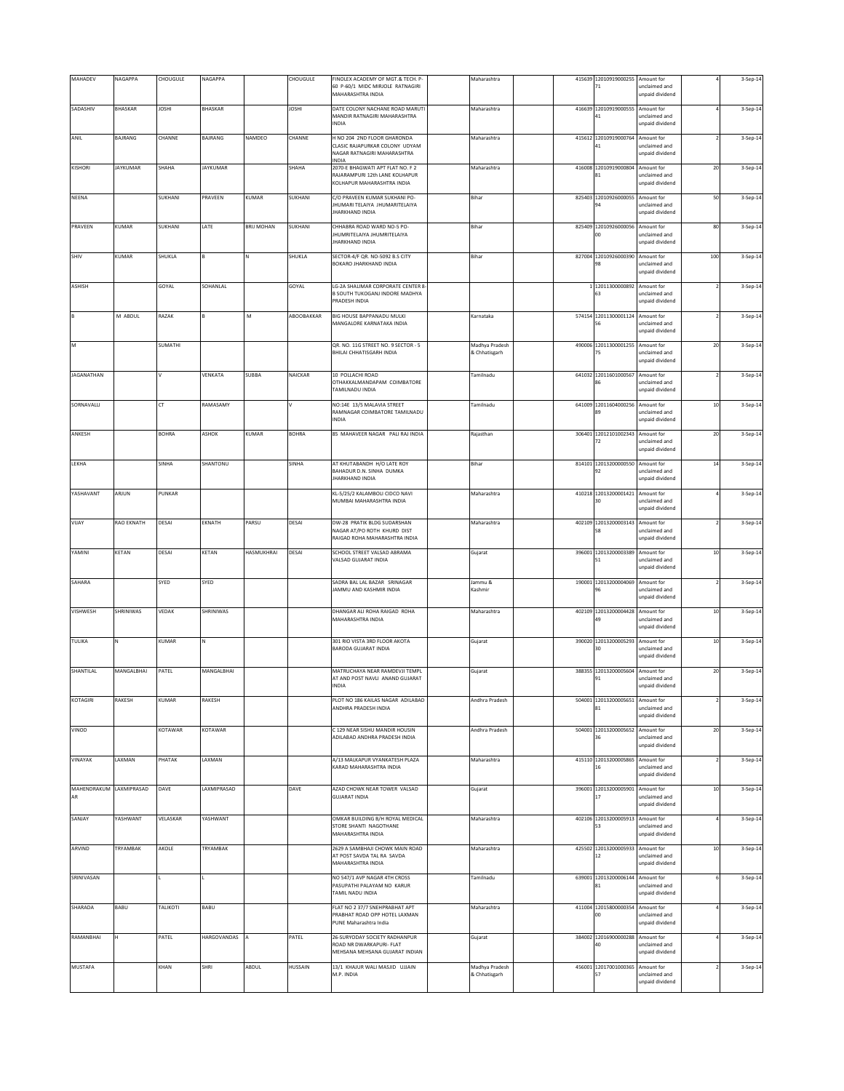| MAHADEV                       | NAGAPPA         | CHOUGULE     | NAGAPPA         |                   | CHOUGULE     | FINOLEX ACADEMY OF MGT.& TECH. P-<br>60 P-60/1 MIDC MIRJOLE RATNAGIRI<br>MAHARASHTRA INDIA            | Maharashtra                     |        | 415639 12010919000255 Amount for<br>71 | unclaimed and<br>unpaid dividend                    |        | 3-Sep-14 |
|-------------------------------|-----------------|--------------|-----------------|-------------------|--------------|-------------------------------------------------------------------------------------------------------|---------------------------------|--------|----------------------------------------|-----------------------------------------------------|--------|----------|
| SADASHIV                      | <b>BHASKAR</b>  | <b>JOSHI</b> | BHASKAR         |                   | <b>IHZOL</b> | DATE COLONY NACHANE ROAD MARUTI<br>MANDIR RATNAGIRI MAHARASHTRA<br>INDIA                              | Maharashtra                     |        | 416639 12010919000555 Amount for<br>41 | unclaimed and<br>unpaid dividend                    |        | 3-Sep-14 |
| ANIL                          | BAJRANG         | CHANNE       | BAJRANG         | NAMDEO            | CHANNE       | H NO 204 2ND FLOOR GHARONDA<br>CLASIC RAJAPURKAR COLONY UDYAM<br>NAGAR RATNAGIRI MAHARASHTRA<br>INDIA | Maharashtra                     | 415612 | 12010919000764 Amount for              | inclaimed and<br>unpaid dividend                    |        | 3-Sep-14 |
| KISHORI                       | <b>JAYKUMAR</b> | SHAHA        | <b>JAYKUMAR</b> |                   | SHAHA        | 2070-E BHAGWATI APT FLAT NO. F 2<br>RAJARAMPURI 12th LANE KOLHAPUR<br>KOLHAPUR MAHARASHTRA INDIA      | Maharashtra                     | 416008 | 12010919000804<br>81                   | Amount for<br>unclaimed and<br>unpaid dividend      | 20     | 3-Sep-14 |
| NEENA                         |                 | SUKHANI      | PRAVEEN         | KUMAR             | SUKHANI      | C/O PRAVEEN KUMAR SUKHANI PO-<br>JHUMARI TELAIYA JHUMARITELAIYA<br><b>IHARKHAND INDIA</b>             | Bihar                           |        | 825403 12010926000055<br>94            | Amount for<br>unclaimed and<br>unpaid dividend      | 50     | 3-Sep-14 |
| PRAVEEN                       | KUMAR           | SUKHANI      | LATE            | <b>BRIJ MOHAN</b> | SUKHANI      | CHHABRA ROAD WARD NO-5 PO-<br>JHUMRITELAIYA JHUMRITELAIYA<br><b>JHARKHAND INDIA</b>                   | Bihar                           | 825409 | 12010926000056<br>$^{00}$              | Amount for<br>unclaimed and<br>unpaid dividend      | 80     | 3-Sep-14 |
| SHIV                          | KUMAR           | SHUKLA       |                 |                   | SHUKLA       | SECTOR-4/F QR. NO-5092 B.S CITY<br>BOKARO JHARKHAND INDIA                                             | Bihar                           |        | 827004 12010926000390                  | Amount for<br>unclaimed and                         | 100    | 3-Sep-14 |
| ASHISH                        |                 | GOYAL        | SOHANLAL        |                   | GOYAL        | LG-2A SHALIMAR CORPORATE CENTER 8<br>B SOUTH TUKOGANJ INDORE MADHYA<br>PRADESH INDIA                  |                                 |        | 1 12011300000892 Amount for<br>63      | unpaid dividend<br>unclaimed and<br>unpaid dividend |        | 3-Sep-14 |
| B                             | M ABDUL         | RAZAK        |                 | M                 | ABOOBAKKAR   | BIG HOUSE BAPPANADU MULKI<br>MANGALORE KARNATAKA INDIA                                                | Karnataka                       |        | 574154 12011300001124 Amount for       | unclaimed and                                       |        | 3-Sep-14 |
| M                             |                 | SUMATHI      |                 |                   |              | QR. NO. 11G STREET NO. 9 SECTOR - 5                                                                   | Madhya Pradesh                  |        | 490006 12011300001255                  | unpaid dividend<br>Amount for                       | 20     | 3-Sep-14 |
|                               |                 |              |                 |                   |              | BHILAI CHHATISGARH INDIA                                                                              | & Chhatisgarh                   |        |                                        | inclaimed and<br>unpaid dividend                    |        |          |
| <b>JAGANATHAN</b>             |                 | $\mathsf{V}$ | VENKATA         | SUBBA             | NAICKAR      | 10 POLLACHI ROAD<br>OTHAKKALMANDAPAM COIMBATORE<br>TAMILNADU INDIA                                    | Tamilnadu                       |        | 641032 12011601000567<br>86            | Amount for<br>unclaimed and<br>unpaid dividend      |        | 3-Sep-14 |
| SORNAVALLI                    |                 | CT           | RAMASAMY        |                   |              | NO:14E 13/5 MALAVIA STREET<br>RAMNAGAR COIMBATORE TAMILNADU<br><b>NDIA</b>                            | Tamilnadu                       | 641009 | 12011604000256 Amount for<br>89        | unclaimed and<br>unpaid dividend                    | $10\,$ | 3-Sep-14 |
| ANKESH                        |                 | <b>BOHRA</b> | ASHOK           | KUMAR             | <b>BOHRA</b> | 85 MAHAVEER NAGAR PALI RAJ INDIA                                                                      | Rajasthan                       |        | 306401 12012101002343 Amount for<br>72 | unclaimed and<br>unpaid dividend                    | 20     | 3-Sep-14 |
| LEKHA                         |                 | SINHA        | SHANTONU        |                   | SINHA        | AT KHUTABANDH H/O LATE ROY<br>BAHADUR D.N. SINHA DUMKA<br>JHARKHAND INDIA                             | Bihar                           |        | 814101 12013200000550 Amount for<br>92 | unclaimed and<br>unpaid dividend                    | $14\,$ | 3-Sep-14 |
| YASHAVANT                     | ARJUN           | PUNKAR       |                 |                   |              | KL-5/25/2 KALAMBOLI CIDCO NAVI<br>MUMBAI MAHARASHTRA INDIA                                            | Maharashtra                     |        | 410218 12013200001421 Amount for       | unclaimed and<br>unpaid dividend                    |        | 3-Sep-14 |
| VIJAY                         | RAO EKNATH      | DESAI        | EKNATH          | PARSU             | DESAI        | DW-28 PRATIK BLDG SUDARSHAN<br>NAGAR AT/PO ROTH KHURD DIST<br>RAIGAD ROHA MAHARASHTRA INDIA           | Maharashtra                     |        | 402109 12013200003143<br>58            | Amount for<br>unclaimed and<br>unpaid dividend      |        | 3-Sep-14 |
| YAMINI                        | KETAN           | DESAI        | KETAN           | <b>HASMUKHRAI</b> | DESAI        | SCHOOL STREET VALSAD ABRAMA<br>VALSAD GUJARAT INDIA                                                   | Gujarat                         |        | 396001 12013200003389<br>51            | Amount for<br>unclaimed and<br>unpaid dividend      | $10\,$ | 3-Sep-14 |
| SAHARA                        |                 | SYED         | SYED            |                   |              | SADRA BAL LAL BAZAR SRINAGAR<br>JAMMU AND KASHMIR INDIA                                               | Jammu &<br>Kashmir              | 190001 | 12013200004069 Amount for<br>96        | unclaimed and<br>unpaid dividend                    |        | 3-Sep-14 |
| VISHWESH                      | SHRINIWAS       | VEDAK        | SHRINIWAS       |                   |              | DHANGAR ALI ROHA RAIGAD ROHA<br>MAHARASHTRA INDIA                                                     | Maharashtra                     |        | 402109 12013200004428 Amount for<br>49 | unclaimed and<br>unpaid dividend                    | $10$   | 3-Sep-14 |
| TULIKA                        |                 | KUMAR        |                 |                   |              | 301 RIO VISTA 3RD FLOOR AKOTA<br><b>BARODA GUJARAT INDIA</b>                                          | Gujarat                         |        | 390020 12013200005293 Amount for<br>30 | unclaimed and<br>unpaid dividend                    | $10\,$ | 3-Sep-14 |
| SHANTILAL                     | MANGALBHAI      | PATEL        | MANGALBHAI      |                   |              | MATRUCHAYA NEAR RAMDEVJI TEMPL<br>AT AND POST NAVLI ANAND GUJARAT<br>INDIA                            | Gujarat                         |        | 388355 12013200005604 Amount for<br>91 | unclaimed and<br>unpaid dividend                    | $20\,$ | 3-Sep-14 |
| KOTAGIRI                      | RAKESH          | KUMAR        | RAKESH          |                   |              | PLOT NO 186 KAILAS NAGAR ADILABAD<br>ANDHRA PRADESH INDIA                                             | Andhra Pradesh                  |        | 504001 12013200005651 Amount for<br>81 | unclaimed and<br>unpaid dividend                    |        | 3-Sep-14 |
| VINOD                         |                 | KOTAWAR      | KOTAWAR         |                   |              | C 129 NEAR SISHU MANDIR HOUSIN<br>ADILABAD ANDHRA PRADESH INDIA                                       | Andhra Pradesh                  |        | 504001 12013200005652<br>36            | Amount for<br>unclaimed and<br>unpaid dividend      | 20     | 3-Sep-14 |
| VINAYAK                       | LAXMAN          | PHATAK       | LAXMAN          |                   |              | A/13 MALKAPUR VYANKATESH PLAZA<br>KARAD MAHARASHTRA INDIA                                             | Maharashtra                     |        | 415110 12013200005865 Amount for<br>16 | unclaimed and<br>unpaid dividend                    |        | 3-Sep-14 |
| MAHENDRAKUM LAXMIPRASAD<br>AR |                 | DAVE         | LAXMIPRASAD     |                   | DAVE         | AZAD CHOWK NEAR TOWER VALSAD<br><b>GUJARAT INDIA</b>                                                  | Gujarat                         |        | 396001 12013200005901 Amount for<br>17 | unclaimed and<br>unpaid dividend                    | $10\,$ | 3-Sep-14 |
| SANJAY                        | YASHWANT        | VELASKAR     | YASHWANT        |                   |              | OMKAR BUILDING B/H ROYAL MEDICAL<br>STORE SHANTI NAGOTHANE<br>MAHARASHTRA INDIA                       | Maharashtra                     |        | 402106 12013200005913 Amount for<br>53 | unclaimed and<br>unpaid dividend                    |        | 3-Sep-14 |
| ARVIND                        | TRYAMBAK        | AKOLE        | TRYAMBAK        |                   |              | 2629 A SAMBHAJI CHOWK MAIN ROAD<br>AT POST SAVDA TAL RA SAVDA<br>MAHARASHTRA INDIA                    | Maharashtra                     |        | 425502 12013200005933 Amount for<br>12 | unclaimed and<br>unpaid dividend                    | $10\,$ | 3-Sep-14 |
| SRINIVASAN                    |                 |              |                 |                   |              | NO 547/1 AVP NAGAR 4TH CROSS<br>PASUPATHI PALAYAM NO KARUR<br>TAMIL NADU INDIA                        | Tamilnadu                       |        | 639001 12013200006144 Amount for<br>81 | unclaimed and<br>unpaid dividend                    |        | 3-Sep-14 |
| SHARADA                       | BABU            | TALIKOTI     | BABU            |                   |              | FLAT NO 2 37/7 SNEHPRABHAT APT<br>PRABHAT ROAD OPP HOTEL LAXMAN<br>PUNE Maharashtra India             | Maharashtra                     |        | 411004 12015800000354 Amount for<br>OO | unclaimed and<br>unpaid dividend                    |        | 3-Sep-14 |
| RAMANBHAI                     | н               | PATEL        | HARGOVANDAS A   |                   | PATEL        | 26-SURYODAY SOCIETY RADHANPUR<br>ROAD NR DWARKAPURI- FLAT<br>MEHSANA MEHSANA GUJARAT INDIAN           | Gujarat                         |        | 384002 12016900000288 Amount for<br>40 | unclaimed and<br>unpaid dividend                    |        | 3-Sep-14 |
| MUSTAFA                       |                 | KHAN         | SHRI            | ABDUL             | HUSSAIN      | 13/1 KHAJUR WALI MASJID UJJAIN<br>M.P. INDIA                                                          | Madhya Pradesh<br>& Chhatisgarh |        | 456001 12017001000365<br>57            | Amount for<br>unclaimed and<br>unpaid dividend      |        | 3-Sep-14 |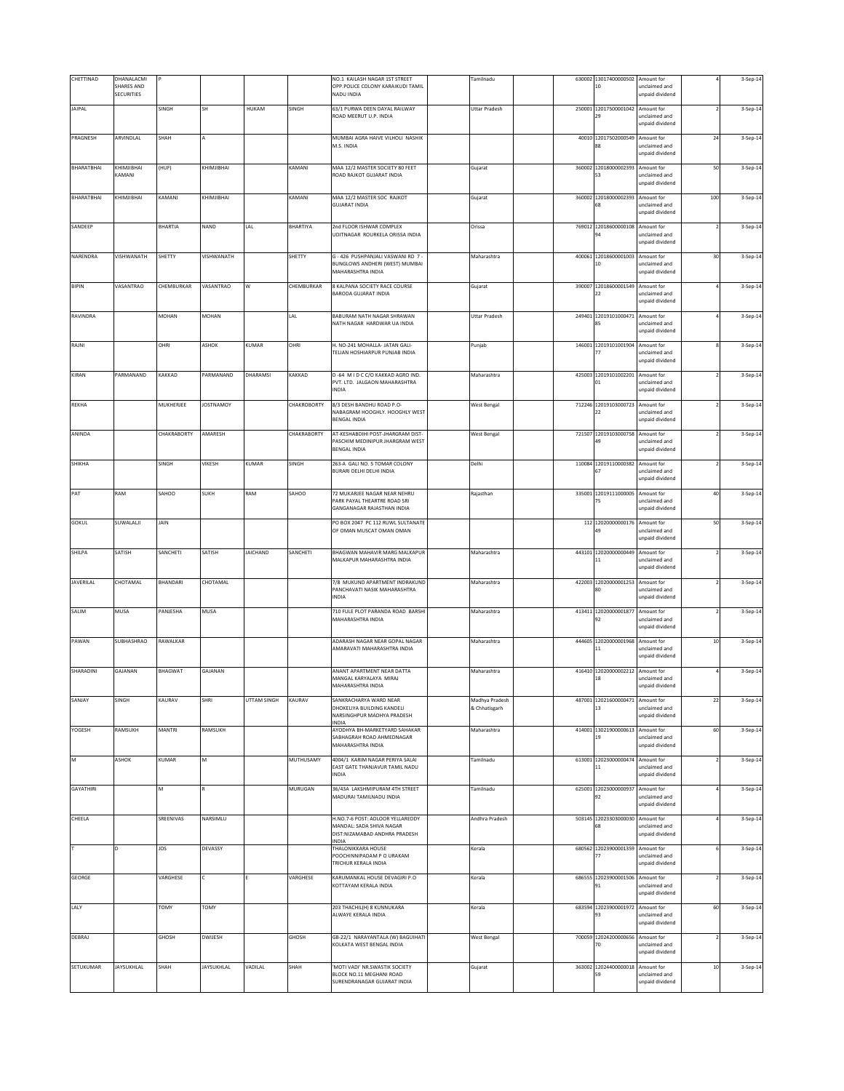| CHETTINAD        | DHANALACMI<br>SHARES AND<br><b>SECURITIES</b> |                 |                  |                 |             | NO.1 KAILASH NAGAR 1ST STREET<br>OPP.POLICE COLONY KARAIKUDI TAMIL<br>NADU INDIA                             | Tamilnadu                       |        | 630002 13017400000502 Amount for<br>10 | unclaimed and<br>unpaid dividend               |                | 3-Sep-14 |
|------------------|-----------------------------------------------|-----------------|------------------|-----------------|-------------|--------------------------------------------------------------------------------------------------------------|---------------------------------|--------|----------------------------------------|------------------------------------------------|----------------|----------|
| <b>JAIPAL</b>    |                                               | SINGH           | SH               | HUKAM           | SINGH       | 63/1 PURWA DEEN DAYAL RAILWAY<br>ROAD MEERUT U.P. INDIA                                                      | <b>Uttar Pradesh</b>            |        | 250001 12017500001042 Amount for<br>29 | unclaimed and<br>unpaid dividend               |                | 3-Sep-14 |
| PRAGNESH         | ARVINDLAL                                     | SHAH            |                  |                 |             | MUMBAI AGRA HAIVE VILHOLI NASHIK<br>M.S. INDIA                                                               |                                 |        | 40010 12017502000549 Amount for        | unclaimed and<br>unpaid dividend               | ${\bf 24}$     | 3-Sep-14 |
| BHARATBHAI       | KHIMJIBHAI<br>KAMANI                          | (HUF)           | KHIMJIBHAI       |                 | KAMANI      | MAA 12/2 MASTER SOCIETY 80 FEET<br>ROAD RAJKOT GUJARAT INDIA                                                 | Gujarat                         |        | 360002 12018000002393 Amount for<br>53 | unclaimed and<br>unpaid dividend               | 50             | 3-Sep-14 |
| BHARATBHAI       | KHIMJIBHAI                                    | KAMANI          | KHIMJIBHAI       |                 | KAMANI      | MAA 12/2 MASTER SOC RAJKOT<br><b>GUJARAT INDIA</b>                                                           | Gujarat                         |        | 360002 12018000002393<br>58            | Amount for<br>unclaimed and<br>unpaid dividend | 100            | 3-Sep-14 |
| SANDEEP          |                                               | <b>BHARTIA</b>  | NAND             | LAL             | BHARTIYA    | 2nd FLOOR ISHWAR COMPLEX<br>UDITNAGAR ROURKELA ORISSA INDIA                                                  | Orissa                          |        | 769012 12018600000108 Amount for<br>94 | unclaimed and<br>unpaid dividend               | $\overline{ }$ | 3-Sep-14 |
| NARENDRA         | VISHWANATH                                    | SHETTY          | VISHWANATH       |                 | SHETTY      | G - 426 PUSHPANJALI VASWANI RD 7 -<br>BUNGLOWS ANDHERI (WEST) MUMBAI<br>MAHARASHTRA INDIA                    | Maharashtra                     | 400061 | 12018600001003 Amount for<br>10        | unclaimed and<br>unpaid dividend               | 30             | 3-Sep-14 |
| <b>BIPIN</b>     | VASANTRAO                                     | CHEMBURKAR      | VASANTRAO        | W               | CHEMBURKAR  | 8 KALPANA SOCIETY RACE COURSE<br>BARODA GUJARAT INDIA                                                        | Gujarat                         | 390007 | 12018600001549 Amount for<br>$^{22}$   | unclaimed and<br>unpaid dividend               |                | 3-Sep-14 |
| RAVINDRA         |                                               | MOHAN           | MOHAN            |                 | LAL         | BABURAM NATH NAGAR SHRAWAN<br>NATH NAGAR HARDWAR UA INDIA                                                    | <b>Uttar Pradesh</b>            |        | 249401 12019101000471 Amount for<br>R5 | unclaimed and<br>unpaid dividend               |                | 3-Sep-14 |
| RAJNI            |                                               | OHRI            | ASHOK            | KUMAR           | OHRI        | H. NO-241 MOHALLA- JATAN GALI-<br>TELIAN HOSHIARPUR PUNJAB INDIA                                             | Punjab                          |        | 146001 12019101001904 Amount for       | unclaimed and<br>unpaid dividend               |                | 3-Sep-14 |
| KIRAN            | PARMANAND                                     | KAKKAD          | PARMANAND        | DHARAMSI        | KAKKAD      | D -64 M I D C C/O KAKKAD AGRO IND.<br>PVT. LTD. JALGAON MAHARASHTRA<br><b>INDIA</b>                          | Maharashtra                     | 425003 | 12019101002201<br>01                   | Amount for<br>unclaimed and<br>unpaid dividend |                | 3-Sep-14 |
| <b>REKHA</b>     |                                               | MUKHERJEE       | <b>JOSTNAMOY</b> |                 | CHAKROBORTY | 8/3 DESH BANDHU ROAD P.O-<br>NABAGRAM HOOGHLY, HOOGHLY WEST<br><b>BENGAL INDIA</b>                           | <b>West Bengal</b>              |        | 712246 12019103000723 Amount for<br>22 | unclaimed and<br>unpaid dividend               |                | 3-Sep-14 |
| ANINDA           |                                               | CHAKRABORTY     | AMARESH          |                 | CHAKRABORTY | AT-KESHABDIHI POST-JHARGRAM DIST-<br>PASCHIM MEDINIPUR JHARGRAM WEST<br><b>BENGAL INDIA</b>                  | <b>West Bengal</b>              | 721507 | 12019103000758 Amount for<br>19        | unclaimed and<br>unpaid dividend               |                | 3-Sep-14 |
| SHIKHA           |                                               | SINGH           | VIKESH           | KUMAR           | SINGH       | 263-A GALI NO. 5 TOMAR COLONY<br>BURARI DELHI DELHI INDIA                                                    | Delhi                           |        | 110084 12019110000382 Amount for       | unclaimed and<br>unpaid dividend               |                | 3-Sep-14 |
| PAT              | RAM                                           | SAHOO           | <b>SUKH</b>      | RAM             | SAHOO       | 72 MUKARJEE NAGAR NEAR NEHRU<br>PARK PAYAL THEARTRE ROAD SRI<br>GANGANAGAR RAJASTHAN INDIA                   | Rajasthan                       |        | 335001 12019111000005 Amount for       | unclaimed and<br>unpaid dividend               | $40\,$         | 3-Sep-14 |
| GOKUL            | SUWALALII                                     | JAIN            |                  |                 |             | PO BOX 2047 PC 112 RUWL SULTANATE<br>OF OMAN MUSCAT OMAN OMAN                                                |                                 |        | 112 12020000000176 Amount for<br>19    | unclaimed and<br>unpaid dividend               | 50             | 3-Sep-14 |
| SHILPA           | SATISH                                        | SANCHETI        | SATISH           | <b>JAICHAND</b> | SANCHETI    | BHAGWAN MAHAVIR MARG MALKAPUR<br>MALKAPUR MAHARASHTRA INDIA                                                  | Maharashtra                     | 443101 | 12020000000449                         | Amount for<br>inclaimed and<br>unpaid dividend |                | 3-Sep-14 |
| <b>JAVERILAL</b> | CHOTAMAL                                      | <b>BHANDARI</b> | CHOTAMAL         |                 |             | 7/8 MUKUND APARTMENT INDRAKUND<br>PANCHAVATI NASIK MAHARASHTRA<br>INDIA                                      | Maharashtra                     | 422003 | 12020000001253 Amount for<br>80        | unclaimed and<br>unpaid dividend               |                | 3-Sep-14 |
| SALIM            | MUSA                                          | PANJESHA        | MUSA             |                 |             | 710 FULE PLOT PARANDA ROAD BARSHI<br>MAHARASHTRA INDIA                                                       | Maharashtra                     |        | 413411 12020000001877 Amount for<br>92 | unclaimed and<br>unpaid dividend               |                | 3-Sep-14 |
| PAWAN            | SUBHASHRAO                                    | RAWALKAR        |                  |                 |             | ADARASH NAGAR NEAR GOPAL NAGAR<br>AMARAVATI MAHARASHTRA INDIA                                                | Maharashtra                     |        | 444605 12020000001968 Amount for<br>11 | unclaimed and<br>unpaid dividend               | $10\,$         | 3-Sep-14 |
| SHARADINI        | GAJANAN                                       | <b>BHAGWAT</b>  | GAJANAN          |                 |             | ANANT APARTMENT NEAR DATTA<br>MANGAL KARYALAYA MIRAJ<br>MAHARASHTRA INDIA                                    | Maharashtra                     |        | 416410 12020000002212 Amount for<br>18 | unclaimed and<br>unpaid dividend               |                | 3-Sep-14 |
| SANJAY           | SINGH                                         | KAURAV          | SHRI             | UTTAM SINGH     | KAURAV      | SANKRACHARYA WARD NEAR<br>DHOKELIYA BUILDING KANDELI<br>NARSINGHPUR MADHYA PRADESH<br>INDIA                  | Madhya Pradesh<br>& Chhatisgarh | 487001 | 12021600000471 Amount for<br>13        | unclaimed and<br>unpaid dividend               | $\bf 22$       | 3-Sep-14 |
| YOGESH           | RAMSUKH                                       | <b>MANTRI</b>   | RAMSUKH          |                 |             | AYODHYA BH-MARKETYARD SAHAKAR<br>SABHAGRAH ROAD AHMEDNAGAR<br>MAHARASHTRA INDIA                              | Maharashtra                     |        | 414001 13021900000613<br>19            | Amount for<br>unclaimed and<br>unpaid dividend | 60             | 3-Sep-14 |
| M                | ASHOK                                         | KUMAR           | M                |                 | MUTHUSAMY   | 4004/1 KARIM NAGAR PERIYA SALAI<br>EAST GATE THANJAVUR TAMIL NADU<br>INDIA                                   | Tamilnadu                       |        | 613001 12023000000474 Amount for<br>11 | unclaimed and<br>unpaid dividend               |                | 3-Sep-14 |
| <b>GAYATHIRI</b> |                                               | M               |                  |                 | MURUGAN     | 36/43A LAKSHMIPURAM 4TH STREET<br>MADURAI TAMILNADU INDIA                                                    | Tamilnadu                       | 625001 | 12023000000937 Amount for<br>92        | unclaimed and<br>unpaid dividend               |                | 3-Sep-14 |
| CHEELA           |                                               | SREENIVAS       | NARSIMLU         |                 |             | H.NO.7-6 POST: ADLOOR YELLAREDDY<br>MANDAL: SADA SHIVA NAGAR<br>DIST:NIZAMABAD ANDHRA PRADESH<br><b>NDIA</b> | Andhra Pradesh                  |        | 503145 12023303000030 Amount for<br>58 | unclaimed and<br>unpaid dividend               |                | 3-Sep-14 |
|                  |                                               | JOS             | DEVASSY          |                 |             | THALONIKKARA HOUSE<br>POOCHINNIPADAM P O URAKAM<br>TRICHUR KERALA INDIA                                      | Kerala                          |        | 680562 12023900001359 Amount for       | unclaimed and<br>unpaid dividend               |                | 3-Sep-14 |
| GEORGE           |                                               | VARGHESE        |                  |                 | VARGHESE    | KARUMANKAL HOUSE DEVAGIRI P.O<br>KOTTAYAM KERALA INDIA                                                       | Kerala                          |        | 686555 12023900001506 Amount for<br>91 | unclaimed and<br>unpaid dividend               |                | 3-Sep-14 |
| LALY             |                                               | TOMY            | TOMY             |                 |             | 203 THACHIL(H) 8 KUNNUKARA<br>ALWAYE KERALA INDIA                                                            | Kerala                          |        | 683594 12023900001972<br>93            | Amount for<br>unclaimed and<br>unpaid dividend | 60             | 3-Sep-14 |
| DEBRAJ           |                                               | GHOSH           | DWIJESH          |                 | GHOSH       | GB-22/1 NARAYANTALA (W) BAGUIHATI<br>KOLKATA WEST BENGAL INDIA                                               | <b>West Bengal</b>              | 700059 | 12024200000656<br>70                   | Amount for<br>unclaimed and<br>unpaid dividend |                | 3-Sep-14 |
| SETUKUMAR        | <b>JAYSUKHLAL</b>                             | SHAH            | JAYSUKHLAL       | VADILAL         | SHAH        | 'MOTI VADI' NR.SWASTIK SOCIETY<br>BLOCK NO.11 MEGHANI ROAD<br>SURENDRANAGAR GUJARAT INDIA                    | Gujarat                         |        | 363002 12024400000018 Amount for<br>59 | unclaimed and<br>unpaid dividend               | $10\,$         | 3-Sep-14 |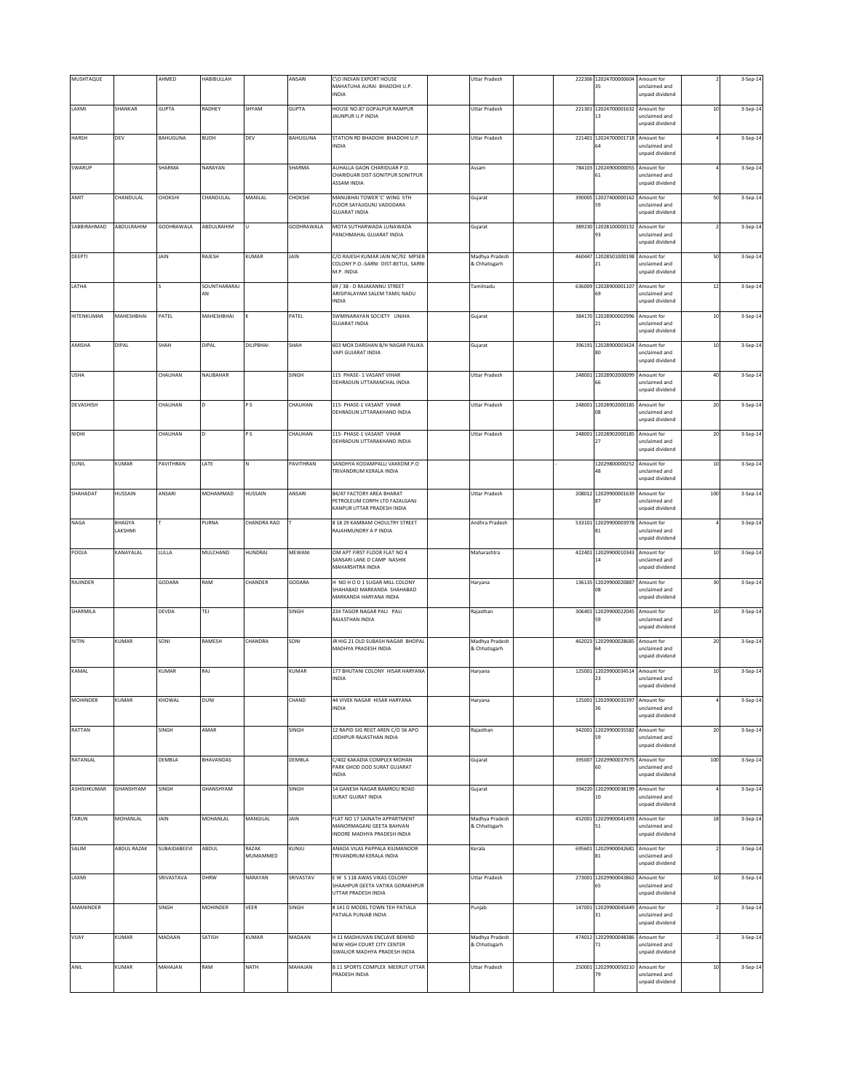| MUSHTAQUE    |                   | AHMED        | HABIBULLAH         |                     | ANSARI       | C\O INDIAN EXPORT HOUSE                                                                         | <b>Uttar Pradesh</b>            |        | 222306 12024700000604                  | Amount for                                                      |        | 3-Sep-14 |
|--------------|-------------------|--------------|--------------------|---------------------|--------------|-------------------------------------------------------------------------------------------------|---------------------------------|--------|----------------------------------------|-----------------------------------------------------------------|--------|----------|
|              |                   |              |                    |                     |              | MAHATUHA AURAI BHADOHI U.P.<br>INDIA                                                            |                                 |        | 35                                     | unclaimed and<br>unpaid dividend                                |        |          |
| LAXMI        | SHANKAR           | <b>GUPTA</b> | RADHEY             | SHYAM               | <b>GUPTA</b> | HOUSE NO.87 GOPALPUR RAMPUR<br><b>JAUNPUR U.P INDIA</b>                                         | <b>Uttar Pradesh</b>            |        | 221301 12024700001632 Amount for<br>13 | unclaimed and<br>unpaid dividend                                | $10$   | 3-Sep-14 |
| <b>HARSH</b> | DEV               | BAHUGUNA     | <b>BUDH</b>        | DEV                 | BAHUGUNA     | STATION RD BHADOHI BHADOHI U.P.<br><b>INDIA</b>                                                 | <b>Uttar Pradesh</b>            |        | 221401 12024700001718 Amount for       | inclaimed and<br>unpaid dividend                                |        | 3-Sep-14 |
| SWARUP       |                   | SHARMA       | NARAYAN            |                     | SHARMA       | AUHALLA GAON CHARIDUAR P.O.<br>CHARIDUAR DIST-SONITPUR SONITPUR<br><b>ASSAM INDIA</b>           | Assam                           |        | 784103 12024900000055<br>51            | Amount for<br>unclaimed and<br>unpaid dividend                  |        | 3-Sep-14 |
| AMIT         | CHANDULAL         | CHOKSHI      | CHANDULAL          | MANILAL             | CHOKSHI      | MANUBHAI TOWER 'C' WING 5TH<br>FLOOR SAYAJIGUNJ VADODARA<br>GUIARAT INDIA                       | Gujarat                         |        | 390005 12027400000162 Amount for<br>59 | unclaimed and<br>unpaid dividend                                | 50     | 3-Sep-14 |
| SABBIRAHMAD  | ABDULRAHIM        | GODHRAWALA   | ABDULRAHIM         | U                   | GODHRAWALA   | MOTA SUTHARWADA LUNAWADA<br>PANCHMAHAL GUJARAT INDIA                                            | Gujarat                         |        | 389230 12028100000132 Amount for<br>93 | unclaimed and<br>unpaid dividend                                |        | 3-Sep-14 |
| DEEPTI       |                   | JAIN         | RAJESH             | KUMAR               | JAIN         | C/O RAJESH KUMAR JAIN NC/92 MPSEB<br>COLONY P.O.-SARNI DIST-BETUL. SARNI<br>M.P. INDIA          | Madhya Pradesh<br>& Chhatisgarh | 460447 | 12028501000198<br>21                   | Amount for<br>unclaimed and<br>unpaid dividend                  | 50     | 3-Sep-14 |
| LATHA        |                   |              | SOUNTHARARAJ<br>AN |                     |              | 69 / 38 - D RAJAKANNU STREET<br>ARISIPALAYAM SALEM TAMIL NADU<br>INDIA                          | Tamilnadu                       |        | 636009 12028900001107 Amount for<br>69 | unclaimed and<br>unpaid dividend                                | $12\,$ | 3-Sep-14 |
| HITENKUMAR   | MAHESHBHAI        | PATEL        | MAHESHBHAI         |                     | PATEL        | SWMINARAYAN SOCIETY UNJHA<br><b>GUJARAT INDIA</b>                                               | Gujarat                         | 384170 | 12028900002996 Amount for<br>21        | unclaimed and<br>unpaid dividend                                | $10\,$ | 3-Sep-14 |
| AMISHA       | <b>DIPAL</b>      | SHAH         | DIPAL              | DILIPBHAI           | SHAH         | 603 MOX DARSHAN B/H NAGAR PALIKA<br>VAPI GUJARAT INDIA                                          | Gujarat                         |        | 396191 12028900003424                  | Amount for<br>inclaimed and<br>unpaid dividend                  | $10$   | 3-Sep-14 |
| <b>USHA</b>  |                   | CHAUHAN      | NAUBAHAR           |                     | SINGH        | 115 PHASE- 1 VASANT VIHAR<br>DEHRADUN UTTARANCHAL INDIA                                         | <b>Uttar Pradesh</b>            |        | 248001 12028902000099<br>66            | Amount for<br>unclaimed and<br>unpaid dividend                  | 40     | 3-Sep-14 |
| DEVASHISH    |                   | CHAUHAN      |                    | P S                 | CHAUHAN      | 115- PHASE-1 VASANT VIHAR<br>DEHRADUN UTTARAKHAND INDIA                                         | <b>Uttar Pradesh</b>            | 248001 | 12028902000185 Amount for<br>ገጸ        | unclaimed and<br>unpaid dividend                                | 20     | 3-Sep-14 |
| NIDHI        |                   | CHAUHAN      |                    | P <sub>S</sub>      | CHAUHAN      | 115- PHASE-1 VASANT VIHAR<br>DEHRADUN UTTARAKHAND INDIA                                         | <b>Uttar Pradesh</b>            |        | 248001 12028902000185                  | Amount for<br>unclaimed and<br>unpaid dividend                  | 20     | 3-Sep-14 |
| <b>SUNIL</b> | KUMAR             | PAVITHRAN    | LATE               | N                   | PAVITHRAN    | SANDHYA KODAMPALLI VAKKOM.P.O<br>TRIVANDRUM KERALA INDIA                                        |                                 |        | 12029800000252 Amount for<br>48        | unclaimed and<br>unpaid dividend                                | $10\,$ | 3-Sep-14 |
| SHAHADAT     | HUSSAIN           | ANSARI       | MOHAMMAD           | <b>HUSSAIN</b>      | ANSARI       | 84/47 FACTORY AREA BHARAT<br>PETROLEUM CORPH LTD FAZALGANJ<br>KANPUR UTTAR PRADESH INDIA        | <b>Uttar Pradesh</b>            |        | 208012 12029900001639 Amount for       | unclaimed and<br>unpaid dividend                                | 100    | 3-Sep-14 |
| NAGA         | BHAGYA<br>LAKSHMI |              | PURNA              | CHANDRA RAO         |              | 8 18 29 KAMBAM CHOULTRY STREET<br>RAJAHMUNDRY A P INDIA                                         | Andhra Pradesh                  |        | 533101 12029900003978<br>81            | Amount for<br>unclaimed and<br>unpaid dividend                  |        | 3-Sep-14 |
| POOJA        | KANAYALAL         | LULLA        | MULCHAND           | HUNDRAJ             | MEWANI       | OM APT FIRST FLOOR FLAT NO 4<br>SANSARI LANE D CAMP NASHIK<br>MAHARSHTRA INDIA                  | Maharashtra                     |        | 422401 12029900010343<br>14            | Amount for<br>unclaimed and<br>unpaid dividend                  | $10$   | 3-Sep-14 |
| RAJINDER     |                   | GODARA       | RAM                | CHANDER             | GODARA       | H NO H O D 1 SUGAR MILL COLONY<br>SHAHABAD MARKANDA SHAHABAD<br>MARKANDA HARYANA INDIA          | Haryana                         | 136135 | 12029900020887 Amount for<br>08        | unclaimed and<br>unpaid dividend                                | 30     | 3-Sep-14 |
| SHARMILA     |                   | DEVDA        | TEJ                |                     | SINGH        | 234 TAGOR NAGAR PALI PALI<br>RAJASTHAN INDIA                                                    | Rajasthan                       |        | 306401 12029900022045 Amount for       | unclaimed and<br>unpaid dividend                                | $10$   | 3-Sep-14 |
| NITIN        | KUMAR             | SONI         | RAMESH             | CHANDRA             | SONI         | JR HIG 21 OLD SUBASH NAGAR BHOPAL<br>MADHYA PRADESH INDIA                                       | Madhya Pradesh<br>& Chhatisgarh |        | 462023 12029900028685 Amount for       | unclaimed and<br>unpaid dividend                                | $20\,$ | 3-Sep-14 |
| KAMAL        |                   | <b>KUMAR</b> | RAJ                |                     | KUMAR        | 177 BHUTANI COLONY HISAR HARYANA<br>INDIA                                                       | Haryana                         |        | 125001 12029900034514 Amount for<br>23 | unclaimed and<br>unpaid dividend                                | $10\,$ | 3-Sep-14 |
| MOHINDER     | KUMAR             | KHOWAL       | DUNI               |                     | CHAND        | 44 VIVEK NAGAR HISAR HARYANA<br><b>INDIA</b>                                                    | Haryana                         |        | 125001 12029900035397                  | Amount for<br>unclaimed and<br>unpaid dividend                  |        | 3-Sep-14 |
| RATTAN       |                   | SINGH        | AMAR               |                     | SINGH        | 12 RAPID SIG REGT AREN C/O 56 APO<br>JODHPUR RAJASTHAN INDIA                                    | Rajasthan                       |        | 342001 12029900035582<br>59            | Amount for<br>unclaimed and<br>unpaid dividend                  | $20\,$ | 3-Sep-14 |
| RATANLAL     |                   | DEMBLA       | BHAVANDAS          |                     | DEMBLA       | C/402 KAKADIA COMPLEX MOHAN<br>PARK GHOD DOD SURAT GUJARAT<br><b>INDIA</b>                      | Gujarat                         |        | 395007 12029900037975 Amount for<br>60 | unclaimed and<br>unpaid dividend                                | 100    | 3-Sep-14 |
| ASHISHKUMAR  | GHANSHYAM         | SINGH        | GHANSHYAM          |                     | SINGH        | 14 GANESH NAGAR BAMROLI ROAD<br>SURAT GUJRAT INDIA                                              | Gujarat                         |        | 394220 12029900038199<br>10            | Amount for<br>unclaimed and<br>unpaid dividend                  |        | 3-Sep-14 |
| TARUN        | MOHANLAL          | JAIN         | MOHANLAL           | MANGILAL            | JAIN         | FLAT NO 17 SAINATH APPARTMENT<br>MANORMAGANJ GEETA BAHVAN<br><b>INDORE MADHYA PRADESH INDIA</b> | Madhya Pradesh<br>& Chhatisgarh |        | 452001 12029900041493 Amount for<br>51 | unclaimed and<br>unpaid dividend                                | $18\,$ | 3-Sep-14 |
| SALIM        | ABDUL RAZAK       | SUBAIDABEEVI | ABDUL              | RAZAK               | KUNJU        | ANADA VILAS PAPPALA KILIMANOOR                                                                  | Kerala                          |        | 695601 12029900042681 Amount for       |                                                                 |        | 3-Sep-14 |
| LAXMI        |                   | SRIVASTAVA   | DHRW               | MUMAMMED<br>NARAYAN | SRIVASTAV    | TRIVANDRUM KERALA INDIA<br>E W S 118 AWAS VIKAS COLONY<br>SHAAHPUR GEETA VATIKA GORAKHPUR       | <b>Uttar Pradesh</b>            | 273001 | 81<br>12029900043862<br>55             | unclaimed and<br>unpaid dividend<br>Amount for<br>unclaimed and | $10\,$ | 3-Sep-14 |
| AMANINDER    |                   | SINGH        | MOHINDER           | VEER                | SINGH        | UTTAR PRADESH INDIA<br>#141 D MODEL TOWN TEH PATIALA<br>ATIALA PUNJAB INDIA                     | Punjab                          |        | 147001 12029900045449<br>31            | unpaid dividend<br>Amount for<br>unclaimed and                  |        | 3-Sep-14 |
| VIJAY        | KUMAR             | MADAAN       | SATISH             | KUMAR               | MADAAN       | H 11 MADHUVAN ENCLAVE BEHIND                                                                    | Madhya Pradesh                  |        | 474012 12029900048386 Amount for       | unpaid dividend                                                 |        | 3-Sep-14 |
|              |                   |              |                    |                     |              | NEW HIGH COURT CITY CENTER<br>GWALIOR MADHYA PRADESH INDIA                                      | & Chhatisgarh                   |        | 71                                     | unclaimed and<br>unpaid dividend                                |        |          |
| ANIL         | KUMAR             | MAHAJAN      | RAM                | NATH                | MAHAJAN      | B 11 SPORTS COMPLEX MEERUT UTTAR<br>PRADESH INDIA                                               | <b>Uttar Pradesh</b>            |        | 250001 12029900050210<br>79            | Amount for<br>unclaimed and<br>unpaid dividend                  | $10\,$ | 3-Sep-14 |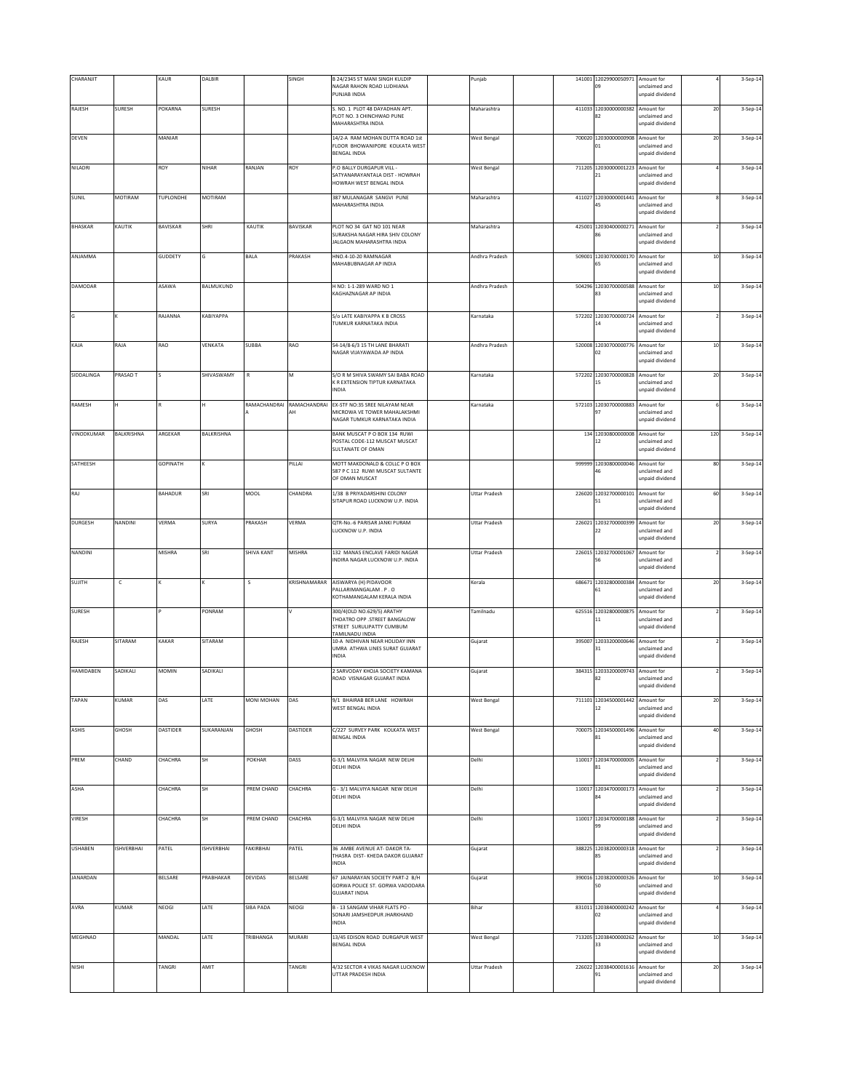| CHARANJIT        |                   | KAUR            | DALBIR            |                   | SINGH              | B 24/2345 ST MANI SINGH KULDIP                                                                             | Punjab               |        | 141001 12029900050971 Amount for       |                                                |        | 3-Sep-14 |
|------------------|-------------------|-----------------|-------------------|-------------------|--------------------|------------------------------------------------------------------------------------------------------------|----------------------|--------|----------------------------------------|------------------------------------------------|--------|----------|
|                  |                   |                 |                   |                   |                    | NAGAR RAHON ROAD LUDHIANA<br>PUNJAB INDIA                                                                  |                      |        | 09                                     | unclaimed and<br>unpaid dividend               |        |          |
| RAJESH           | SURESH            | POKARNA         | <b>SURESH</b>     |                   |                    | S. NO. 1 PLOT 48 DAYADHAN APT.<br>PLOT NO. 3 CHINCHWAD PUNE<br>MAHARASHTRA INDIA                           | Maharashtra          |        | 411033 12030000000382 Amount for<br>82 | unclaimed and<br>unpaid dividend               | $20\,$ | 3-Sep-14 |
| DEVEN            |                   | MANIAR          |                   |                   |                    | 14/2-A RAM MOHAN DUTTA ROAD 1st<br>FLOOR BHOWANIPORE KOLKATA WEST<br><b>BENGAL INDIA</b>                   | <b>West Bengal</b>   |        | 700020 12030000000908 Amount for<br>ŋ1 | unclaimed and<br>unpaid dividend               | 20     | 3-Sep-14 |
| NILADRI          |                   | ROY             | NIHAR             | RANJAN            | ROY                | P.O BALLY DURGAPUR VILL -<br>SATYANARAYANTALA DIST - HOWRAH<br>HOWRAH WEST BENGAL INDIA                    | <b>West Bengal</b>   | 711205 | 12030000001223<br>21                   | Amount for<br>unclaimed and<br>unpaid dividend |        | 3-Sep-14 |
| SUNIL            | MOTIRAM           | TUPLONDHE       | MOTIRAM           |                   |                    | 387 MULANAGAR SANGVI PUNE<br>MAHARASHTRA INDIA                                                             | Maharashtra          |        | 411027 12030000001441 Amount for<br>45 | unclaimed and<br>unpaid dividend               |        | 3-Sep-14 |
| <b>BHASKAR</b>   | KAUTIK            | BAVISKAR        | SHRI              | KAUTIK            | BAVISKAR           | PLOT NO 34 GAT NO 101 NEAR<br>SURAKSHA NAGAR HIRA SHIV COLONY<br>JALGAON MAHARASHTRA INDIA                 | Maharashtra          | 425001 | 12030400000271 Amount for<br>86        | unclaimed and<br>unpaid dividend               |        | 3-Sep-14 |
| ANJAMMA          |                   | GUDDETY         |                   | <b>BALA</b>       | PRAKASH            | HNO.4-10-20 RAMNAGAR<br>MAHABUBNAGAR AP INDIA                                                              | Andhra Pradesh       |        | 509001 12030700000170 Amount for       | unclaimed and<br>unpaid dividend               | $10$   | 3-Sep-14 |
| <b>DAMODAR</b>   |                   | ASAWA           | BALMUKUND         |                   |                    | H NO: 1-1-289 WARD NO 1<br>KAGHAZNAGAR AP INDIA                                                            | Andhra Pradesh       |        | 504296 12030700000588 Amount for<br>R٩ | unclaimed and<br>unpaid dividend               | $10\,$ | 3-Sep-14 |
| G                |                   | RAJANNA         | KABIYAPPA         |                   |                    | S/o LATE KABIYAPPA K B CROSS<br>TUMKUR KARNATAKA INDIA                                                     | Karnataka            |        | 572202 12030700000724 Amount for<br>14 | unclaimed and<br>unpaid dividend               |        | 3-Sep-14 |
| KAJA             | RAJA              | RAO             | VENKATA           | SUBBA             | RAO                | 54-14/8-6/3 15 TH LANE BHARATI<br>NAGAR VIJAYAWADA AP INDIA                                                | Andhra Pradesh       |        | 520008 12030700000776<br>D2            | Amount for<br>inclaimed and<br>unpaid dividend | $10$   | 3-Sep-14 |
| SIDDALINGA       | PRASAD T          |                 | SHIVASWAMY        | R                 | M                  | S/O R M SHIVA SWAMY SAI BABA ROAD<br>K R EXTENSION TIPTUR KARNATAKA<br>INDIA                               | Karnataka            |        | 572202 12030700000828 Amount for<br>15 | unclaimed and<br>unpaid dividend               | $20\,$ | 3-Sep-14 |
| RAMESH           | н                 |                 |                   | RAMACHANDRAI      | RAMACHANDRAI<br>AH | EX-STF NO:35 SREE NILAYAM NEAR<br>MICROWA VE TOWER MAHALAKSHMI<br>NAGAR TUMKUR KARNATAKA INDIA             | Karnataka            |        | 572103 12030700000883 Amount for       | unclaimed and<br>unpaid dividend               |        | 3-Sep-14 |
| VINODKUMAR       | BALKRISHNA        | ARGEKAR         | BALKRISHNA        |                   |                    | BANK MUSCAT P O BOX 134 RUWI<br>POSTAL CODE-112 MUSCAT MUSCAT<br>SULTANATE OF OMAN                         |                      |        | 134 12030800000008 Amount for<br>12    | unclaimed and<br>unpaid dividend               | 120    | 3-Sep-14 |
| SATHEESH         |                   | <b>GOPINATH</b> |                   |                   | PILLAI             | MOTT MAKDONALD & COLLC P O BOX<br>587 P C 112 RUWI MUSCAT SULTANTE<br>OF OMAN MUSCAT                       |                      |        | 999999 12030800000046 Amount for<br>16 | unclaimed and<br>unpaid dividend               | 80     | 3-Sep-14 |
| RAJ              |                   | BAHADUR         | SRI               | MOOL              | CHANDRA            | 1/38 B PRIYADARSHINI COLONY<br>SITAPUR ROAD LUCKNOW U.P. INDIA                                             | <b>Uttar Pradesh</b> |        | 226020 12032700000101 Amount for<br>51 | unclaimed and<br>unpaid dividend               | 60     | 3-Sep-14 |
| <b>DURGESH</b>   | NANDINI           | VERMA           | SURYA             | PRAKASH           | VERMA              | QTR-No.-6 PARISAR JANKI PURAM<br>LUCKNOW U.P. INDIA                                                        | <b>Uttar Pradesh</b> |        | 226021 12032700000399<br>22            | Amount for<br>unclaimed and<br>unpaid dividend | 20     | 3-Sep-14 |
| NANDINI          |                   | <b>MISHRA</b>   | SRI               | <b>SHIVA KANT</b> | MISHRA             | 132 MANAS ENCLAVE FARIDI NAGAR<br>NDIRA NAGAR LUCKNOW U.P. INDIA                                           | <b>Uttar Pradesh</b> |        | 226015 12032700001067<br>56            | Amount for<br>unclaimed and<br>unpaid dividend |        | 3-Sep-14 |
| SUJITH           | $\mathsf{C}$      |                 |                   | s                 | KRISHNAMARAR       | AISWARYA (H) PIDAVOOR<br>PALLARIMANGALAM. P.O<br>KOTHAMANGALAM KERALA INDIA                                | Kerala               | 686671 | 12032800000384 Amount for<br>61        | unclaimed and<br>unpaid dividend               | 20     | 3-Sep-14 |
| <b>SURESH</b>    |                   |                 | PONRAM            |                   |                    | 300/4(OLD NO.629/5) ARATHY<br>THOATRO OPP .STREET BANGALOW<br>STREET SURULIPATTY CUMBUM<br>TAMILNADU INDIA | Tamilnadu            |        | 625516 12032800000875 Amount for<br>11 | unclaimed and<br>unpaid dividend               |        | 3-Sep-14 |
| RAJESH           | SITARAM           | KAKAR           | SITARAM           |                   |                    | 10-A NIDHIVAN NEAR HOLIDAY INN<br>UMRA ATHWA LINES SURAT GUJARAT<br>INDIA                                  | Gujarat              |        | 395007 12033200000646 Amount for<br>31 | unclaimed and<br>unpaid dividend               |        | 3-Sep-14 |
| <b>HAMIDABEN</b> | SADIKALI          | <b>MOMIN</b>    | SADIKALI          |                   |                    | 2 SARVODAY KHOJA SOCIETY KAMANA<br>ROAD VISNAGAR GUJARAT INDIA                                             | Gujarat              |        | 384315 12033200009743 Amount for<br>82 | unclaimed and<br>unpaid dividend               |        | 3-Sep-14 |
| TAPAN            | KUMAR             | DAS             | LATE              | MONI MOHAN        | DAS                | 9/1 BHAIRAB BER LANE HOWRAH<br>WEST BENGAL INDIA                                                           | <b>West Bengal</b>   |        | 711101 12034500001442 Amount for<br>12 | unclaimed and<br>unpaid dividend               | 20     | 3-Sep-14 |
| <b>ASHIS</b>     | GHOSH             | DASTIDER        | SUKARANJAN        | GHOSH             | DASTIDER           | C/227 SURVEY PARK KOLKATA WEST<br>BENGAL INDIA                                                             | <b>West Bengal</b>   |        | 700075 12034500001496<br>81            | Amount for<br>unclaimed and<br>unpaid dividend | 40     | 3-Sep-14 |
| PREM             | CHAND             | CHACHRA         | SH                | POKHAR            | DASS               | G-3/1 MALVIYA NAGAR NEW DELHI<br>DELHI INDIA                                                               | Delhi                |        | 110017 12034700000005 Amount for<br>81 | unclaimed and<br>unpaid dividend               |        | 3-Sep-14 |
| ASHA             |                   | CHACHRA         | SH                | PREM CHAND        | CHACHRA            | G - 3/1 MALVIYA NAGAR NEW DELHI<br>DELHI INDIA                                                             | Delhi                |        | 110017 12034700000173 Amount for       | unclaimed and<br>unpaid dividend               |        | 3-Sep-14 |
| VIRESH           |                   | CHACHRA         | SH                | PREM CHAND        | CHACHRA            | G-3/1 MALVIYA NAGAR NEW DELHI<br>DELHI INDIA                                                               | Delhi                |        | 110017 12034700000188 Amount for<br>99 | unclaimed and<br>unpaid dividend               |        | 3-Sep-14 |
| <b>USHABEN</b>   | <b>ISHVERBHAI</b> | PATEL           | <b>ISHVERBHAI</b> | FAKIRBHAI         | PATEL              | 36 AMBE AVENUE AT- DAKOR TA-<br>THASRA DIST- KHEDA DAKOR GUJARAT<br><b>INDIA</b>                           | Gujarat              |        | 388225 12038200000318 Amount for<br>R5 | unclaimed and<br>unpaid dividend               |        | 3-Sep-14 |
| JANARDAN         |                   | BELSARE         | PRABHAKAR         | DEVIDAS           | BELSARE            | 67 JAINARAYAN SOCIETY PART-2 B/H<br>GORWA POLICE ST. GORWA VADODARA<br><b>GUJARAT INDIA</b>                | Gujarat              |        | 390016 12038200000326 Amount for<br>50 | unclaimed and<br>unpaid dividend               | $10\,$ | 3-Sep-14 |
| AVRA             | KUMAR             | NEOGI           | LATE              | SIBA PADA         | NEOGI              | B - 13 SANGAM VIHAR FLATS PO -<br>SONARI JAMSHEDPUR JHARKHAND<br>INDIA                                     | Bihar                |        | 831011 12038400000242 Amount for<br>D2 | unclaimed and<br>unpaid dividend               |        | 3-Sep-14 |
| MEGHNAD          |                   | MANDAL          | LATE              | TRIBHANGA         | MURARI             | 13/45 EDISON ROAD DURGAPUR WEST<br><b>BENGAL INDIA</b>                                                     | <b>West Bengal</b>   |        | 713205 12038400000262 Amount for<br>33 | unclaimed and<br>unpaid dividend               | $10\,$ | 3-Sep-14 |
| NISHI            |                   | TANGRI          | AMIT              |                   | TANGRI             | 4/32 SECTOR 4 VIKAS NAGAR LUCKNOW<br>UTTAR PRADESH INDIA                                                   | <b>Uttar Pradesh</b> |        | 226022 12038400001616 Amount for<br>91 | unclaimed and<br>unpaid dividend               | 20     | 3-Sep-14 |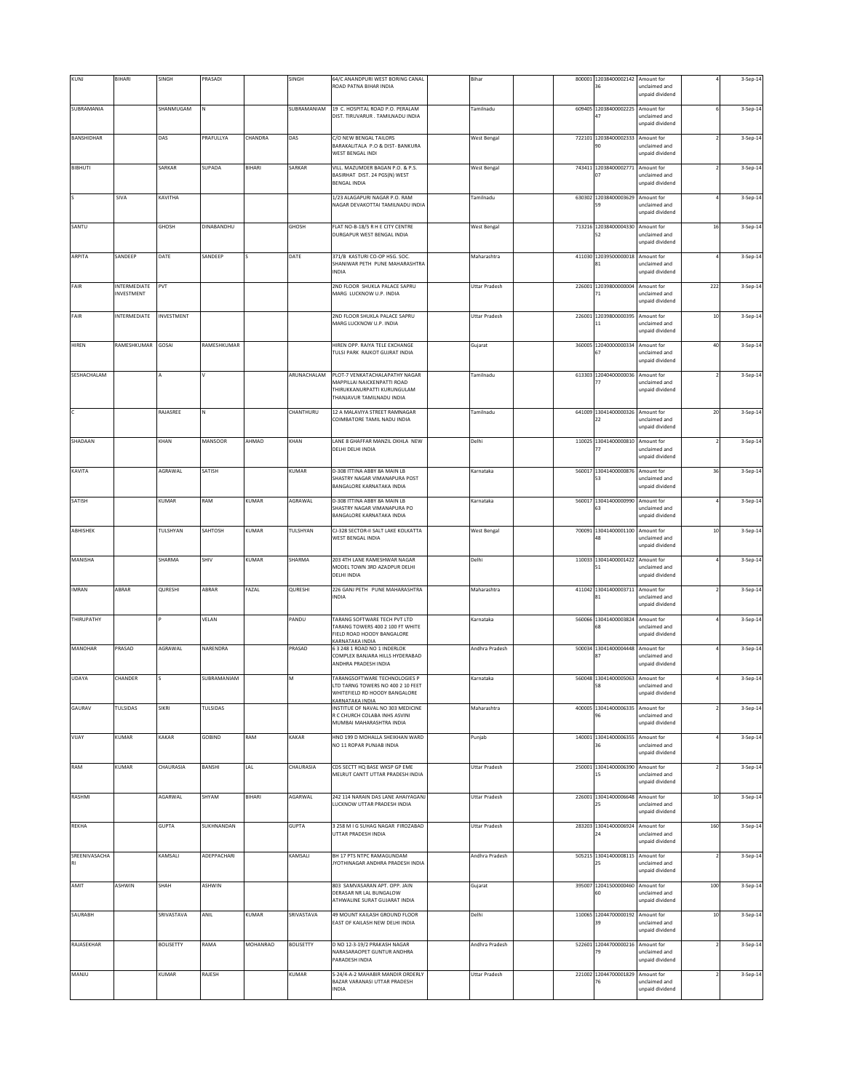| KUNJ                       | BIHARI                            | SINGH            | PRASADI     |                 | SINGH            | 64/C ANANDPURI WEST BORING CANAL<br>ROAD PATNA BIHAR INDIA                                                                | Bihar                |        | 800001 12038400002142 Amount for<br>36 | unclaimed and<br>unpaid dividend               |        | 3-Sep-14 |
|----------------------------|-----------------------------------|------------------|-------------|-----------------|------------------|---------------------------------------------------------------------------------------------------------------------------|----------------------|--------|----------------------------------------|------------------------------------------------|--------|----------|
| SUBRAMANIA                 |                                   | SHANMUGAM        |             |                 | SUBRAMANIAM      | 19 C. HOSPITAL ROAD P.O. PERALAM<br>DIST. TIRUVARUR . TAMILNADU INDIA                                                     | Tamilnadu            |        | 609405 12038400002225<br>47            | Amount for<br>unclaimed and<br>unpaid dividend |        | 3-Sep-14 |
| BANSHIDHAR                 |                                   | DAS              | PRAFULLYA   | CHANDRA         | DAS              | C/O NEW BENGAL TAILORS<br>BARAKALITALA P.O & DIST- BANKURA<br>WEST BENGAL INDI                                            | <b>West Bengal</b>   |        | 722101 12038400002333 Amount for<br>۹n | unclaimed and<br>unpaid dividend               |        | 3-Sep-14 |
| <b>BIBHUTI</b>             |                                   | SARKAR           | SUPADA      | BIHARI          | SARKAR           | VILL. MAZUMDER BAGAN P.O. & P.S.<br>BASIRHAT DIST. 24 PGS(N) WEST<br><b>BENGAL INDIA</b>                                  | <b>West Bengal</b>   |        | 743411 12038400002771 Amount for<br>07 | unclaimed and<br>unpaid dividend               |        | 3-Sep-14 |
|                            | SIVA                              | KAVITHA          |             |                 |                  | 1/23 ALAGAPURI NAGAR P.O. RAM<br>NAGAR DEVAKOTTAI TAMILNADU INDIA                                                         | Tamilnadu            |        | 630302 12038400003629<br>59            | Amount for<br>unclaimed and<br>unpaid dividend |        | 3-Sep-14 |
| SANTU                      |                                   | GHOSH            | DINABANDHU  |                 | GHOSH            | FLAT NO-B-18/5 R H E CITY CENTRE<br>DURGAPUR WEST BENGAL INDIA                                                            | <b>West Bengal</b>   |        | 713216 12038400004330 Amount for<br>52 | unclaimed and<br>unpaid dividend               | $16\,$ | 3-Sep-14 |
| ARPITA                     | SANDEEP                           | DATE             | SANDEEP     |                 | DATE             | 371/B KASTURI CO-OP HSG. SOC.<br>SHANIWAR PETH PUNE MAHARASHTRA<br>INDIA                                                  | Maharashtra          |        | 411030 12039500000018 Amount for<br>81 | unclaimed and<br>unpaid dividend               |        | 3-Sep-14 |
| FAIR                       | <b>INTERMEDIATE</b><br>INVESTMENT | PVT              |             |                 |                  | 2ND FLOOR SHUKLA PALACE SAPRU<br>MARG LUCKNOW U.P. INDIA                                                                  | <b>Uttar Pradesh</b> |        | 226001 12039800000004 Amount for<br>71 | unclaimed and<br>unpaid dividend               | 222    | 3-Sep-14 |
| FAIR                       | <b>INTERMEDIATE</b>               | INVESTMENT       |             |                 |                  | 2ND FLOOR SHUKLA PALACE SAPRU<br>MARG LUCKNOW U.P. INDIA                                                                  | <b>Uttar Pradesh</b> |        | 226001 12039800000395 Amount for<br>11 | unclaimed and<br>unpaid dividend               | $10\,$ | 3-Sep-14 |
| <b>HIREN</b>               | RAMESHKUMAR GOSAI                 |                  | RAMESHKUMAR |                 |                  | HIREN OPP. RAIYA TELE EXCHANGE<br>TUISI PARK RAIKOT GUIRAT INDIA                                                          | Gujarat              |        | 360005 12040000000334 Amount for       | inclaimed and<br>unpaid dividend               | 40     | 3-Sep-14 |
| SESHACHALAM                |                                   |                  |             |                 | ARUNACHALAM      | PLOT-7 VENKATACHALAPATHY NAGAR<br>MAPPILLAI NAICKENPATTI ROAD<br>THIRUKKANURPATTI KURUNGULAM<br>THANJAVUR TAMILNADU INDIA | Tamilnadu            | 613303 | 12040400000036<br>77                   | Amount for<br>unclaimed and<br>unpaid dividend |        | 3-Sep-14 |
|                            |                                   | RAJASREE         |             |                 | CHANTHURU        | 12 A MALAVIYA STREET RAMNAGAR<br>COIMBATORE TAMIL NADU INDIA                                                              | Tamilnadu            |        | 641009 13041400000326<br>22            | Amount for<br>unclaimed and<br>unpaid dividend | 20     | 3-Sep-14 |
| SHADAAN                    |                                   | KHAN             | MANSOOR     | AHMAD           | KHAN             | LANE 8 GHAFFAR MANZIL OKHLA NEW<br>DELHI DELHI INDIA                                                                      | Delhi                |        | 110025 13041400000810 Amount for<br>77 | unclaimed and<br>unpaid dividend               |        | 3-Sep-14 |
| KAVITA                     |                                   | AGRAWAL          | SATISH      |                 | KUMAR            | D-308 ITTINA ABBY 8A MAIN LB<br>SHASTRY NAGAR VIMANAPURA POST<br>BANGALORE KARNATAKA INDIA                                | Karnataka            |        | 560017 13041400000876 Amount for<br>53 | unclaimed and<br>unpaid dividend               | 36     | 3-Sep-14 |
| SATISH                     |                                   | KUMAR            | RAM         | KUMAR           | AGRAWAL          | D-308 ITTINA ABBY 8A MAIN LB<br>SHASTRY NAGAR VIMANAPURA PO<br>BANGALORE KARNATAKA INDIA                                  | Karnataka            | 560017 | 13041400000990<br>53                   | Amount for<br>unclaimed and<br>unpaid dividend |        | 3-Sep-14 |
| ABHISHEK                   |                                   | TULSHYAN         | SAHTOSH     | <b>KUMAR</b>    | TULSHYAN         | CJ-328 SECTOR-II SALT LAKE KOLKATTA<br>WEST BENGAL INDIA                                                                  | <b>West Bengal</b>   |        | 700091 13041400001100 Amount for<br>18 | unclaimed and<br>unpaid dividend               | $10$   | 3-Sep-14 |
| MANISHA                    |                                   | SHARMA           | SHIV        | KUMAR           | SHARMA           | 203 4TH LANE RAMESHWAR NAGAR<br>MODEL TOWN 3RD AZADPUR DELHI<br>DELHI INDIA                                               | Delhi                |        | 110033 13041400001422 Amount for<br>51 | unclaimed and<br>unpaid dividend               |        | 3-Sep-14 |
| <b>IMRAN</b>               | ABRAR                             | QURESHI          | ABRAR       | FAZAL           | QURESHI          | 226 GANJ PETH PUNE MAHARASHTRA<br>INDIA                                                                                   | Maharashtra          |        | 411042 13041400003711<br>81            | Amount for<br>unclaimed and<br>unpaid dividend |        | 3-Sep-14 |
| THIRUPATHY                 |                                   |                  | VELAN       |                 | PANDU            | TARANG SOFTWARE TECH PVT LTD<br>TARANG TOWERS 400 2 100 FT WHITE<br>FIELD ROAD HOODY BANGALORE<br>KARNATAKA INDIA         | Karnataka            | 560066 | 13041400003824 Amount for<br>68        | unclaimed and<br>unpaid dividend               |        | 3-Sep-14 |
| MANOHAR                    | PRASAD                            | AGRAWAL          | NARENDRA    |                 | PRASAD           | 6 3 248 1 ROAD NO 1 INDERLOK<br>COMPLEX BANJARA HILLS HYDERABAD<br>ANDHRA PRADESH INDIA                                   | Andhra Pradesh       |        | 500034 13041400004448 Amount for<br>87 | unclaimed and<br>unpaid dividend               |        | 3-Sep-14 |
| <b>UDAYA</b>               | CHANDER                           |                  | SUBRAMANIAM |                 | м                | TARANGSOFTWARE TECHNOLOGIES P<br>LTD TARNG TOWERS NO 400 2 10 FEET<br>WHITEFIELD RD HOODY BANGALORE<br>KARNATAKA INDIA    | Karnataka            |        | 560048 13041400005063<br>58            | Amount for<br>unclaimed and<br>unpaid dividend |        | 3-Sep-14 |
| GAURAV                     | TULSIDAS                          | SIKRI            | TULSIDAS    |                 |                  | INSTITUE OF NAVAL NO 303 MEDICINE<br>R C CHURCH COLABA INHS ASVINI<br>MUMBAI MAHARASHTRA INDIA                            | Maharashtra          |        | 400005 13041400006335 Amount for       | unclaimed and<br>unpaid dividend               |        | 3-Sep-14 |
| VIJAY                      | KUMAR                             | KAKAR            | GOBIND      | RAM             | KAKAR            | HNO 199 D MOHALLA SHEIKHAN WARD<br>NO 11 ROPAR PUNJAB INDIA                                                               | Punjab               |        | 140001 13041400006355 Amount for<br>36 | unclaimed and<br>unpaid dividend               |        | 3-Sep-14 |
| RAM                        | KUMAR                             | CHAURASIA        | BANSHI      | LAL             | CHAURASIA        | CDS SECTT HQ BASE WKSP GP EME<br>MELRUT CANTT UTTAR PRADESH INDIA                                                         | <b>Uttar Pradesh</b> |        | 250001 13041400006390                  | Amount for<br>unclaimed and<br>unpaid dividend |        | 3-Sep-14 |
| RASHMI                     |                                   | AGARWAL          | SHYAM       | BIHARI          | AGARWAL          | 242 114 NARAIN DAS LANE AHAIYAGANJ<br>LUCKNOW UTTAR PRADESH INDIA                                                         | <b>Uttar Pradesh</b> |        | 226001 13041400006648<br>25            | Amount for<br>unclaimed and<br>unpaid dividend | $10\,$ | 3-Sep-14 |
| <b>REKHA</b>               |                                   | <b>GUPTA</b>     | SUKHNANDAN  |                 | <b>GUPTA</b>     | 3 258 M I G SUHAG NAGAR FIROZABAD<br><b>UTTAR PRADESH INDIA</b>                                                           | <b>Uttar Pradesh</b> |        | 283203 13041400006924 Amount for<br>24 | unclaimed and<br>unpaid dividend               | 160    | 3-Sep-14 |
| SREENIVASACHA<br><b>RI</b> |                                   | KAMSALI          | ADEPPACHARI |                 | KAMSALI          | BH 17 PTS NTPC RAMAGUNDAM<br>IYOTHINAGAR ANDHRA PRADESH INDIA                                                             | Andhra Pradesh       |        | 505215 13041400008115 Amount for<br>25 | unclaimed and<br>unpaid dividend               |        | 3-Sep-14 |
| AMIT                       | ASHWIN                            | SHAH             | ASHWIN      |                 |                  | 803 SAMVASARAN APT. OPP. JAIN<br>DERASAR NR LAL BUNGALOW<br>ATHWALINE SURAT GUJARAT INDIA                                 | Gujarat              |        | 395007 12041500000460 Amount for<br>60 | unclaimed and<br>unpaid dividend               | 100    | 3-Sep-14 |
| SAURABH                    |                                   | SRIVASTAVA       | ANIL        | KUMAR           | SRIVASTAVA       | 49 MOUNT KAILASH GROUND FLOOR<br>EAST OF KAILASH NEW DELHI INDIA                                                          | Delhi                |        | 110065 12044700000192 Amount for<br>39 | unclaimed and<br>unpaid dividend               | $10\,$ | 3-Sep-14 |
| RAJASEKHAR                 |                                   | <b>BOLISETTY</b> | RAMA        | <b>MOHANRAO</b> | <b>BOLISETTY</b> | D NO 12-3-19/2 PRAKASH NAGAR<br>NARASARAOPET GUNTUR ANDHRA<br>PARADESH INDIA                                              | Andhra Pradesh       |        | 522601 12044700000216 Amount for<br>79 | unclaimed and<br>unpaid dividend               |        | 3-Sep-14 |
| MANJU                      |                                   | KUMAR            | RAJESH      |                 | KUMAR            | S-24/4-A-2 MAHABIR MANDIR ORDERLY<br>BAZAR VARANASI UTTAR PRADESH<br><b>NDIA</b>                                          | <b>Uttar Pradesh</b> |        | 221002 12044700001829<br>76            | Amount for<br>unclaimed and<br>unpaid dividend |        | 3-Sep-14 |